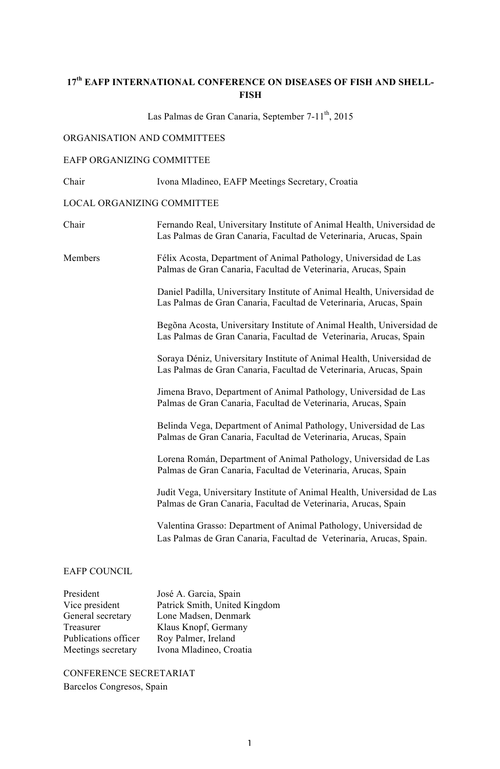### **17th EAFP INTERNATIONAL CONFERENCE ON DISEASES OF FISH AND SHELL-FISH**

Las Palmas de Gran Canaria, September 7-11<sup>th</sup>, 2015

### ORGANISATION AND COMMITTEES

### EAFP ORGANIZING COMMITTEE

Chair Ivona Mladineo, EAFP Meetings Secretary, Croatia

### LOCAL ORGANIZING COMMITTEE

| Chair                                                                                 | Fernando Real, Universitary Institute of Animal Health, Universidad de<br>Las Palmas de Gran Canaria, Facultad de Veterinaria, Arucas, Spain  |
|---------------------------------------------------------------------------------------|-----------------------------------------------------------------------------------------------------------------------------------------------|
| Members                                                                               | Félix Acosta, Department of Animal Pathology, Universidad de Las<br>Palmas de Gran Canaria, Facultad de Veterinaria, Arucas, Spain            |
|                                                                                       | Daniel Padilla, Universitary Institute of Animal Health, Universidad de<br>Las Palmas de Gran Canaria, Facultad de Veterinaria, Arucas, Spain |
|                                                                                       | Begõna Acosta, Universitary Institute of Animal Health, Universidad de<br>Las Palmas de Gran Canaria, Facultad de Veterinaria, Arucas, Spain  |
|                                                                                       | Soraya Déniz, Universitary Institute of Animal Health, Universidad de<br>Las Palmas de Gran Canaria, Facultad de Veterinaria, Arucas, Spain   |
|                                                                                       | Jimena Bravo, Department of Animal Pathology, Universidad de Las<br>Palmas de Gran Canaria, Facultad de Veterinaria, Arucas, Spain            |
|                                                                                       | Belinda Vega, Department of Animal Pathology, Universidad de Las<br>Palmas de Gran Canaria, Facultad de Veterinaria, Arucas, Spain            |
|                                                                                       | Lorena Román, Department of Animal Pathology, Universidad de Las<br>Palmas de Gran Canaria, Facultad de Veterinaria, Arucas, Spain            |
|                                                                                       | Judit Vega, Universitary Institute of Animal Health, Universidad de Las<br>Palmas de Gran Canaria, Facultad de Veterinaria, Arucas, Spain     |
|                                                                                       | Valentina Grasso: Department of Animal Pathology, Universidad de<br>Las Palmas de Gran Canaria, Facultad de Veterinaria, Arucas, Spain.       |
| <b>EAFP COUNCIL</b>                                                                   |                                                                                                                                               |
| President<br>Vice president<br>General secretary<br>Treasurer<br>Publications officer | José A. Garcia, Spain<br>Patrick Smith, United Kingdom<br>Lone Madsen, Denmark<br>Klaus Knopf, Germany<br>Rov Palmer, Ireland                 |

Publications officer<br>Meetings secretary Ivona Mladineo, Croatia CONFERENCE SECRETARIAT Barcelos Congresos, Spain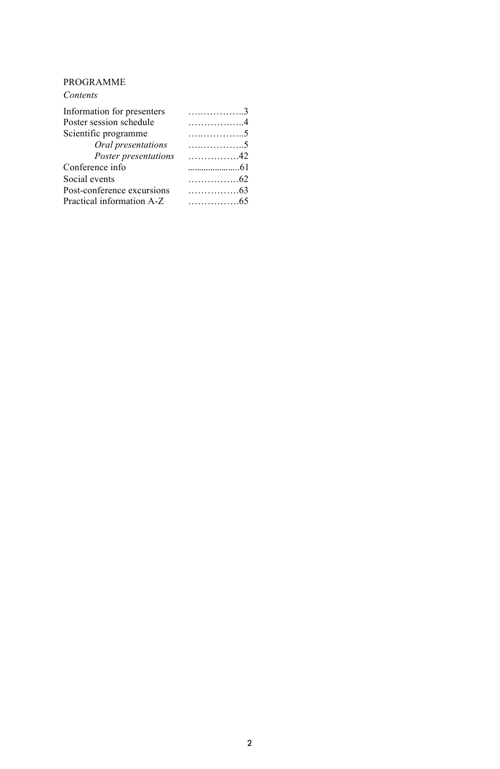### PROGRAMME

| Contents                   |                           |
|----------------------------|---------------------------|
| Information for presenters | . 3                       |
| Poster session schedule    | . 4                       |
| Scientific programme       | . 5                       |
| Oral presentations         | . 5                       |
| Poster presentations       | . 42                      |
| Conference info            |                           |
| Social events              | $\ldots \ldots \ldots 62$ |
| Post-conference excursions | $\ldots$ 63               |
| Practical information A-Z  | . 65                      |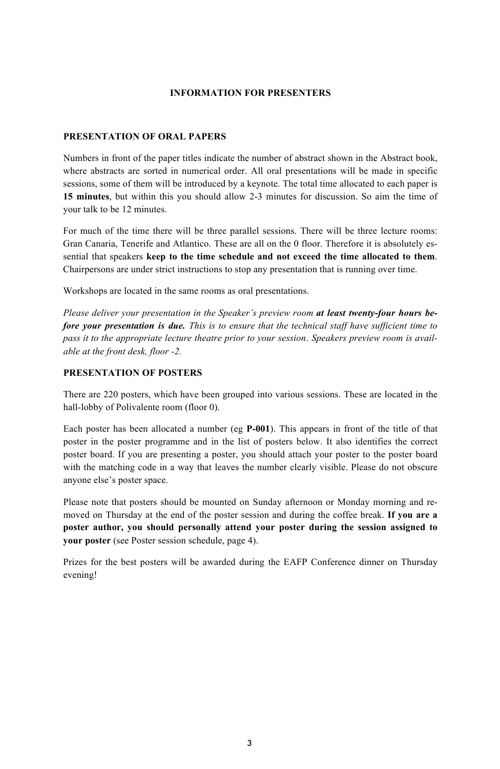### **INFORMATION FOR PRESENTERS**

### **PRESENTATION OF ORAL PAPERS**

Numbers in front of the paper titles indicate the number of abstract shown in the Abstract book, where abstracts are sorted in numerical order. All oral presentations will be made in specific sessions, some of them will be introduced by a keynote. The total time allocated to each paper is **15 minutes**, but within this you should allow 2-3 minutes for discussion. So aim the time of your talk to be 12 minutes.

For much of the time there will be three parallel sessions. There will be three lecture rooms: Gran Canaria, Tenerife and Atlantico. These are all on the 0 floor. Therefore it is absolutely essential that speakers **keep to the time schedule and not exceed the time allocated to them**. Chairpersons are under strict instructions to stop any presentation that is running over time.

Workshops are located in the same rooms as oral presentations.

*Please deliver your presentation in the Speaker's preview room at least twenty-four hours before your presentation is due. This is to ensure that the technical staff have sufficient time to pass it to the appropriate lecture theatre prior to your session*. *Speakers preview room is available at the front desk, floor -2.*

### **PRESENTATION OF POSTERS**

There are 220 posters, which have been grouped into various sessions. These are located in the hall-lobby of Polivalente room (floor 0).

Each poster has been allocated a number (eg **P-001**). This appears in front of the title of that poster in the poster programme and in the list of posters below. It also identifies the correct poster board. If you are presenting a poster, you should attach your poster to the poster board with the matching code in a way that leaves the number clearly visible. Please do not obscure anyone else's poster space.

Please note that posters should be mounted on Sunday afternoon or Monday morning and removed on Thursday at the end of the poster session and during the coffee break. **If you are a poster author, you should personally attend your poster during the session assigned to your poster** (see Poster session schedule, page 4).

Prizes for the best posters will be awarded during the EAFP Conference dinner on Thursday evening!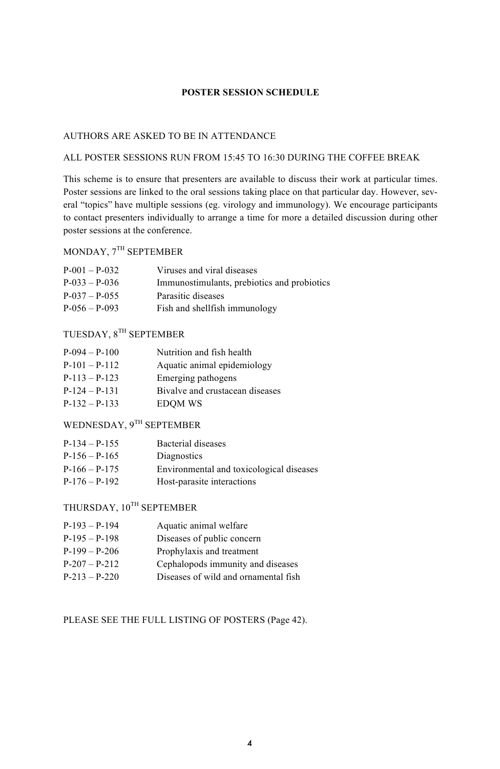### **POSTER SESSION SCHEDULE**

### AUTHORS ARE ASKED TO BE IN ATTENDANCE

### ALL POSTER SESSIONS RUN FROM 15:45 TO 16:30 DURING THE COFFEE BREAK

This scheme is to ensure that presenters are available to discuss their work at particular times. Poster sessions are linked to the oral sessions taking place on that particular day. However, several "topics" have multiple sessions (eg. virology and immunology). We encourage participants to contact presenters individually to arrange a time for more a detailed discussion during other poster sessions at the conference.

### MONDAY, 7TH SEPTEMBER

| $P-001 - P-032$ | Viruses and viral diseases                  |
|-----------------|---------------------------------------------|
| $P-033 - P-036$ | Immunostimulants, prebiotics and probiotics |
| $P-037 - P-055$ | Parasitic diseases                          |
| $P-056 - P-093$ | Fish and shell fish immunology              |

### TUESDAY, 8TH SEPTEMBER

| $P-094 - P-100$ | Nutrition and fish health       |
|-----------------|---------------------------------|
| $P-101 - P-112$ | Aquatic animal epidemiology     |
| $P-113 - P-123$ | Emerging pathogens              |
| $P-124 - P-131$ | Bivalve and crustacean diseases |
| $P-132 - P-133$ | <b>EDOM WS</b>                  |

### WEDNESDAY, 9TH SEPTEMBER

| $P-134 - P-155$ | Bacterial diseases                       |
|-----------------|------------------------------------------|
| $P-156 - P-165$ | Diagnostics                              |
| $P-166 - P-175$ | Environmental and toxicological diseases |
| $P-176 - P-192$ | Host-parasite interactions               |

### THURSDAY,  $10^{TH}$  SEPTEMBER

| $P-193 - P-194$ | Aquatic animal welfare               |
|-----------------|--------------------------------------|
| $P-195 - P-198$ | Diseases of public concern           |
| $P-199 - P-206$ | Prophylaxis and treatment            |
| $P-207 - P-212$ | Cephalopods immunity and diseases    |
| $P-213 - P-220$ | Diseases of wild and ornamental fish |

### PLEASE SEE THE FULL LISTING OF POSTERS (Page 42).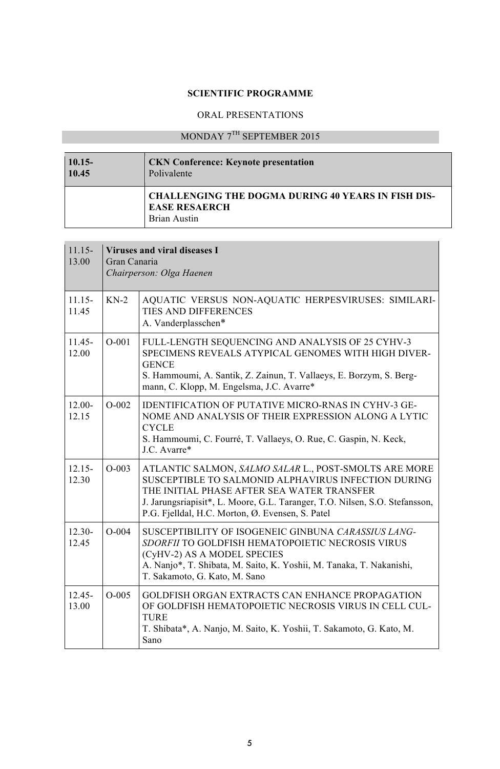### **SCIENTIFIC PROGRAMME**

### ORAL PRESENTATIONS

## MONDAY 7TH SEPTEMBER 2015

| $10.15 -$ | <b>CKN</b> Conference: Keynote presentation                                                              |
|-----------|----------------------------------------------------------------------------------------------------------|
| 10.45     | Polivalente                                                                                              |
|           | <b>CHALLENGING THE DOGMA DURING 40 YEARS IN FISH DIS-</b><br><b>EASE RESAERCH</b><br><b>Brian Austin</b> |

<u> Linda a shekara ta 1989</u>

| $11.15-$<br>13.00  | <b>Viruses and viral diseases I</b><br>Gran Canaria<br>Chairperson: Olga Haenen |                                                                                                                                                                                                                                                                                               |
|--------------------|---------------------------------------------------------------------------------|-----------------------------------------------------------------------------------------------------------------------------------------------------------------------------------------------------------------------------------------------------------------------------------------------|
| $11.15 -$<br>11.45 | $KN-2$                                                                          | AQUATIC VERSUS NON-AQUATIC HERPESVIRUSES: SIMILARI-<br>TIES AND DIFFERENCES<br>A. Vanderplasschen*                                                                                                                                                                                            |
| $11.45 -$<br>12.00 | $O-001$                                                                         | FULL-LENGTH SEQUENCING AND ANALYSIS OF 25 CYHV-3<br>SPECIMENS REVEALS ATYPICAL GENOMES WITH HIGH DIVER-<br><b>GENCE</b><br>S. Hammoumi, A. Santik, Z. Zainun, T. Vallaeys, E. Borzym, S. Berg-<br>mann, C. Klopp, M. Engelsma, J.C. Avarre*                                                   |
| $12.00 -$<br>12.15 | $O-002$                                                                         | <b>IDENTIFICATION OF PUTATIVE MICRO-RNAS IN CYHV-3 GE-</b><br>NOME AND ANALYSIS OF THEIR EXPRESSION ALONG A LYTIC<br><b>CYCLE</b><br>S. Hammoumi, C. Fourré, T. Vallaeys, O. Rue, C. Gaspin, N. Keck,<br>J.C. Avarre*                                                                         |
| $12.15 -$<br>12.30 | $O - 003$                                                                       | ATLANTIC SALMON, SALMO SALAR L., POST-SMOLTS ARE MORE<br>SUSCEPTIBLE TO SALMONID ALPHAVIRUS INFECTION DURING<br>THE INITIAL PHASE AFTER SEA WATER TRANSFER<br>J. Jarungsriapisit*, L. Moore, G.L. Taranger, T.O. Nilsen, S.O. Stefansson,<br>P.G. Fielldal, H.C. Morton, Ø. Evensen, S. Patel |
| $12.30-$<br>12.45  | $O-004$                                                                         | SUSCEPTIBILITY OF ISOGENEIC GINBUNA CARASSIUS LANG-<br>SDORFII TO GOLDFISH HEMATOPOIETIC NECROSIS VIRUS<br>(CyHV-2) AS A MODEL SPECIES<br>A. Nanjo*, T. Shibata, M. Saito, K. Yoshii, M. Tanaka, T. Nakanishi,<br>T. Sakamoto, G. Kato, M. Sano                                               |
| $12.45 -$<br>13.00 | $O-005$                                                                         | GOLDFISH ORGAN EXTRACTS CAN ENHANCE PROPAGATION<br>OF GOLDFISH HEMATOPOIETIC NECROSIS VIRUS IN CELL CUL-<br><b>TURE</b><br>T. Shibata*, A. Nanjo, M. Saito, K. Yoshii, T. Sakamoto, G. Kato, M.<br>Sano                                                                                       |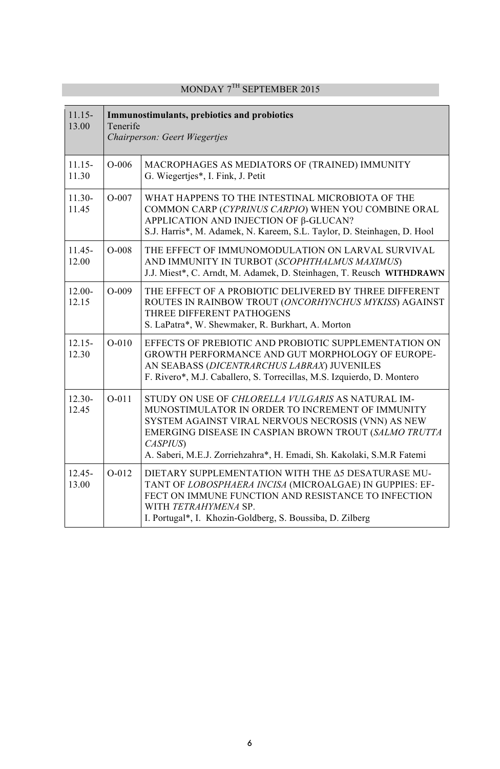| $11.15 -$<br>13.00 | Immunostimulants, prebiotics and probiotics<br>Tenerife<br>Chairperson: Geert Wiegertjes |                                                                                                                                                                                                                                                                                                                        |
|--------------------|------------------------------------------------------------------------------------------|------------------------------------------------------------------------------------------------------------------------------------------------------------------------------------------------------------------------------------------------------------------------------------------------------------------------|
| $11.15 -$<br>11.30 | $O-006$                                                                                  | MACROPHAGES AS MEDIATORS OF (TRAINED) IMMUNITY<br>G. Wiegertjes*, I. Fink, J. Petit                                                                                                                                                                                                                                    |
| $11.30-$<br>11.45  | $O-007$                                                                                  | WHAT HAPPENS TO THE INTESTINAL MICROBIOTA OF THE<br>COMMON CARP (CYPRINUS CARPIO) WHEN YOU COMBINE ORAL<br>APPLICATION AND INJECTION OF β-GLUCAN?<br>S.J. Harris*, M. Adamek, N. Kareem, S.L. Taylor, D. Steinhagen, D. Hool                                                                                           |
| $11.45 -$<br>12.00 | $O-008$                                                                                  | THE EFFECT OF IMMUNOMODULATION ON LARVAL SURVIVAL<br>AND IMMUNITY IN TURBOT (SCOPHTHALMUS MAXIMUS)<br>J.J. Miest*, C. Arndt, M. Adamek, D. Steinhagen, T. Reusch WITHDRAWN                                                                                                                                             |
| $12.00 -$<br>12.15 | $O-009$                                                                                  | THE EFFECT OF A PROBIOTIC DELIVERED BY THREE DIFFERENT<br>ROUTES IN RAINBOW TROUT (ONCORHYNCHUS MYKISS) AGAINST<br>THREE DIFFERENT PATHOGENS<br>S. LaPatra*, W. Shewmaker, R. Burkhart, A. Morton                                                                                                                      |
| $12.15 -$<br>12.30 | $O-010$                                                                                  | EFFECTS OF PREBIOTIC AND PROBIOTIC SUPPLEMENTATION ON<br><b>GROWTH PERFORMANCE AND GUT MORPHOLOGY OF EUROPE-</b><br>AN SEABASS (DICENTRARCHUS LABRAX) JUVENILES<br>F. Rivero*, M.J. Caballero, S. Torrecillas, M.S. Izquierdo, D. Montero                                                                              |
| $12.30 -$<br>12.45 | $O-011$                                                                                  | STUDY ON USE OF <i>CHLORELLA VULGARIS</i> AS NATURAL IM-<br>MUNOSTIMULATOR IN ORDER TO INCREMENT OF IMMUNITY<br>SYSTEM AGAINST VIRAL NERVOUS NECROSIS (VNN) AS NEW<br>EMERGING DISEASE IN CASPIAN BROWN TROUT (SALMO TRUTTA<br><b>CASPIUS</b><br>A. Saberi, M.E.J. Zorriehzahra*, H. Emadi, Sh. Kakolaki, S.M.R Fatemi |
| $12.45 -$<br>13.00 | $O-012$                                                                                  | DIETARY SUPPLEMENTATION WITH THE A5 DESATURASE MU-<br>TANT OF LOBOSPHAERA INCISA (MICROALGAE) IN GUPPIES: EF-<br>FECT ON IMMUNE FUNCTION AND RESISTANCE TO INFECTION<br>WITH TETRAHYMENA SP.<br>I. Portugal*, I. Khozin-Goldberg, S. Boussiba, D. Zilberg                                                              |

### MONDAY 7TH SEPTEMBER 2015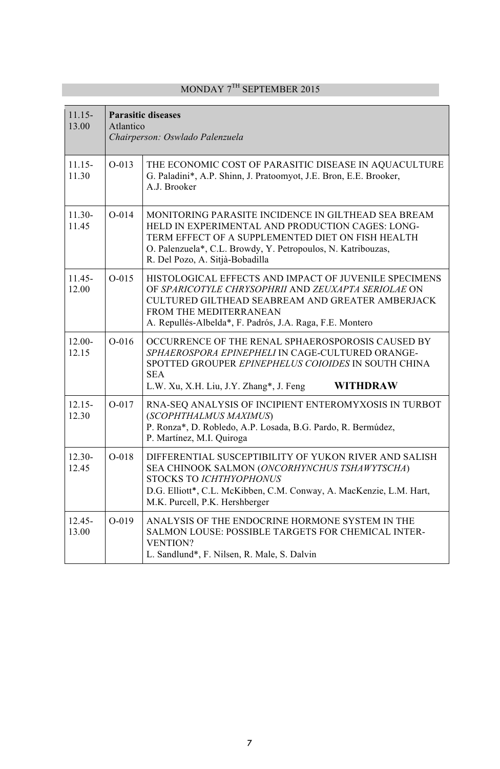| $11.15 -$<br>13.00 | <b>Parasitic diseases</b><br>Atlantico<br>Chairperson: Oswlado Palenzuela |                                                                                                                                                                                                                                                                 |
|--------------------|---------------------------------------------------------------------------|-----------------------------------------------------------------------------------------------------------------------------------------------------------------------------------------------------------------------------------------------------------------|
| $11.15 -$<br>11.30 | $O-013$                                                                   | THE ECONOMIC COST OF PARASITIC DISEASE IN AQUACULTURE<br>G. Paladini*, A.P. Shinn, J. Pratoomyot, J.E. Bron, E.E. Brooker,<br>A.J. Brooker                                                                                                                      |
| $11.30-$<br>11.45  | $O-014$                                                                   | MONITORING PARASITE INCIDENCE IN GILTHEAD SEA BREAM<br>HELD IN EXPERIMENTAL AND PRODUCTION CAGES: LONG-<br>TERM EFFECT OF A SUPPLEMENTED DIET ON FISH HEALTH<br>O. Palenzuela*, C.L. Browdy, Y. Petropoulos, N. Katribouzas,<br>R. Del Pozo, A. Sitjà-Bobadilla |
| $11.45 -$<br>12.00 | $O-015$                                                                   | HISTOLOGICAL EFFECTS AND IMPACT OF JUVENILE SPECIMENS<br>OF SPARICOTYLE CHRYSOPHRII AND ZEUXAPTA SERIOLAE ON<br>CULTURED GILTHEAD SEABREAM AND GREATER AMBERJACK<br>FROM THE MEDITERRANEAN<br>A. Repullés-Albelda*, F. Padrós, J.A. Raga, F.E. Montero          |
| $12.00 -$<br>12.15 | $O-016$                                                                   | OCCURRENCE OF THE RENAL SPHAEROSPOROSIS CAUSED BY<br>SPHAEROSPORA EPINEPHELI IN CAGE-CULTURED ORANGE-<br>SPOTTED GROUPER EPINEPHELUS COIOIDES IN SOUTH CHINA<br><b>SEA</b><br><b>WITHDRAW</b><br>L.W. Xu, X.H. Liu, J.Y. Zhang*, J. Feng                        |
| $12.15 -$<br>12.30 | $O-017$                                                                   | RNA-SEQ ANALYSIS OF INCIPIENT ENTEROMYXOSIS IN TURBOT<br>(SCOPHTHALMUS MAXIMUS)<br>P. Ronza*, D. Robledo, A.P. Losada, B.G. Pardo, R. Bermúdez,<br>P. Martínez, M.I. Quiroga                                                                                    |
| $12.30 -$<br>12.45 | $O-018$                                                                   | DIFFERENTIAL SUSCEPTIBILITY OF YUKON RIVER AND SALISH<br>SEA CHINOOK SALMON (ONCORHYNCHUS TSHAWYTSCHA)<br><b>STOCKS TO ICHTHYOPHONUS</b><br>D.G. Elliott*, C.L. McKibben, C.M. Conway, A. MacKenzie, L.M. Hart,<br>M.K. Purcell, P.K. Hershberger               |
| $12.45 -$<br>13.00 | $O-019$                                                                   | ANALYSIS OF THE ENDOCRINE HORMONE SYSTEM IN THE<br>SALMON LOUSE: POSSIBLE TARGETS FOR CHEMICAL INTER-<br><b>VENTION?</b><br>L. Sandlund*, F. Nilsen, R. Male, S. Dalvin                                                                                         |

### MONDAY 7TH SEPTEMBER 2015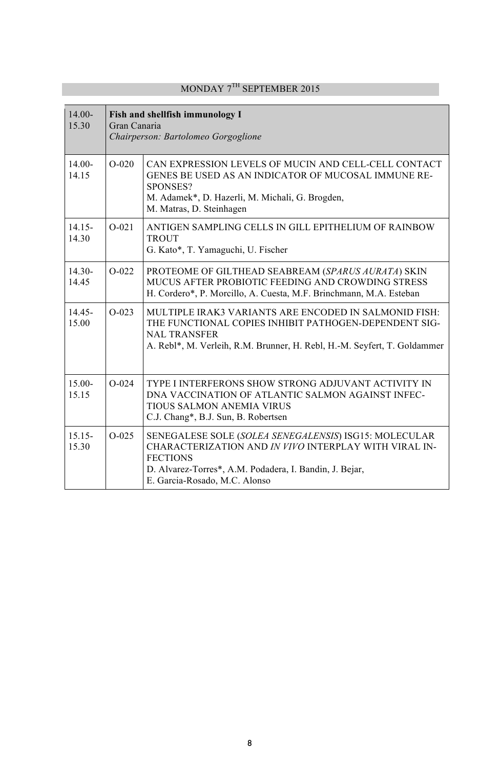| $14.00 -$<br>15.30 | Fish and shellfish immunology I<br>Gran Canaria<br>Chairperson: Bartolomeo Gorgoglione |                                                                                                                                                                                                                               |
|--------------------|----------------------------------------------------------------------------------------|-------------------------------------------------------------------------------------------------------------------------------------------------------------------------------------------------------------------------------|
| $14.00 -$<br>14.15 | $O-020$                                                                                | CAN EXPRESSION LEVELS OF MUCIN AND CELL-CELL CONTACT<br>GENES BE USED AS AN INDICATOR OF MUCOSAL IMMUNE RE-<br>SPONSES?<br>M. Adamek*, D. Hazerli, M. Michali, G. Brogden,<br>M. Matras, D. Steinhagen                        |
| $14.15-$<br>14.30  | $O-021$                                                                                | ANTIGEN SAMPLING CELLS IN GILL EPITHELIUM OF RAINBOW<br><b>TROUT</b><br>G. Kato*, T. Yamaguchi, U. Fischer                                                                                                                    |
| $14.30-$<br>14.45  | $O-022$                                                                                | PROTEOME OF GILTHEAD SEABREAM (SPARUS AURATA) SKIN<br>MUCUS AFTER PROBIOTIC FEEDING AND CROWDING STRESS<br>H. Cordero*, P. Morcillo, A. Cuesta, M.F. Brinchmann, M.A. Esteban                                                 |
| $14.45 -$<br>15.00 | $O-023$                                                                                | MULTIPLE IRAK3 VARIANTS ARE ENCODED IN SALMONID FISH:<br>THE FUNCTIONAL COPIES INHIBIT PATHOGEN-DEPENDENT SIG-<br><b>NAL TRANSFER</b><br>A. Rebl*, M. Verleih, R.M. Brunner, H. Rebl, H.-M. Seyfert, T. Goldammer             |
| 15.00-<br>15.15    | $O - 024$                                                                              | TYPE I INTERFERONS SHOW STRONG ADJUVANT ACTIVITY IN<br>DNA VACCINATION OF ATLANTIC SALMON AGAINST INFEC-<br>TIOUS SALMON ANEMIA VIRUS<br>C.J. Chang*, B.J. Sun, B. Robertsen                                                  |
| $15.15-$<br>15.30  | $O-025$                                                                                | SENEGALESE SOLE (SOLEA SENEGALENSIS) ISG15: MOLECULAR<br>CHARACTERIZATION AND IN VIVO INTERPLAY WITH VIRAL IN-<br><b>FECTIONS</b><br>D. Alvarez-Torres*, A.M. Podadera, I. Bandin, J. Bejar,<br>E. Garcia-Rosado, M.C. Alonso |

## MONDAY 7<sup>TH</sup> SEPTEMBER 2015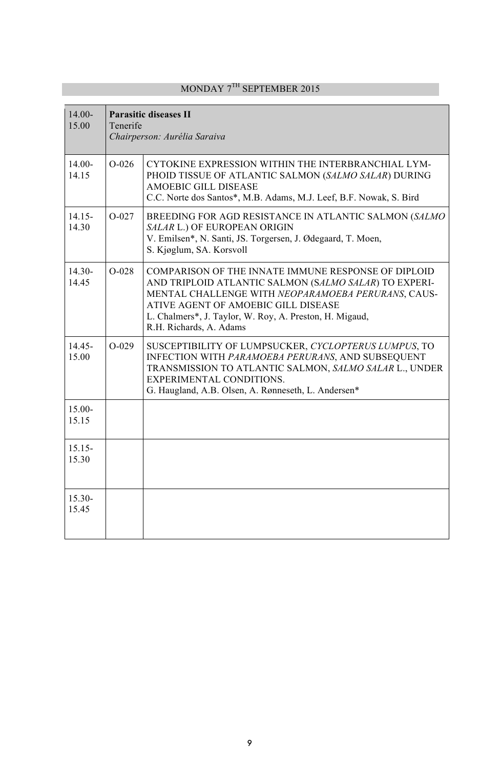| $14.00 -$<br>15.00 | <b>Parasitic diseases II</b><br>Tenerife<br>Chairperson: Aurélia Saraiva |                                                                                                                                                                                                                                                                                                 |
|--------------------|--------------------------------------------------------------------------|-------------------------------------------------------------------------------------------------------------------------------------------------------------------------------------------------------------------------------------------------------------------------------------------------|
| $14.00 -$<br>14.15 | $O-026$                                                                  | CYTOKINE EXPRESSION WITHIN THE INTERBRANCHIAL LYM-<br>PHOID TISSUE OF ATLANTIC SALMON (SALMO SALAR) DURING<br><b>AMOEBIC GILL DISEASE</b><br>C.C. Norte dos Santos*, M.B. Adams, M.J. Leef, B.F. Nowak, S. Bird                                                                                 |
| $14.15 -$<br>14.30 | $O-027$                                                                  | BREEDING FOR AGD RESISTANCE IN ATLANTIC SALMON (SALMO<br>SALAR L.) OF EUROPEAN ORIGIN<br>V. Emilsen*, N. Santi, JS. Torgersen, J. Ødegaard, T. Moen,<br>S. Kjøglum, SA. Korsvoll                                                                                                                |
| $14.30 -$<br>14.45 | $O-028$                                                                  | COMPARISON OF THE INNATE IMMUNE RESPONSE OF DIPLOID<br>AND TRIPLOID ATLANTIC SALMON (SALMO SALAR) TO EXPERI-<br>MENTAL CHALLENGE WITH NEOPARAMOEBA PERURANS, CAUS-<br>ATIVE AGENT OF AMOEBIC GILL DISEASE<br>L. Chalmers*, J. Taylor, W. Roy, A. Preston, H. Migaud,<br>R.H. Richards, A. Adams |
| 14.45-<br>15.00    | $O-029$                                                                  | SUSCEPTIBILITY OF LUMPSUCKER, CYCLOPTERUS LUMPUS, TO<br>INFECTION WITH PARAMOEBA PERURANS, AND SUBSEQUENT<br>TRANSMISSION TO ATLANTIC SALMON, SALMO SALAR L., UNDER<br>EXPERIMENTAL CONDITIONS.<br>G. Haugland, A.B. Olsen, A. Rønneseth, L. Andersen*                                          |
| $15.00 -$<br>15.15 |                                                                          |                                                                                                                                                                                                                                                                                                 |
| $15.15 -$<br>15.30 |                                                                          |                                                                                                                                                                                                                                                                                                 |
| 15.30-<br>15.45    |                                                                          |                                                                                                                                                                                                                                                                                                 |

## MONDAY  $7^{\text{TH}}$  SEPTEMBER 2015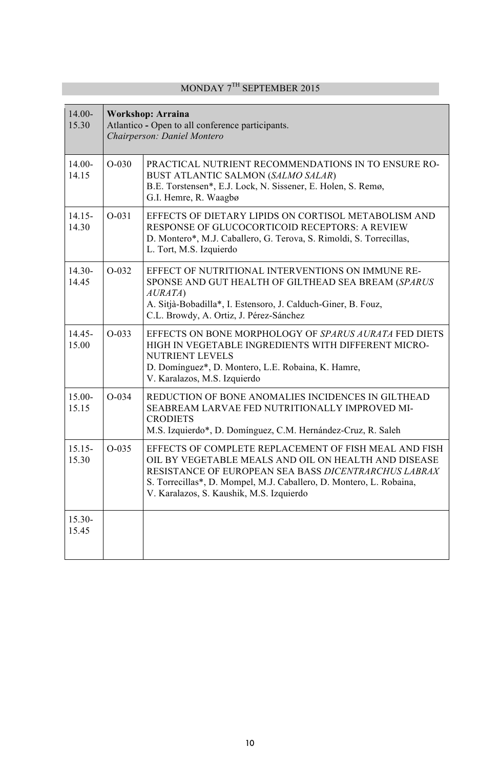## MONDAY 7TH SEPTEMBER 2015

| $14.00 -$<br>15.30 | <b>Workshop: Arraina</b><br>Atlantico - Open to all conference participants.<br>Chairperson: Daniel Montero |                                                                                                                                                                                                                                                                                          |
|--------------------|-------------------------------------------------------------------------------------------------------------|------------------------------------------------------------------------------------------------------------------------------------------------------------------------------------------------------------------------------------------------------------------------------------------|
| $14.00 -$<br>14.15 | $O-030$                                                                                                     | PRACTICAL NUTRIENT RECOMMENDATIONS IN TO ENSURE RO-<br><b>BUST ATLANTIC SALMON (SALMO SALAR)</b><br>B.E. Torstensen*, E.J. Lock, N. Sissener, E. Holen, S. Remø,<br>G.I. Hemre, R. Waagbø                                                                                                |
| $14.15 -$<br>14.30 | $O - 031$                                                                                                   | EFFECTS OF DIETARY LIPIDS ON CORTISOL METABOLISM AND<br>RESPONSE OF GLUCOCORTICOID RECEPTORS: A REVIEW<br>D. Montero*, M.J. Caballero, G. Terova, S. Rimoldi, S. Torrecillas,<br>L. Tort, M.S. Izquierdo                                                                                 |
| $14.30 -$<br>14.45 | $O-032$                                                                                                     | EFFECT OF NUTRITIONAL INTERVENTIONS ON IMMUNE RE-<br>SPONSE AND GUT HEALTH OF GILTHEAD SEA BREAM (SPARUS<br>AURATA)<br>A. Sitjà-Bobadilla*, I. Estensoro, J. Calduch-Giner, B. Fouz,<br>C.L. Browdy, A. Ortiz, J. Pérez-Sánchez                                                          |
| $14.45 -$<br>15.00 | $O-033$                                                                                                     | EFFECTS ON BONE MORPHOLOGY OF SPARUS AURATA FED DIETS<br>HIGH IN VEGETABLE INGREDIENTS WITH DIFFERENT MICRO-<br><b>NUTRIENT LEVELS</b><br>D. Domínguez*, D. Montero, L.E. Robaina, K. Hamre,<br>V. Karalazos, M.S. Izquierdo                                                             |
| $15.00 -$<br>15.15 | $O - 0.34$                                                                                                  | REDUCTION OF BONE ANOMALIES INCIDENCES IN GILTHEAD<br>SEABREAM LARVAE FED NUTRITIONALLY IMPROVED MI-<br><b>CRODIETS</b><br>M.S. Izquierdo*, D. Domínguez, C.M. Hernández-Cruz, R. Saleh                                                                                                  |
| $15.15 -$<br>15.30 | $O - 0.35$                                                                                                  | EFFECTS OF COMPLETE REPLACEMENT OF FISH MEAL AND FISH<br>OIL BY VEGETABLE MEALS AND OIL ON HEALTH AND DISEASE<br>RESISTANCE OF EUROPEAN SEA BASS DICENTRARCHUS LABRAX<br>S. Torrecillas*, D. Mompel, M.J. Caballero, D. Montero, L. Robaina,<br>V. Karalazos, S. Kaushik, M.S. Izquierdo |
| $15.30 -$<br>15.45 |                                                                                                             |                                                                                                                                                                                                                                                                                          |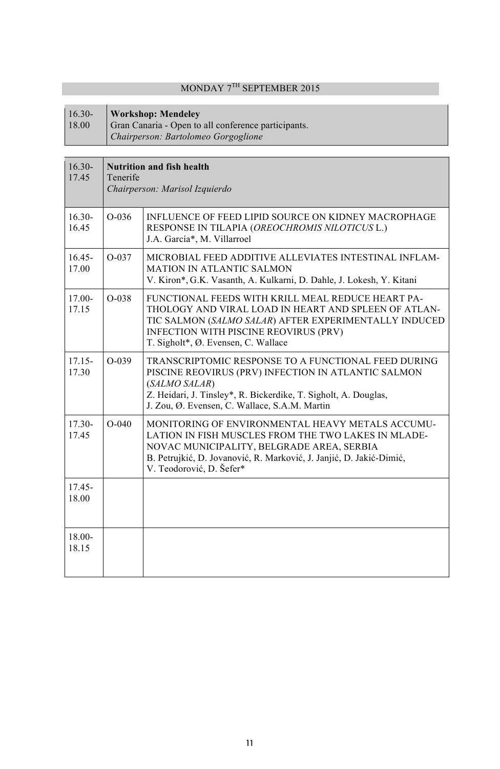## MONDAY 7TH SEPTEMBER 2015

#### I 16.30- **Workshop: Mendeley**

18.00 Gran Canaria - Open to all conference participants. *Chairperson: Bartolomeo Gorgoglione*

| $16.30 -$<br>17.45 | <b>Nutrition and fish health</b><br>Tenerife<br>Chairperson: Marisol Izquierdo |                                                                                                                                                                                                                                                           |
|--------------------|--------------------------------------------------------------------------------|-----------------------------------------------------------------------------------------------------------------------------------------------------------------------------------------------------------------------------------------------------------|
| $16.30 -$<br>16.45 | $O-0.36$                                                                       | INFLUENCE OF FEED LIPID SOURCE ON KIDNEY MACROPHAGE<br>RESPONSE IN TILAPIA (OREOCHROMIS NILOTICUS L.)<br>J.A. García*, M. Villarroel                                                                                                                      |
| $16.45 -$<br>17.00 | $O-037$                                                                        | MICROBIAL FEED ADDITIVE ALLEVIATES INTESTINAL INFLAM-<br><b>MATION IN ATLANTIC SALMON</b><br>V. Kiron*, G.K. Vasanth, A. Kulkarni, D. Dahle, J. Lokesh, Y. Kitani                                                                                         |
| 17.00-<br>17.15    | $O-038$                                                                        | FUNCTIONAL FEEDS WITH KRILL MEAL REDUCE HEART PA-<br>THOLOGY AND VIRAL LOAD IN HEART AND SPLEEN OF ATLAN-<br>TIC SALMON (SALMO SALAR) AFTER EXPERIMENTALLY INDUCED<br><b>INFECTION WITH PISCINE REOVIRUS (PRV)</b><br>T. Sigholt*, Ø. Evensen, C. Wallace |
| $17.15 -$<br>17.30 | $O-0.39$                                                                       | TRANSCRIPTOMIC RESPONSE TO A FUNCTIONAL FEED DURING<br>PISCINE REOVIRUS (PRV) INFECTION IN ATLANTIC SALMON<br>(SALMO SALAR)<br>Z. Heidari, J. Tinsley*, R. Bickerdike, T. Sigholt, A. Douglas,<br>J. Zou, Ø. Evensen, C. Wallace, S.A.M. Martin           |
| $17.30 -$<br>17.45 | $O-040$                                                                        | MONITORING OF ENVIRONMENTAL HEAVY METALS ACCUMU-<br>LATION IN FISH MUSCLES FROM THE TWO LAKES IN MLADE-<br>NOVAC MUNICIPALITY, BELGRADE AREA, SERBIA<br>B. Petrujkić, D. Jovanović, R. Marković, J. Janjić, D. Jakić-Dimić,<br>V. Teodorović, D. Šefer*   |
| 17.45-<br>18.00    |                                                                                |                                                                                                                                                                                                                                                           |
| $18.00 -$<br>18.15 |                                                                                |                                                                                                                                                                                                                                                           |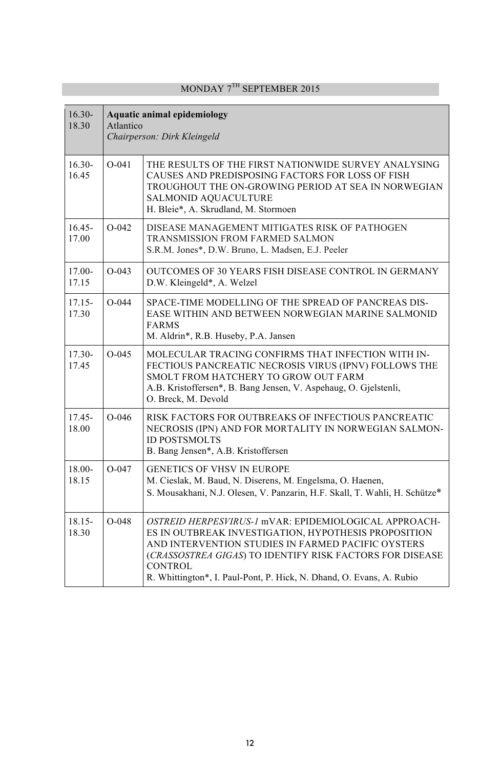| $16.30-$<br>18.30  | <b>Aquatic animal epidemiology</b><br>Atlantico<br>Chairperson: Dirk Kleingeld |                                                                                                                                                                                                                                                                                                                           |
|--------------------|--------------------------------------------------------------------------------|---------------------------------------------------------------------------------------------------------------------------------------------------------------------------------------------------------------------------------------------------------------------------------------------------------------------------|
| $16.30-$<br>16.45  | $O-041$                                                                        | THE RESULTS OF THE FIRST NATIONWIDE SURVEY ANALYSING<br>CAUSES AND PREDISPOSING FACTORS FOR LOSS OF FISH<br>TROUGHOUT THE ON-GROWING PERIOD AT SEA IN NORWEGIAN<br>SALMONID AQUACULTURE<br>H. Bleie*, A. Skrudland, M. Stormoen                                                                                           |
| $16.45 -$<br>17.00 | $O - 042$                                                                      | DISEASE MANAGEMENT MITIGATES RISK OF PATHOGEN<br>TRANSMISSION FROM FARMED SALMON<br>S.R.M. Jones*, D.W. Bruno, L. Madsen, E.J. Peeler                                                                                                                                                                                     |
| $17.00 -$<br>17.15 | $O-043$                                                                        | OUTCOMES OF 30 YEARS FISH DISEASE CONTROL IN GERMANY<br>D.W. Kleingeld*, A. Welzel                                                                                                                                                                                                                                        |
| $17.15 -$<br>17.30 | $O - 044$                                                                      | SPACE-TIME MODELLING OF THE SPREAD OF PANCREAS DIS-<br>EASE WITHIN AND BETWEEN NORWEGIAN MARINE SALMONID<br><b>FARMS</b><br>M. Aldrin*, R.B. Huseby, P.A. Jansen                                                                                                                                                          |
| $17.30 -$<br>17.45 | $O - 045$                                                                      | MOLECULAR TRACING CONFIRMS THAT INFECTION WITH IN-<br>FECTIOUS PANCREATIC NECROSIS VIRUS (IPNV) FOLLOWS THE<br>SMOLT FROM HATCHERY TO GROW OUT FARM<br>A.B. Kristoffersen*, B. Bang Jensen, V. Aspehaug, O. Gjelstenli,<br>O. Breck, M. Devold                                                                            |
| $17.45 -$<br>18.00 | $O-046$                                                                        | RISK FACTORS FOR OUTBREAKS OF INFECTIOUS PANCREATIC<br>NECROSIS (IPN) AND FOR MORTALITY IN NORWEGIAN SALMON-<br><b>ID POSTSMOLTS</b><br>B. Bang Jensen*, A.B. Kristoffersen                                                                                                                                               |
| 18.00-<br>18.15    | $O - 047$                                                                      | GENETICS OF VHSV IN EUROPE<br>M. Cieslak, M. Baud, N. Diserens, M. Engelsma, O. Haenen,<br>S. Mousakhani, N.J. Olesen, V. Panzarin, H.F. Skall, T. Wahli, H. Schütze*                                                                                                                                                     |
| $18.15 -$<br>18.30 | $O - 048$                                                                      | OSTREID HERPESVIRUS-1 mVAR: EPIDEMIOLOGICAL APPROACH-<br>ES IN OUTBREAK INVESTIGATION, HYPOTHESIS PROPOSITION<br>AND INTERVENTION STUDIES IN FARMED PACIFIC OYSTERS<br>(CRASSOSTREA GIGAS) TO IDENTIFY RISK FACTORS FOR DISEASE<br><b>CONTROL</b><br>R. Whittington*, I. Paul-Pont, P. Hick, N. Dhand, O. Evans, A. Rubio |

## $MONDAY 7<sup>TH</sup> SEPTEMBER 2015$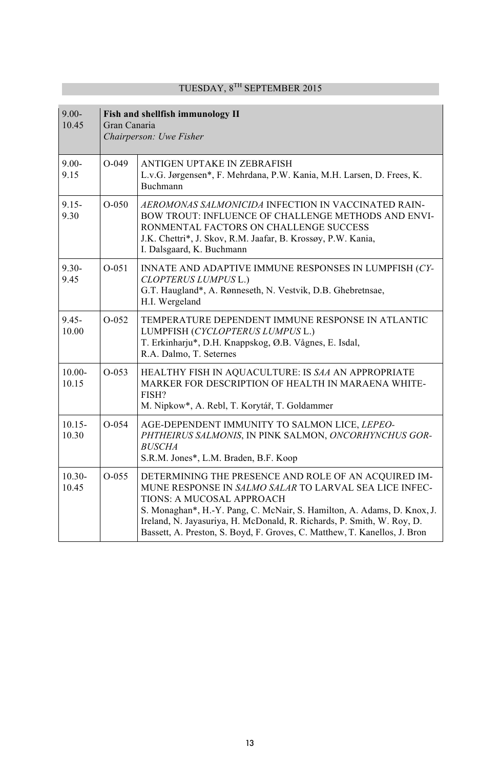| $9.00 -$<br>10.45  | Fish and shellfish immunology II<br>Gran Canaria<br>Chairperson: Uwe Fisher |                                                                                                                                                                                                                                                                                                                                                                               |
|--------------------|-----------------------------------------------------------------------------|-------------------------------------------------------------------------------------------------------------------------------------------------------------------------------------------------------------------------------------------------------------------------------------------------------------------------------------------------------------------------------|
| $9.00 -$<br>9.15   | $O-049$                                                                     | ANTIGEN UPTAKE IN ZEBRAFISH<br>L.v.G. Jørgensen*, F. Mehrdana, P.W. Kania, M.H. Larsen, D. Frees, K.<br><b>Buchmann</b>                                                                                                                                                                                                                                                       |
| $9.15 -$<br>9.30   | $O - 0.50$                                                                  | AEROMONAS SALMONICIDA INFECTION IN VACCINATED RAIN-<br>BOW TROUT: INFLUENCE OF CHALLENGE METHODS AND ENVI-<br>RONMENTAL FACTORS ON CHALLENGE SUCCESS<br>J.K. Chettri*, J. Skov, R.M. Jaafar, B. Krossøy, P.W. Kania,<br>I. Dalsgaard, K. Buchmann                                                                                                                             |
| $9.30 -$<br>9.45   | $O-0.51$                                                                    | INNATE AND ADAPTIVE IMMUNE RESPONSES IN LUMPFISH (CY-<br>CLOPTERUS LUMPUS L.)<br>G.T. Haugland*, A. Rønneseth, N. Vestvik, D.B. Ghebretnsae,<br>H.I. Wergeland                                                                                                                                                                                                                |
| $9.45 -$<br>10.00  | $O-0.52$                                                                    | TEMPERATURE DEPENDENT IMMUNE RESPONSE IN ATLANTIC<br>LUMPFISH (CYCLOPTERUS LUMPUS L.)<br>T. Erkinharju*, D.H. Knappskog, Ø.B. Vågnes, E. Isdal,<br>R.A. Dalmo, T. Seternes                                                                                                                                                                                                    |
| $10.00 -$<br>10.15 | $O - 053$                                                                   | HEALTHY FISH IN AQUACULTURE: IS SAA AN APPROPRIATE<br>MARKER FOR DESCRIPTION OF HEALTH IN MARAENA WHITE-<br>FISH?<br>M. Nipkow*, A. Rebl, T. Korytář, T. Goldammer                                                                                                                                                                                                            |
| $10.15 -$<br>10.30 | $O - 0.54$                                                                  | AGE-DEPENDENT IMMUNITY TO SALMON LICE, LEPEO-<br>PHTHEIRUS SALMONIS, IN PINK SALMON, ONCORHYNCHUS GOR-<br><b>BUSCHA</b><br>S.R.M. Jones*, L.M. Braden, B.F. Koop                                                                                                                                                                                                              |
| $10.30 -$<br>10.45 | $O-0.55$                                                                    | DETERMINING THE PRESENCE AND ROLE OF AN ACOUIRED IM-<br>MUNE RESPONSE IN SALMO SALAR TO LARVAL SEA LICE INFEC-<br>TIONS: A MUCOSAL APPROACH<br>S. Monaghan*, H.-Y. Pang, C. McNair, S. Hamilton, A. Adams, D. Knox, J.<br>Ireland, N. Jayasuriya, H. McDonald, R. Richards, P. Smith, W. Roy, D.<br>Bassett, A. Preston, S. Boyd, F. Groves, C. Matthew, T. Kanellos, J. Bron |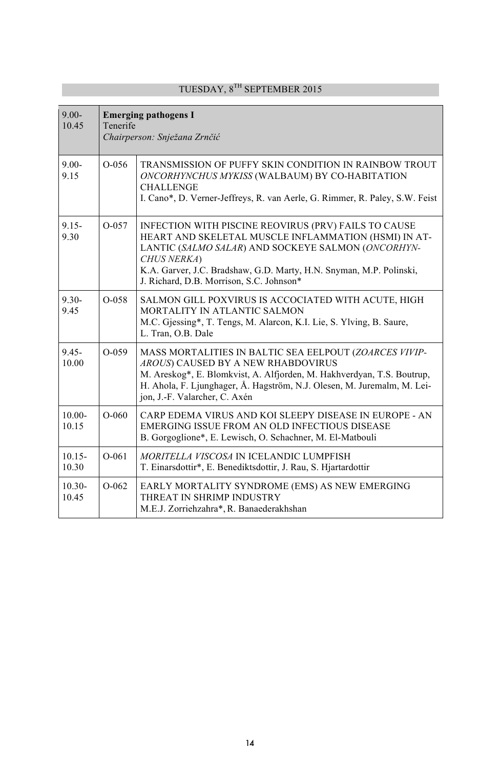| $9.00 -$<br>10.45  | <b>Emerging pathogens I</b><br>Tenerife<br>Chairperson: Snježana Zrnčić |                                                                                                                                                                                                                                                                                                      |
|--------------------|-------------------------------------------------------------------------|------------------------------------------------------------------------------------------------------------------------------------------------------------------------------------------------------------------------------------------------------------------------------------------------------|
| $9.00 -$<br>9.15   | $O-0.56$                                                                | TRANSMISSION OF PUFFY SKIN CONDITION IN RAINBOW TROUT<br>ONCORHYNCHUS MYKISS (WALBAUM) BY CO-HABITATION<br><b>CHALLENGE</b><br>I. Cano*, D. Verner-Jeffreys, R. van Aerle, G. Rimmer, R. Paley, S.W. Feist                                                                                           |
| $9.15 -$<br>9.30   | $O-057$                                                                 | INFECTION WITH PISCINE REOVIRUS (PRV) FAILS TO CAUSE<br>HEART AND SKELETAL MUSCLE INFLAMMATION (HSMI) IN AT-<br>LANTIC (SALMO SALAR) AND SOCKEYE SALMON (ONCORHYN-<br>CHUS NERKA)<br>K.A. Garver, J.C. Bradshaw, G.D. Marty, H.N. Snyman, M.P. Polinski,<br>J. Richard, D.B. Morrison, S.C. Johnson* |
| $9.30 -$<br>9.45   | $O-0.58$                                                                | SALMON GILL POXVIRUS IS ACCOCIATED WITH ACUTE, HIGH<br>MORTALITY IN ATLANTIC SALMON<br>M.C. Gjessing*, T. Tengs, M. Alarcon, K.I. Lie, S. Ylving, B. Saure,<br>L. Tran, O.B. Dale                                                                                                                    |
| $9.45 -$<br>10.00  | $O-0.59$                                                                | MASS MORTALITIES IN BALTIC SEA EELPOUT (ZOARCES VIVIP-<br>AROUS) CAUSED BY A NEW RHABDOVIRUS<br>M. Areskog*, E. Blomkvist, A. Alfjorden, M. Hakhverdyan, T.S. Boutrup,<br>H. Ahola, F. Ljunghager, Å. Hagström, N.J. Olesen, M. Juremalm, M. Lei-<br>jon, J.-F. Valarcher, C. Axén                   |
| $10.00 -$<br>10.15 | $O-060$                                                                 | CARP EDEMA VIRUS AND KOI SLEEPY DISEASE IN EUROPE - AN<br>EMERGING ISSUE FROM AN OLD INFECTIOUS DISEASE<br>B. Gorgoglione*, E. Lewisch, O. Schachner, M. El-Matbouli                                                                                                                                 |
| $10.15 -$<br>10.30 | $O-061$                                                                 | MORITELLA VISCOSA IN ICELANDIC LUMPFISH<br>T. Einarsdottir*, E. Benediktsdottir, J. Rau, S. Hjartardottir                                                                                                                                                                                            |
| $10.30 -$<br>10.45 | $O-062$                                                                 | EARLY MORTALITY SYNDROME (EMS) AS NEW EMERGING<br>THREAT IN SHRIMP INDUSTRY<br>M.E.J. Zorriehzahra*, R. Banaederakhshan                                                                                                                                                                              |

## TUESDAY,  $8^\mathrm{TH}$  SEPTEMBER 2015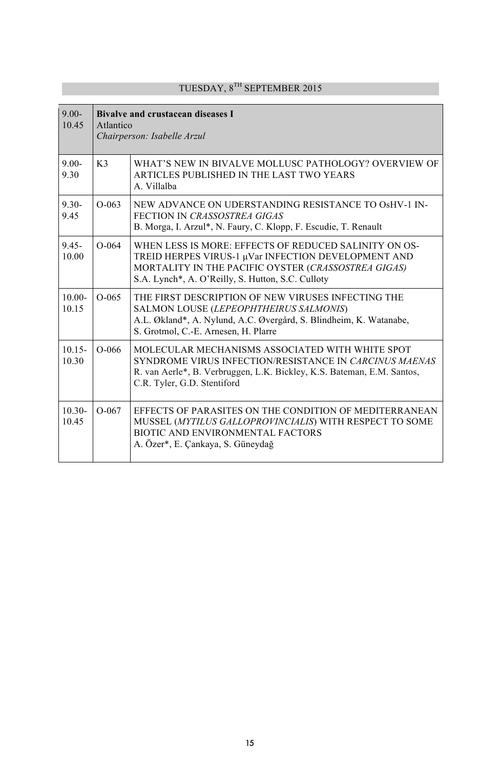| $9.00 -$<br>10.45  | <b>Bivalve and crustacean diseases I</b><br>Atlantico<br>Chairperson: Isabelle Arzul |                                                                                                                                                                                                                          |
|--------------------|--------------------------------------------------------------------------------------|--------------------------------------------------------------------------------------------------------------------------------------------------------------------------------------------------------------------------|
| $9.00 -$<br>9.30   | K <sub>3</sub>                                                                       | WHAT'S NEW IN BIVALVE MOLLUSC PATHOLOGY? OVERVIEW OF<br>ARTICLES PUBLISHED IN THE LAST TWO YEARS<br>A. Villalba                                                                                                          |
| $9.30 -$<br>9.45   | $O-063$                                                                              | NEW ADVANCE ON UDERSTANDING RESISTANCE TO OSHV-1 IN-<br>FECTION IN CRASSOSTREA GIGAS<br>B. Morga, I. Arzul*, N. Faury, C. Klopp, F. Escudie, T. Renault                                                                  |
| $9.45 -$<br>10.00  | $O-064$                                                                              | WHEN LESS IS MORE: EFFECTS OF REDUCED SALINITY ON OS-<br>TREID HERPES VIRUS-1 µVar INFECTION DEVELOPMENT AND<br>MORTALITY IN THE PACIFIC OYSTER (CRASSOSTREA GIGAS)<br>S.A. Lynch*, A. O'Reilly, S. Hutton, S.C. Culloty |
| $10.00 -$<br>10.15 | $O-065$                                                                              | THE FIRST DESCRIPTION OF NEW VIRUSES INFECTING THE<br>SALMON LOUSE (LEPEOPHTHEIRUS SALMONIS)<br>A.L. Økland*, A. Nylund, A.C. Øvergård, S. Blindheim, K. Watanabe,<br>S. Grotmol, C.-E. Arnesen, H. Plarre               |
| $10.15 -$<br>10.30 | $O-066$                                                                              | MOLECULAR MECHANISMS ASSOCIATED WITH WHITE SPOT<br>SYNDROME VIRUS INFECTION/RESISTANCE IN CARCINUS MAENAS<br>R. van Aerle*, B. Verbruggen, L.K. Bickley, K.S. Bateman, E.M. Santos,<br>C.R. Tyler, G.D. Stentiford       |
| $10.30 -$<br>10.45 | $O-067$                                                                              | EFFECTS OF PARASITES ON THE CONDITION OF MEDITERRANEAN<br>MUSSEL (MYTILUS GALLOPROVINCIALIS) WITH RESPECT TO SOME<br>BIOTIC AND ENVIRONMENTAL FACTORS<br>A. Özer*, E. Cankaya, S. Güneydağ                               |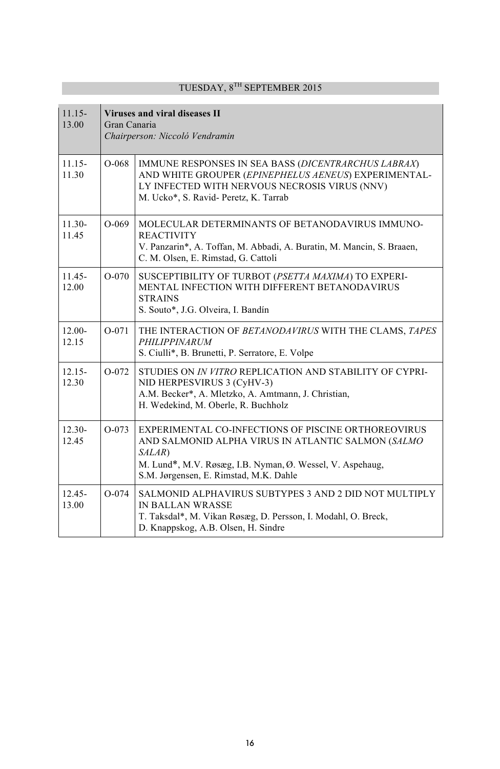| $1115 -$<br>13.00  | Viruses and viral diseases II<br>Gran Canaria<br>Chairperson: Niccoló Vendramin |                                                                                                                                                                                                                            |
|--------------------|---------------------------------------------------------------------------------|----------------------------------------------------------------------------------------------------------------------------------------------------------------------------------------------------------------------------|
| $11.15 -$<br>11.30 | $O-068$                                                                         | IMMUNE RESPONSES IN SEA BASS (DICENTRARCHUS LABRAX)<br>AND WHITE GROUPER (EPINEPHELUS AENEUS) EXPERIMENTAL-<br>LY INFECTED WITH NERVOUS NECROSIS VIRUS (NNV)<br>M. Ucko*, S. Ravid- Peretz, K. Tarrab                      |
| $11.30 -$<br>11.45 | $O-069$                                                                         | MOLECULAR DETERMINANTS OF BETANODAVIRUS IMMUNO-<br><b>REACTIVITY</b><br>V. Panzarin*, A. Toffan, M. Abbadi, A. Buratin, M. Mancin, S. Braaen,<br>C. M. Olsen, E. Rimstad, G. Cattoli                                       |
| $11.45 -$<br>12.00 | $O-070$                                                                         | SUSCEPTIBILITY OF TURBOT (PSETTA MAXIMA) TO EXPERI-<br>MENTAL INFECTION WITH DIFFERENT BETANODAVIRUS<br><b>STRAINS</b><br>S. Souto*, J.G. Olveira, I. Bandín                                                               |
| $12.00 -$<br>12.15 | $O-071$                                                                         | THE INTERACTION OF BETANODAVIRUS WITH THE CLAMS, TAPES<br>PHILIPPINARUM<br>S. Ciulli*, B. Brunetti, P. Serratore, E. Volpe                                                                                                 |
| $12.15 -$<br>12.30 | $O-072$                                                                         | STUDIES ON IN VITRO REPLICATION AND STABILITY OF CYPRI-<br>NID HERPESVIRUS 3 (CyHV-3)<br>A.M. Becker*, A. Mletzko, A. Amtmann, J. Christian,<br>H. Wedekind, M. Oberle, R. Buchholz                                        |
| $12.30-$<br>12.45  | $O-073$                                                                         | EXPERIMENTAL CO-INFECTIONS OF PISCINE ORTHOREOVIRUS<br>AND SALMONID ALPHA VIRUS IN ATLANTIC SALMON (SALMO<br>SALAR)<br>M. Lund*, M.V. Røsæg, I.B. Nyman, Ø. Wessel, V. Aspehaug,<br>S.M. Jørgensen, E. Rimstad, M.K. Dahle |
| $12.45 -$<br>13.00 | $O - 074$                                                                       | SALMONID ALPHAVIRUS SUBTYPES 3 AND 2 DID NOT MULTIPLY<br><b>IN BALLAN WRASSE</b><br>T. Taksdal*, M. Vikan Røsæg, D. Persson, I. Modahl, O. Breck,<br>D. Knappskog, A.B. Olsen, H. Sindre                                   |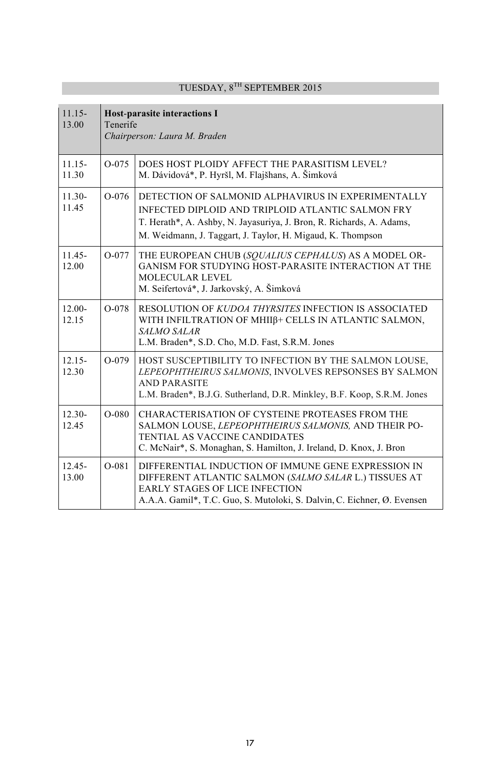| $11.15 -$<br>13.00 | <b>Host-parasite interactions I</b><br>Tenerife<br>Chairperson: Laura M. Braden |                                                                                                                                                                                                                                               |
|--------------------|---------------------------------------------------------------------------------|-----------------------------------------------------------------------------------------------------------------------------------------------------------------------------------------------------------------------------------------------|
| $11.15 -$<br>11.30 | $O - 075$                                                                       | DOES HOST PLOIDY AFFECT THE PARASITISM LEVEL?<br>M. Dávidová*, P. Hyršl, M. Flajšhans, A. Šimková                                                                                                                                             |
| $11.30-$<br>11.45  | $O-076$                                                                         | DETECTION OF SALMONID ALPHAVIRUS IN EXPERIMENTALLY<br>INFECTED DIPLOID AND TRIPLOID ATLANTIC SALMON FRY<br>T. Herath*, A. Ashby, N. Jayasuriya, J. Bron, R. Richards, A. Adams,<br>M. Weidmann, J. Taggart, J. Taylor, H. Migaud, K. Thompson |
| $11.45 -$<br>12.00 | $O-077$                                                                         | THE EUROPEAN CHUB (SQUALIUS CEPHALUS) AS A MODEL OR-<br>GANISM FOR STUDYING HOST-PARASITE INTERACTION AT THE<br><b>MOLECULAR LEVEL</b><br>M. Seifertová*, J. Jarkovský, A. Šimková                                                            |
| $12.00 -$<br>12.15 | $O - 078$                                                                       | RESOLUTION OF KUDOA THYRSITES INFECTION IS ASSOCIATED<br>WITH INFILTRATION OF MHIIβ+ CELLS IN ATLANTIC SALMON,<br><b>SALMO SALAR</b><br>L.M. Braden*, S.D. Cho, M.D. Fast, S.R.M. Jones                                                       |
| $12.15 -$<br>12.30 | $O-079$                                                                         | HOST SUSCEPTIBILITY TO INFECTION BY THE SALMON LOUSE,<br>LEPEOPHTHEIRUS SALMONIS, INVOLVES REPSONSES BY SALMON<br><b>AND PARASITE</b><br>L.M. Braden*, B.J.G. Sutherland, D.R. Minkley, B.F. Koop, S.R.M. Jones                               |
| $12.30 -$<br>12.45 | $O-080$                                                                         | CHARACTERISATION OF CYSTEINE PROTEASES FROM THE<br>SALMON LOUSE, LEPEOPHTHEIRUS SALMONIS, AND THEIR PO-<br><b>TENTIAL AS VACCINE CANDIDATES</b><br>C. McNair*, S. Monaghan, S. Hamilton, J. Ireland, D. Knox, J. Bron                         |
| $12.45 -$<br>13.00 | $O-081$                                                                         | DIFFERENTIAL INDUCTION OF IMMUNE GENE EXPRESSION IN<br>DIFFERENT ATLANTIC SALMON (SALMO SALAR L.) TISSUES AT<br><b>EARLY STAGES OF LICE INFECTION</b><br>A.A.A. Gamil*, T.C. Guo, S. Mutoloki, S. Dalvin, C. Eichner, Ø. Evensen              |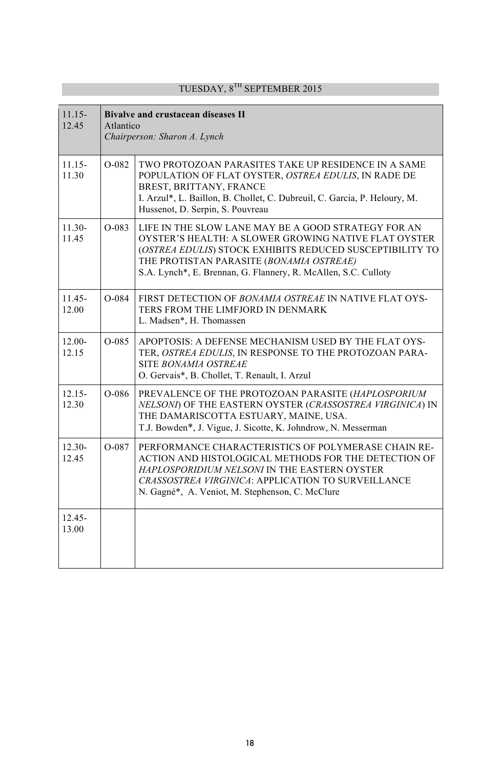| $11.15 -$<br>12.45 |         | <b>Bivalve and crustacean diseases II</b><br>Atlantico<br>Chairperson: Sharon A. Lynch                                                                                                                                                                                                |  |
|--------------------|---------|---------------------------------------------------------------------------------------------------------------------------------------------------------------------------------------------------------------------------------------------------------------------------------------|--|
| $11.15 -$<br>11.30 | O-082   | TWO PROTOZOAN PARASITES TAKE UP RESIDENCE IN A SAME<br>POPULATION OF FLAT OYSTER, OSTREA EDULIS, IN RADE DE<br>BREST, BRITTANY, FRANCE<br>I. Arzul*, L. Baillon, B. Chollet, C. Dubreuil, C. Garcia, P. Heloury, M.<br>Hussenot, D. Serpin, S. Pouvreau                               |  |
| $11.30-$<br>11.45  | $O-083$ | LIFE IN THE SLOW LANE MAY BE A GOOD STRATEGY FOR AN<br>OYSTER'S HEALTH: A SLOWER GROWING NATIVE FLAT OYSTER<br>(OSTREA EDULIS) STOCK EXHIBITS REDUCED SUSCEPTIBILITY TO<br>THE PROTISTAN PARASITE (BONAMIA OSTREAE)<br>S.A. Lynch*, E. Brennan, G. Flannery, R. McAllen, S.C. Culloty |  |
| $11.45 -$<br>12.00 | O-084   | FIRST DETECTION OF BONAMIA OSTREAE IN NATIVE FLAT OYS-<br>TERS FROM THE LIMFJORD IN DENMARK<br>L. Madsen*, H. Thomassen                                                                                                                                                               |  |
| $12.00 -$<br>12.15 | O-085   | APOPTOSIS: A DEFENSE MECHANISM USED BY THE FLAT OYS-<br>TER, OSTREA EDULIS, IN RESPONSE TO THE PROTOZOAN PARA-<br>SITE BONAMIA OSTREAE<br>O. Gervais*, B. Chollet, T. Renault, I. Arzul                                                                                               |  |
| $12.15 -$<br>12.30 | O-086   | PREVALENCE OF THE PROTOZOAN PARASITE (HAPLOSPORIUM<br>NELSONI) OF THE EASTERN OYSTER (CRASSOSTREA VIRGINICA) IN<br>THE DAMARISCOTTA ESTUARY, MAINE, USA.<br>T.J. Bowden*, J. Vigue, J. Sicotte, K. Johndrow, N. Messerman                                                             |  |
| $12.30 -$<br>12.45 | O-087   | PERFORMANCE CHARACTERISTICS OF POLYMERASE CHAIN RE-<br>ACTION AND HISTOLOGICAL METHODS FOR THE DETECTION OF<br>HAPLOSPORIDIUM NELSONI IN THE EASTERN OYSTER<br>CRASSOSTREA VIRGINICA: APPLICATION TO SURVEILLANCE<br>N. Gagné*, A. Veniot, M. Stephenson, C. McClure                  |  |
| $12.45 -$<br>13.00 |         |                                                                                                                                                                                                                                                                                       |  |

T.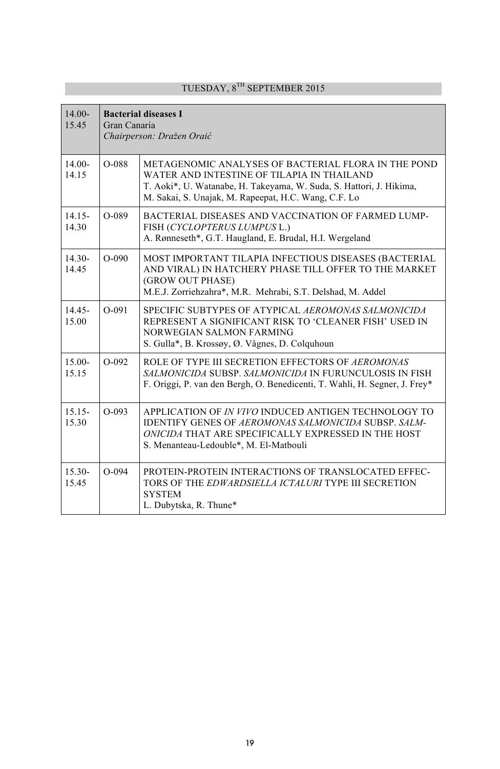#### 14.00- 15.45 **Bacterial diseases I**  Gran Canaria *Chairperson: Dražen Oraić* 14.00- 14.15 O-088 METAGENOMIC ANALYSES OF BACTERIAL FLORA IN THE POND WATER AND INTESTINE OF TILAPIA IN THAILAND T. Aoki\*, U. Watanabe, H. Takeyama, W. Suda, S. Hattori, J. Hikima, M. Sakai, S. Unajak, M. Rapeepat, H.C. Wang, C.F. Lo 14.15- 14.30 O-089 BACTERIAL DISEASES AND VACCINATION OF FARMED LUMP-FISH (*CYCLOPTERUS LUMPUS* L.) A. Rønneseth\*, G.T. Haugland, E. Brudal, H.I. Wergeland 14.30- 14.45 O-090 MOST IMPORTANT TILAPIA INFECTIOUS DISEASES (BACTERIAL AND VIRAL) IN HATCHERY PHASE TILL OFFER TO THE MARKET (GROW OUT PHASE) M.E.J. Zorriehzahra\*, M.R. Mehrabi, S.T. Delshad, M. Addel 14.45- 15.00 O-091 SPECIFIC SUBTYPES OF ATYPICAL *AEROMONAS SALMONICIDA* REPRESENT A SIGNIFICANT RISK TO 'CLEANER FISH' USED IN NORWEGIAN SALMON FARMING S. Gulla\*, B. Krossøy, Ø. Vågnes, D. Colquhoun 15.00- 15.15 O-092 ROLE OF TYPE III SECRETION EFFECTORS OF *AEROMONAS SALMONICIDA* SUBSP. *SALMONICIDA* IN FURUNCULOSIS IN FISH F. Origgi, P. van den Bergh, O. Benedicenti, T. Wahli, H. Segner, J. Frey\* 15.15- 15.30 O-093 APPLICATION OF *IN VIVO* INDUCED ANTIGEN TECHNOLOGY TO IDENTIFY GENES OF *AEROMONAS SALMONICIDA* SUBSP. *SALM-ONICIDA* THAT ARE SPECIFICALLY EXPRESSED IN THE HOST S. Menanteau-Ledouble\*, M. El-Matbouli 15.30- 15.45 O-094 PROTEIN-PROTEIN INTERACTIONS OF TRANSLOCATED EFFEC-TORS OF THE *EDWARDSIELLA ICTALURI* TYPE III SECRETION **SYSTEM** L. Dubytska, R. Thune\*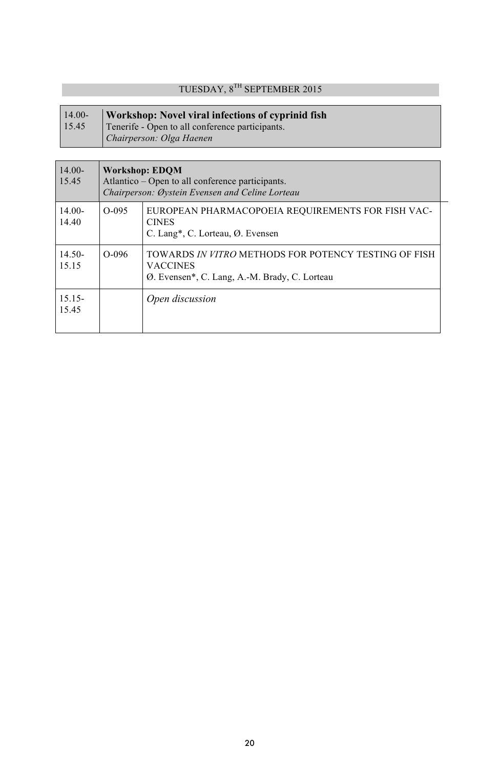| $14.00-$ | Workshop: Novel viral infections of cyprinid fish |
|----------|---------------------------------------------------|
| 15.45    | Tenerife - Open to all conference participants.   |
|          | Chairperson: Olga Haenen                          |

| $14.00-$<br>15.45  | <b>Workshop: EDOM</b><br>Atlantico – Open to all conference participants.<br>Chairperson: Øystein Evensen and Celine Lorteau |                                                                                                                          |
|--------------------|------------------------------------------------------------------------------------------------------------------------------|--------------------------------------------------------------------------------------------------------------------------|
| $14.00-$<br>14.40  | $O-095$                                                                                                                      | EUROPEAN PHARMACOPOEIA REQUIREMENTS FOR FISH VAC-<br><b>CINES</b><br>C. Lang*, C. Lorteau, Ø. Evensen                    |
| $14.50-$<br>15.15  | $O-0.96$                                                                                                                     | TOWARDS IN VITRO METHODS FOR POTENCY TESTING OF FISH<br><b>VACCINES</b><br>Ø. Evensen*, C. Lang, A.-M. Brady, C. Lorteau |
| $15.15 -$<br>15.45 |                                                                                                                              | Open discussion                                                                                                          |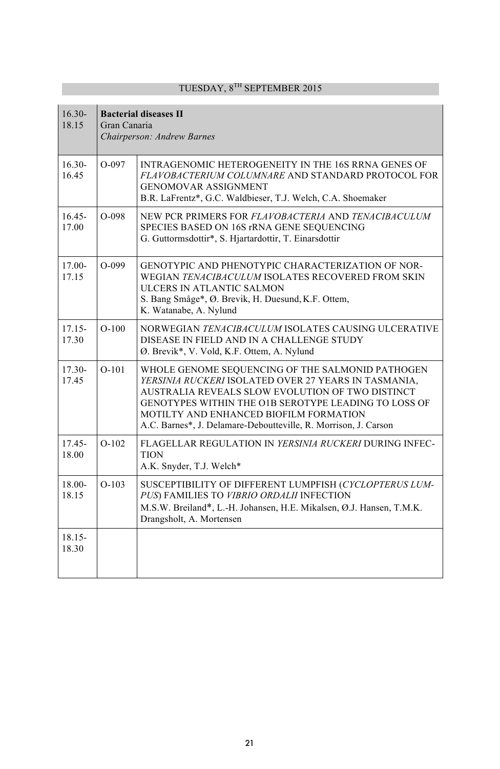| $16.30 -$<br>18.15 | <b>Bacterial diseases II</b><br>Gran Canaria<br>Chairperson: Andrew Barnes |                                                                                                                                                                                                                                                                                                                                   |
|--------------------|----------------------------------------------------------------------------|-----------------------------------------------------------------------------------------------------------------------------------------------------------------------------------------------------------------------------------------------------------------------------------------------------------------------------------|
| $16.30-$<br>16.45  | $O-097$                                                                    | <b>INTRAGENOMIC HETEROGENEITY IN THE 16S RRNA GENES OF</b><br>FLAVOBACTERIUM COLUMNARE AND STANDARD PROTOCOL FOR<br><b>GENOMOVAR ASSIGNMENT</b><br>B.R. LaFrentz*, G.C. Waldbieser, T.J. Welch, C.A. Shoemaker                                                                                                                    |
| $16.45 -$<br>17.00 | $O-098$                                                                    | NEW PCR PRIMERS FOR FLAVOBACTERIA AND TENACIBACULUM<br>SPECIES BASED ON 16S rRNA GENE SEQUENCING<br>G. Guttormsdottir*, S. Hjartardottir, T. Einarsdottir                                                                                                                                                                         |
| 17.00-<br>17.15    | $O-099$                                                                    | GENOTYPIC AND PHENOTYPIC CHARACTERIZATION OF NOR-<br>WEGIAN TENACIBACULUM ISOLATES RECOVERED FROM SKIN<br>ULCERS IN ATLANTIC SALMON<br>S. Bang Småge*, Ø. Brevik, H. Duesund, K.F. Ottem,<br>K. Watanabe, A. Nylund                                                                                                               |
| $17.15 -$<br>17.30 | $O-100$                                                                    | NORWEGIAN TENACIBACULUM ISOLATES CAUSING ULCERATIVE<br>DISEASE IN FIELD AND IN A CHALLENGE STUDY<br>Ø. Brevik*, V. Vold, K.F. Ottem, A. Nylund                                                                                                                                                                                    |
| $17.30 -$<br>17.45 | $O-101$                                                                    | WHOLE GENOME SEQUENCING OF THE SALMONID PATHOGEN<br>YERSINIA RUCKERI ISOLATED OVER 27 YEARS IN TASMANIA,<br>AUSTRALIA REVEALS SLOW EVOLUTION OF TWO DISTINCT<br>GENOTYPES WITHIN THE O1B SEROTYPE LEADING TO LOSS OF<br>MOTILTY AND ENHANCED BIOFILM FORMATION<br>A.C. Barnes*, J. Delamare-Deboutteville, R. Morrison, J. Carson |
| $17.45 -$<br>18.00 | $O-102$                                                                    | FLAGELLAR REGULATION IN YERSINIA RUCKERI DURING INFEC-<br><b>TION</b><br>A.K. Snyder, T.J. Welch*                                                                                                                                                                                                                                 |
| 18.00-<br>18.15    | $O-103$                                                                    | SUSCEPTIBILITY OF DIFFERENT LUMPFISH (CYCLOPTERUS LUM-<br>PUS) FAMILIES TO VIBRIO ORDALII INFECTION<br>M.S.W. Breiland*, L.-H. Johansen, H.E. Mikalsen, Ø.J. Hansen, T.M.K.<br>Drangsholt, A. Mortensen                                                                                                                           |
| $18.15 -$<br>18.30 |                                                                            |                                                                                                                                                                                                                                                                                                                                   |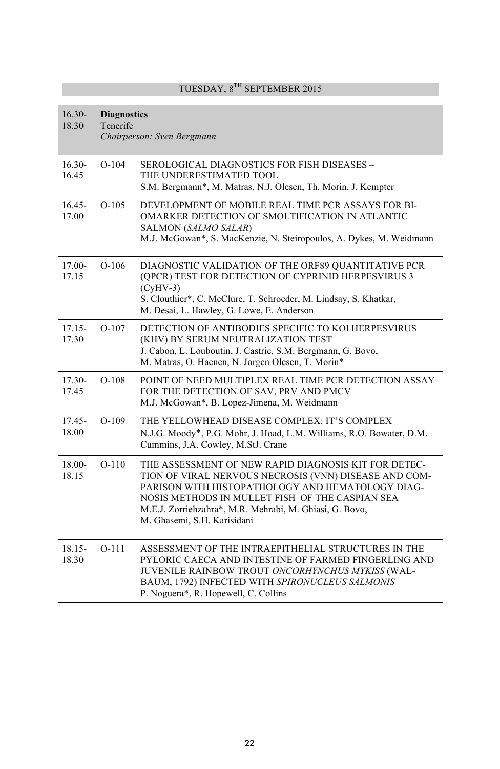| $16.30 -$<br>18.30 | <b>Diagnostics</b><br>Tenerife<br>Chairperson: Sven Bergmann |                                                                                                                                                                                                                                                                                                                |
|--------------------|--------------------------------------------------------------|----------------------------------------------------------------------------------------------------------------------------------------------------------------------------------------------------------------------------------------------------------------------------------------------------------------|
| $16.30-$<br>16.45  | $O-104$                                                      | SEROLOGICAL DIAGNOSTICS FOR FISH DISEASES –<br>THE UNDERESTIMATED TOOL<br>S.M. Bergmann*, M. Matras, N.J. Olesen, Th. Morin, J. Kempter                                                                                                                                                                        |
| $16.45 -$<br>17.00 | $O-105$                                                      | DEVELOPMENT OF MOBILE REAL TIME PCR ASSAYS FOR BI-<br>OMARKER DETECTION OF SMOLTIFICATION IN ATLANTIC<br>SALMON (SALMO SALAR)<br>M.J. McGowan*, S. MacKenzie, N. Steiropoulos, A. Dykes, M. Weidmann                                                                                                           |
| 17.00-<br>17.15    | $O-106$                                                      | DIAGNOSTIC VALIDATION OF THE ORF89 QUANTITATIVE PCR<br>(QPCR) TEST FOR DETECTION OF CYPRINID HERPESVIRUS 3<br>$(CvHV-3)$<br>S. Clouthier*, C. McClure, T. Schroeder, M. Lindsay, S. Khatkar,<br>M. Desai, L. Hawley, G. Lowe, E. Anderson                                                                      |
| $17.15 -$<br>17.30 | $O-107$                                                      | DETECTION OF ANTIBODIES SPECIFIC TO KOI HERPESVIRUS<br>(KHV) BY SERUM NEUTRALIZATION TEST<br>J. Cabon, L. Louboutin, J. Castric, S.M. Bergmann, G. Bovo,<br>M. Matras, O. Haenen, N. Jorgen Olesen, T. Morin*                                                                                                  |
| 17.30-<br>17.45    | $O-108$                                                      | POINT OF NEED MULTIPLEX REAL TIME PCR DETECTION ASSAY<br>FOR THE DETECTION OF SAV, PRV AND PMCV<br>M.J. McGowan*, B. Lopez-Jimena, M. Weidmann                                                                                                                                                                 |
| $17.45 -$<br>18.00 | $O-109$                                                      | THE YELLOWHEAD DISEASE COMPLEX: IT'S COMPLEX<br>N.J.G. Moody*, P.G. Mohr, J. Hoad, L.M. Williams, R.O. Bowater, D.M.<br>Cummins, J.A. Cowley, M.StJ. Crane                                                                                                                                                     |
| 18.00-<br>18.15    | $O-110$                                                      | THE ASSESSMENT OF NEW RAPID DIAGNOSIS KIT FOR DETEC-<br>TION OF VIRAL NERVOUS NECROSIS (VNN) DISEASE AND COM-<br>PARISON WITH HISTOPATHOLOGY AND HEMATOLOGY DIAG-<br>NOSIS METHODS IN MULLET FISH OF THE CASPIAN SEA<br>M.E.J. Zorriehzahra*, M.R. Mehrabi, M. Ghiasi, G. Bovo,<br>M. Ghasemi, S.H. Karisidani |
| 18.15-<br>18.30    | $O-111$                                                      | ASSESSMENT OF THE INTRAEPITHELIAL STRUCTURES IN THE<br>PYLORIC CAECA AND INTESTINE OF FARMED FINGERLING AND<br>JUVENILE RAINBOW TROUT ONCORHYNCHUS MYKISS (WAL-<br>BAUM, 1792) INFECTED WITH SPIRONUCLEUS SALMONIS<br>P. Noguera*, R. Hopewell, C. Collins                                                     |

 $\overline{\phantom{a}}$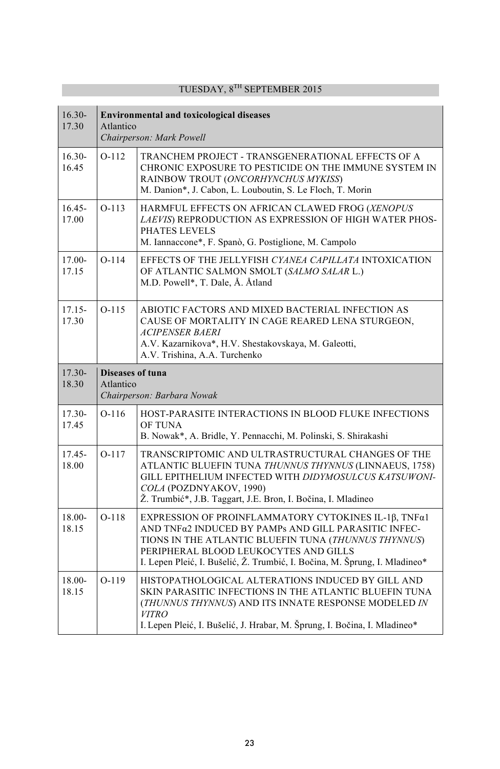| $16.30 -$<br>17.30 | <b>Environmental and toxicological diseases</b><br>Atlantico<br>Chairperson: Mark Powell |                                                                                                                                                                                                                                                                                             |
|--------------------|------------------------------------------------------------------------------------------|---------------------------------------------------------------------------------------------------------------------------------------------------------------------------------------------------------------------------------------------------------------------------------------------|
| $16.30-$<br>16.45  | $O-112$                                                                                  | TRANCHEM PROJECT - TRANSGENERATIONAL EFFECTS OF A<br>CHRONIC EXPOSURE TO PESTICIDE ON THE IMMUNE SYSTEM IN<br>RAINBOW TROUT (ONCORHYNCHUS MYKISS)<br>M. Danion*, J. Cabon, L. Louboutin, S. Le Floch, T. Morin                                                                              |
| $16.45 -$<br>17.00 | $O-113$                                                                                  | HARMFUL EFFECTS ON AFRICAN CLAWED FROG (XENOPUS<br>LAEVIS) REPRODUCTION AS EXPRESSION OF HIGH WATER PHOS-<br>PHATES LEVELS<br>M. Iannaccone*, F. Spanò, G. Postiglione, M. Campolo                                                                                                          |
| $17.00 -$<br>17.15 | $O-114$                                                                                  | EFFECTS OF THE JELLYFISH CYANEA CAPILLATA INTOXICATION<br>OF ATLANTIC SALMON SMOLT (SALMO SALAR L.)<br>M.D. Powell*, T. Dale, Å. Åtland                                                                                                                                                     |
| $17.15 -$<br>17.30 | $O-115$                                                                                  | ABIOTIC FACTORS AND MIXED BACTERIAL INFECTION AS<br>CAUSE OF MORTALITY IN CAGE REARED LENA STURGEON,<br><i>ACIPENSER BAERI</i><br>A.V. Kazarnikova*, H.V. Shestakovskaya, M. Galeotti,<br>A.V. Trishina, A.A. Turchenko                                                                     |
| $17.30-$<br>18.30  | <b>Diseases of tuna</b><br>Atlantico<br>Chairperson: Barbara Nowak                       |                                                                                                                                                                                                                                                                                             |
| 17.30-<br>17.45    | $O-116$                                                                                  | HOST-PARASITE INTERACTIONS IN BLOOD FLUKE INFECTIONS<br><b>OF TUNA</b><br>B. Nowak*, A. Bridle, Y. Pennacchi, M. Polinski, S. Shirakashi                                                                                                                                                    |
| 17.45-<br>18.00    | $O-117$                                                                                  | TRANSCRIPTOMIC AND ULTRASTRUCTURAL CHANGES OF THE<br>ATLANTIC BLUEFIN TUNA THUNNUS THYNNUS (LINNAEUS, 1758)<br>GILL EPITHELIUM INFECTED WITH DIDYMOSULCUS KATSUWONI-<br>COLA (POZDNYAKOV, 1990)<br>Ž. Trumbić*, J.B. Taggart, J.E. Bron, I. Bočina, I. Mladineo                             |
| 18.00-<br>18.15    | $O-118$                                                                                  | EXPRESSION OF PROINFLAMMATORY CYTOKINES IL-1β, TNFα1<br>AND TNFα2 INDUCED BY PAMPs AND GILL PARASITIC INFEC-<br>TIONS IN THE ATLANTIC BLUEFIN TUNA (THUNNUS THYNNUS)<br>PERIPHERAL BLOOD LEUKOCYTES AND GILLS<br>I. Lepen Pleić, I. Bušelić, Ž. Trumbić, I. Bočina, M. Šprung, I. Mladineo* |
| 18.00-<br>18.15    | $O-119$                                                                                  | HISTOPATHOLOGICAL ALTERATIONS INDUCED BY GILL AND<br>SKIN PARASITIC INFECTIONS IN THE ATLANTIC BLUEFIN TUNA<br>(THUNNUS THYNNUS) AND ITS INNATE RESPONSE MODELED IN<br><b>VITRO</b><br>I. Lepen Pleić, I. Bušelić, J. Hrabar, M. Šprung, I. Bočina, I. Mladineo*                            |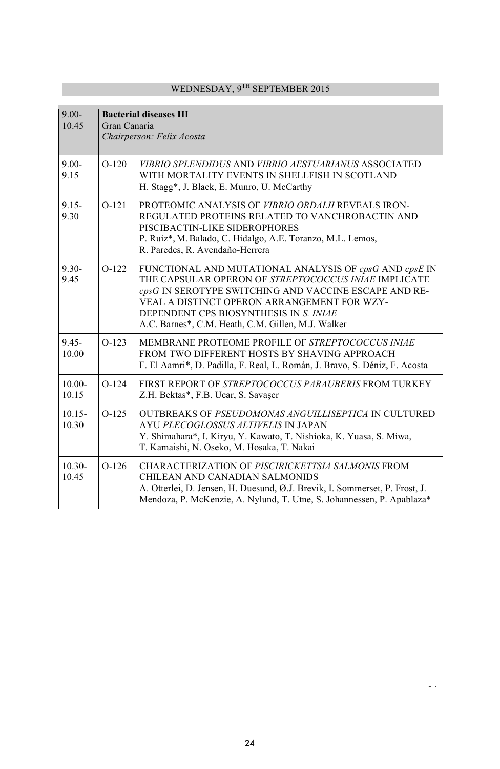| $9.00 -$<br>10.45  | <b>Bacterial diseases III</b><br>Gran Canaria<br>Chairperson: Felix Acosta |                                                                                                                                                                                                                                                                                                                        |
|--------------------|----------------------------------------------------------------------------|------------------------------------------------------------------------------------------------------------------------------------------------------------------------------------------------------------------------------------------------------------------------------------------------------------------------|
| $9.00 -$<br>9.15   | $O-120$                                                                    | <i>VIBRIO SPLENDIDUS AND VIBRIO AESTUARIANUS ASSOCIATED</i><br>WITH MORTALITY EVENTS IN SHELLFISH IN SCOTLAND<br>H. Stagg*, J. Black, E. Munro, U. McCarthy                                                                                                                                                            |
| $9.15 -$<br>9.30   | $O-121$                                                                    | PROTEOMIC ANALYSIS OF VIBRIO ORDALII REVEALS IRON-<br>REGULATED PROTEINS RELATED TO VANCHROBACTIN AND<br>PISCIBACTIN-LIKE SIDEROPHORES<br>P. Ruiz*, M. Balado, C. Hidalgo, A.E. Toranzo, M.L. Lemos,<br>R. Paredes, R. Avendaño-Herrera                                                                                |
| $9.30 -$<br>9.45   | $O-122$                                                                    | FUNCTIONAL AND MUTATIONAL ANALYSIS OF cpsG AND cpsE IN<br>THE CAPSULAR OPERON OF STREPTOCOCCUS INIAE IMPLICATE<br>cpsG IN SEROTYPE SWITCHING AND VACCINE ESCAPE AND RE-<br>VEAL A DISTINCT OPERON ARRANGEMENT FOR WZY-<br>DEPENDENT CPS BIOSYNTHESIS IN S. INIAE<br>A.C. Barnes*, C.M. Heath, C.M. Gillen, M.J. Walker |
| $9.45 -$<br>10.00  | $O-123$                                                                    | MEMBRANE PROTEOME PROFILE OF STREPTOCOCCUS INIAE<br>FROM TWO DIFFERENT HOSTS BY SHAVING APPROACH<br>F. El Aamri <sup>*</sup> , D. Padilla, F. Real, L. Román, J. Bravo, S. Déniz, F. Acosta                                                                                                                            |
| $10.00 -$<br>10.15 | $O-124$                                                                    | FIRST REPORT OF STREPTOCOCCUS PARAUBERIS FROM TURKEY<br>Z.H. Bektas*, F.B. Ucar, S. Savaşer                                                                                                                                                                                                                            |
| $10.15 -$<br>10.30 | $O-125$                                                                    | <b>OUTBREAKS OF PSEUDOMONAS ANGUILLISEPTICA IN CULTURED</b><br>AYU PLECOGLOSSUS ALTIVELIS IN JAPAN<br>Y. Shimahara*, I. Kiryu, Y. Kawato, T. Nishioka, K. Yuasa, S. Miwa,<br>T. Kamaishi, N. Oseko, M. Hosaka, T. Nakai                                                                                                |
| $10.30 -$<br>10.45 | $O-126$                                                                    | CHARACTERIZATION OF PISCIRICKETTSIA SALMONIS FROM<br>CHILEAN AND CANADIAN SALMONIDS<br>A. Otterlei, D. Jensen, H. Duesund, Ø.J. Brevik, I. Sommerset, P. Frost, J.<br>Mendoza, P. McKenzie, A. Nylund, T. Utne, S. Johannessen, P. Apablaza*                                                                           |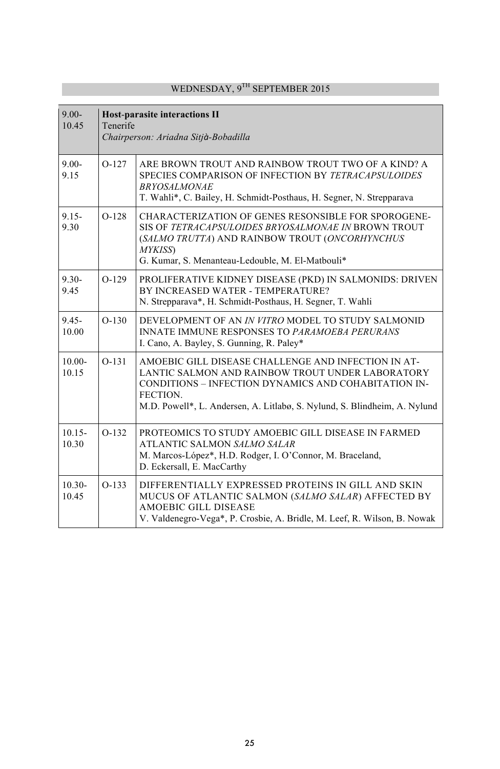| $9.00 -$<br>10.45  | <b>Host-parasite interactions II</b><br>Tenerife<br>Chairperson: Ariadna Sitjà-Bobadilla |                                                                                                                                                                                                                                                          |
|--------------------|------------------------------------------------------------------------------------------|----------------------------------------------------------------------------------------------------------------------------------------------------------------------------------------------------------------------------------------------------------|
| $9.00 -$<br>9.15   | $O-127$                                                                                  | ARE BROWN TROUT AND RAINBOW TROUT TWO OF A KIND? A<br>SPECIES COMPARISON OF INFECTION BY TETRACAPSULOIDES<br><b>BRYOSALMONAE</b><br>T. Wahli*, C. Bailey, H. Schmidt-Posthaus, H. Segner, N. Strepparava                                                 |
| $9.15 -$<br>9.30   | $O-128$                                                                                  | CHARACTERIZATION OF GENES RESONSIBLE FOR SPOROGENE-<br>SIS OF TETRACAPSULOIDES BRYOSALMONAE IN BROWN TROUT<br>(SALMO TRUTTA) AND RAINBOW TROUT (ONCORHYNCHUS<br>MYKISS)<br>G. Kumar, S. Menanteau-Ledouble, M. El-Matbouli*                              |
| $9.30 -$<br>9.45   | $O-129$                                                                                  | PROLIFERATIVE KIDNEY DISEASE (PKD) IN SALMONIDS: DRIVEN<br>BY INCREASED WATER - TEMPERATURE?<br>N. Strepparava*, H. Schmidt-Posthaus, H. Segner, T. Wahli                                                                                                |
| $9.45 -$<br>10.00  | $O-130$                                                                                  | DEVELOPMENT OF AN IN VITRO MODEL TO STUDY SALMONID<br><b>INNATE IMMUNE RESPONSES TO PARAMOEBA PERURANS</b><br>I. Cano, A. Bayley, S. Gunning, R. Paley*                                                                                                  |
| $10.00 -$<br>10.15 | $O-131$                                                                                  | AMOEBIC GILL DISEASE CHALLENGE AND INFECTION IN AT-<br>LANTIC SALMON AND RAINBOW TROUT UNDER LABORATORY<br>CONDITIONS - INFECTION DYNAMICS AND COHABITATION IN-<br>FECTION.<br>M.D. Powell*, L. Andersen, A. Litlabø, S. Nylund, S. Blindheim, A. Nylund |
| $10.15 -$<br>10.30 | $O-132$                                                                                  | PROTEOMICS TO STUDY AMOEBIC GILL DISEASE IN FARMED<br>ATLANTIC SALMON SALMO SALAR<br>M. Marcos-López*, H.D. Rodger, I. O'Connor, M. Braceland,<br>D. Eckersall, E. MacCarthy                                                                             |
| $10.30 -$<br>10.45 | $O-133$                                                                                  | DIFFERENTIALLY EXPRESSED PROTEINS IN GILL AND SKIN<br>MUCUS OF ATLANTIC SALMON (SALMO SALAR) AFFECTED BY<br><b>AMOEBIC GILL DISEASE</b><br>V. Valdenegro-Vega*, P. Crosbie, A. Bridle, M. Leef, R. Wilson, B. Nowak                                      |

T.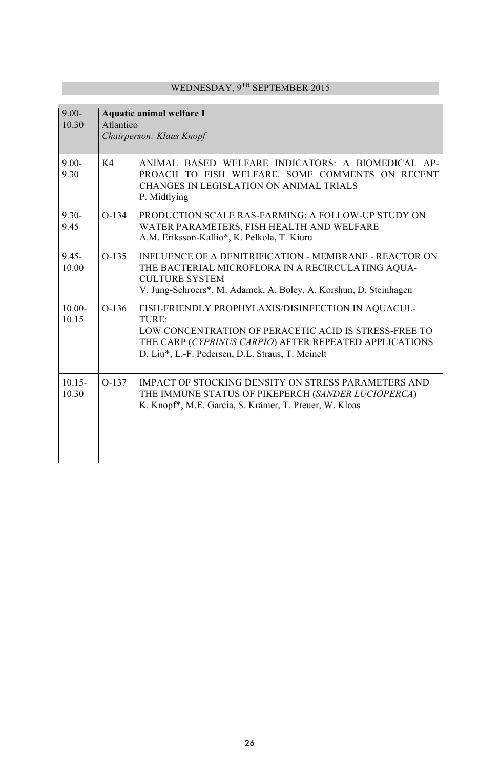| $9.00 -$<br>10.30  | Aquatic animal welfare I<br>Atlantico<br>Chairperson: Klaus Knopf |                                                                                                                                                                                                                                    |
|--------------------|-------------------------------------------------------------------|------------------------------------------------------------------------------------------------------------------------------------------------------------------------------------------------------------------------------------|
| $9.00 -$<br>9.30   | K4                                                                | ANIMAL BASED WELFARE INDICATORS: A BIOMEDICAL AP-<br>PROACH TO FISH WELFARE. SOME COMMENTS ON RECENT<br>CHANGES IN LEGISLATION ON ANIMAL TRIALS<br>P. Midtlying                                                                    |
| $9.30 -$<br>9.45   | $O-134$                                                           | <b>PRODUCTION SCALE RAS-FARMING: A FOLLOW-UP STUDY ON</b><br>WATER PARAMETERS, FISH HEALTH AND WELFARE<br>A.M. Eriksson-Kallio*, K. Pelkola, T. Kiuru                                                                              |
| $9.45 -$<br>10.00  | $O-135$                                                           | INFLUENCE OF A DENITRIFICATION - MEMBRANE - REACTOR ON<br>THE BACTERIAL MICROFLORA IN A RECIRCULATING AQUA-<br><b>CULTURE SYSTEM</b><br>V. Jung-Schroers*, M. Adamek, A. Boley, A. Korshun, D. Steinhagen                          |
| $10.00 -$<br>10.15 | $O-136$                                                           | FISH-FRIENDLY PROPHYLAXIS/DISINFECTION IN AQUACUL-<br>TURE:<br>LOW CONCENTRATION OF PERACETIC ACID IS STRESS-FREE TO<br>THE CARP (CYPRINUS CARPIO) AFTER REPEATED APPLICATIONS<br>D. Liu*, L.-F. Pedersen, D.L. Straus, T. Meinelt |
| $10.15 -$<br>10.30 | $0-137$                                                           | <b>IMPACT OF STOCKING DENSITY ON STRESS PARAMETERS AND</b><br>THE IMMUNE STATUS OF PIKEPERCH (SANDER LUCIOPERCA)<br>K. Knopf*, M.E. Garcia, S. Krämer, T. Preuer, W. Kloas                                                         |
|                    |                                                                   |                                                                                                                                                                                                                                    |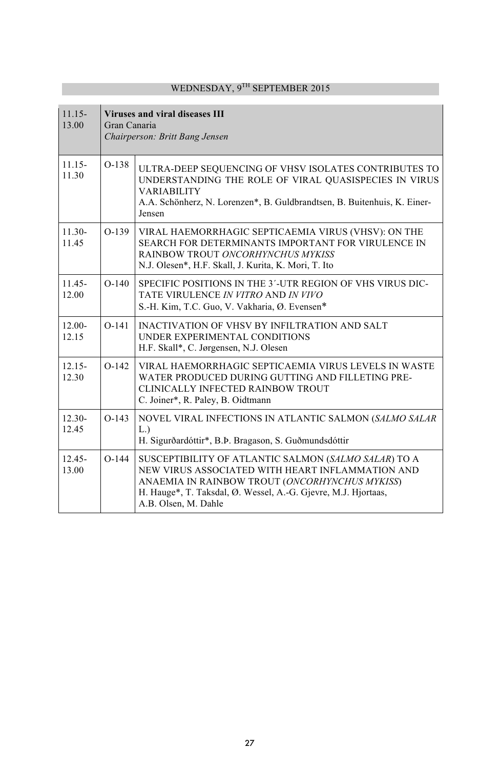| $11.15 -$<br>13.00 | Viruses and viral diseases III<br>Gran Canaria<br>Chairperson: Britt Bang Jensen |                                                                                                                                                                                                                                                      |
|--------------------|----------------------------------------------------------------------------------|------------------------------------------------------------------------------------------------------------------------------------------------------------------------------------------------------------------------------------------------------|
| $11.15 -$<br>11.30 | $O-138$                                                                          | ULTRA-DEEP SEQUENCING OF VHSV ISOLATES CONTRIBUTES TO<br>UNDERSTANDING THE ROLE OF VIRAL QUASISPECIES IN VIRUS<br><b>VARIABILITY</b><br>A.A. Schönherz, N. Lorenzen*, B. Guldbrandtsen, B. Buitenhuis, K. Einer-<br>Jensen                           |
| $11.30-$<br>11.45  | $O-139$                                                                          | VIRAL HAEMORRHAGIC SEPTICAEMIA VIRUS (VHSV): ON THE<br>SEARCH FOR DETERMINANTS IMPORTANT FOR VIRULENCE IN<br>RAINBOW TROUT ONCORHYNCHUS MYKISS<br>N.J. Olesen*, H.F. Skall, J. Kurita, K. Mori, T. Ito                                               |
| $11.45 -$<br>12.00 | $O-140$                                                                          | SPECIFIC POSITIONS IN THE 3'-UTR REGION OF VHS VIRUS DIC-<br>TATE VIRULENCE IN VITRO AND IN VIVO<br>S.-H. Kim, T.C. Guo, V. Vakharia, Ø. Evensen*                                                                                                    |
| $12.00 -$<br>12.15 | $O-141$                                                                          | INACTIVATION OF VHSV BY INFILTRATION AND SALT<br>UNDER EXPERIMENTAL CONDITIONS<br>H.F. Skall*, C. Jørgensen, N.J. Olesen                                                                                                                             |
| $12.15 -$<br>12.30 | $O-142$                                                                          | VIRAL HAEMORRHAGIC SEPTICAEMIA VIRUS LEVELS IN WASTE<br>WATER PRODUCED DURING GUTTING AND FILLETING PRE-<br>CLINICALLY INFECTED RAINBOW TROUT<br>C. Joiner*, R. Paley, B. Oidtmann                                                                   |
| $12.30 -$<br>12.45 | $O-143$                                                                          | NOVEL VIRAL INFECTIONS IN ATLANTIC SALMON (SALMO SALAR<br>L.<br>H. Sigurðardóttir*, B.Þ. Bragason, S. Guðmundsdóttir                                                                                                                                 |
| $12.45 -$<br>13.00 | $O-144$                                                                          | SUSCEPTIBILITY OF ATLANTIC SALMON (SALMO SALAR) TO A<br>NEW VIRUS ASSOCIATED WITH HEART INFLAMMATION AND<br>ANAEMIA IN RAINBOW TROUT (ONCORHYNCHUS MYKISS)<br>H. Hauge*, T. Taksdal, Ø. Wessel, A.-G. Gjevre, M.J. Hjortaas,<br>A.B. Olsen, M. Dahle |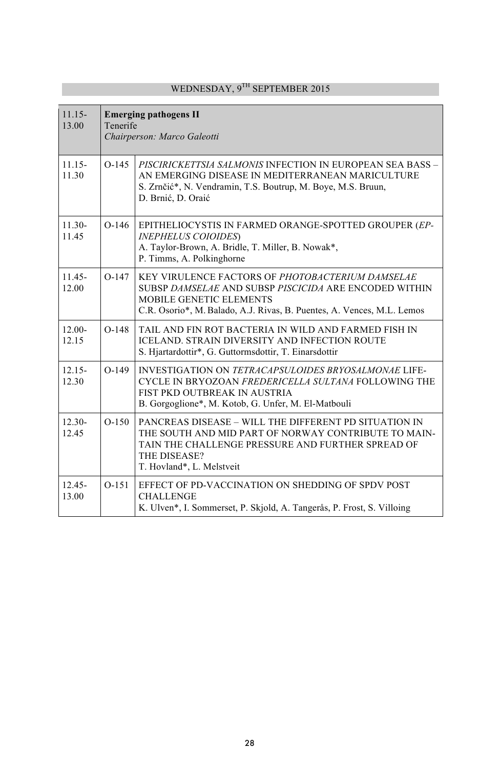T.

| $11.15 -$<br>13.00 | <b>Emerging pathogens II</b><br>Tenerife<br>Chairperson: Marco Galeotti |                                                                                                                                                                                                                 |
|--------------------|-------------------------------------------------------------------------|-----------------------------------------------------------------------------------------------------------------------------------------------------------------------------------------------------------------|
| $11.15 -$<br>11.30 | $O-145$                                                                 | PISCIRICKETTSIA SALMONIS INFECTION IN EUROPEAN SEA BASS -<br>AN EMERGING DISEASE IN MEDITERRANEAN MARICULTURE<br>S. Zrnčić*, N. Vendramin, T.S. Boutrup, M. Boye, M.S. Bruun,<br>D. Brnić, D. Oraić             |
| $11.30-$<br>11.45  | $O-146$                                                                 | EPITHELIOCYSTIS IN FARMED ORANGE-SPOTTED GROUPER (EP-<br><b>INEPHELUS COIOIDES</b> )<br>A. Taylor-Brown, A. Bridle, T. Miller, B. Nowak*,<br>P. Timms, A. Polkinghorne                                          |
| $11.45 -$<br>12.00 | $O-147$                                                                 | KEY VIRULENCE FACTORS OF PHOTOBACTERIUM DAMSELAE<br>SUBSP DAMSELAE AND SUBSP PISCICIDA ARE ENCODED WITHIN<br>MOBILE GENETIC ELEMENTS<br>C.R. Osorio*, M. Balado, A.J. Rivas, B. Puentes, A. Vences, M.L. Lemos  |
| $12.00 -$<br>12.15 | $O-148$                                                                 | TAIL AND FIN ROT BACTERIA IN WILD AND FARMED FISH IN<br><b>ICELAND. STRAIN DIVERSITY AND INFECTION ROUTE</b><br>S. Hjartardottir*, G. Guttormsdottir, T. Einarsdottir                                           |
| $12.15 -$<br>12.30 | $O-149$                                                                 | INVESTIGATION ON TETRACAPSULOIDES BRYOSALMONAE LIFE-<br>CYCLE IN BRYOZOAN FREDERICELLA SULTANA FOLLOWING THE<br>FIST PKD OUTBREAK IN AUSTRIA<br>B. Gorgoglione*, M. Kotob, G. Unfer, M. El-Matbouli             |
| $12.30 -$<br>12.45 | $O-150$                                                                 | PANCREAS DISEASE – WILL THE DIFFERENT PD SITUATION IN<br>THE SOUTH AND MID PART OF NORWAY CONTRIBUTE TO MAIN-<br>TAIN THE CHALLENGE PRESSURE AND FURTHER SPREAD OF<br>THE DISEASE?<br>T. Hovland*, L. Melstveit |
| $12.45 -$<br>13.00 | $O-151$                                                                 | EFFECT OF PD-VACCINATION ON SHEDDING OF SPDV POST<br><b>CHALLENGE</b><br>K. Ulven*, I. Sommerset, P. Skjold, A. Tangerås, P. Frost, S. Villoing                                                                 |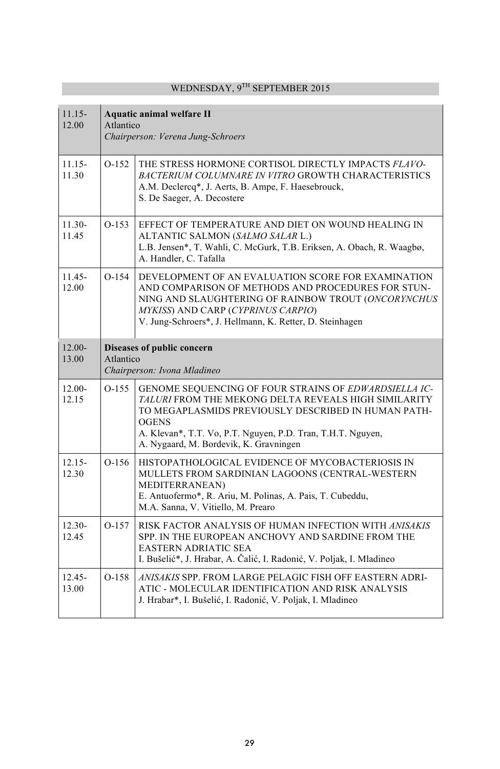| $11.15 -$<br>12.00 | Aquatic animal welfare II<br>Atlantico<br>Chairperson: Verena Jung-Schroers |                                                                                                                                                                                                                                                                                               |
|--------------------|-----------------------------------------------------------------------------|-----------------------------------------------------------------------------------------------------------------------------------------------------------------------------------------------------------------------------------------------------------------------------------------------|
| $11.15 -$<br>11.30 | $O-152$                                                                     | THE STRESS HORMONE CORTISOL DIRECTLY IMPACTS FLAVO-<br><b>BACTERIUM COLUMNARE IN VITRO GROWTH CHARACTERISTICS</b><br>A.M. Declercq*, J. Aerts, B. Ampe, F. Haesebrouck,<br>S. De Saeger, A. Decostere                                                                                         |
| $11.30 -$<br>11.45 | $O-153$                                                                     | EFFECT OF TEMPERATURE AND DIET ON WOUND HEALING IN<br>ALTANTIC SALMON (SALMO SALAR L.)<br>L.B. Jensen*, T. Wahli, C. McGurk, T.B. Eriksen, A. Obach, R. Waagbø,<br>A. Handler, C. Tafalla                                                                                                     |
| $11.45 -$<br>12.00 | $O-154$                                                                     | DEVELOPMENT OF AN EVALUATION SCORE FOR EXAMINATION<br>AND COMPARISON OF METHODS AND PROCEDURES FOR STUN-<br>NING AND SLAUGHTERING OF RAINBOW TROUT (ONCORYNCHUS<br>MYKISS) AND CARP (CYPRINUS CARPIO)<br>V. Jung-Schroers*, J. Hellmann, K. Retter, D. Steinhagen                             |
| $12.00 -$<br>13.00 | Atlantico                                                                   | Diseases of public concern<br>Chairperson: Ivona Mladineo                                                                                                                                                                                                                                     |
| $12.00 -$<br>12.15 | $O-155$                                                                     | GENOME SEQUENCING OF FOUR STRAINS OF EDWARDSIELLA IC-<br>TALURI FROM THE MEKONG DELTA REVEALS HIGH SIMILARITY<br>TO MEGAPLASMIDS PREVIOUSLY DESCRIBED IN HUMAN PATH-<br><b>OGENS</b><br>A. Klevan*, T.T. Vo, P.T. Nguyen, P.D. Tran, T.H.T. Nguyen,<br>A. Nygaard, M. Bordevik, K. Gravningen |
| $12.15 -$<br>12.30 | $O-156$                                                                     | HISTOPATHOLOGICAL EVIDENCE OF MYCOBACTERIOSIS IN<br>MULLETS FROM SARDINIAN LAGOONS (CENTRAL-WESTERN<br><b>MEDITERRANEAN</b> )<br>E. Antuofermo*, R. Ariu, M. Polinas, A. Pais, T. Cubeddu,<br>M.A. Sanna, V. Vitiello, M. Prearo                                                              |
| $12.30 -$<br>12.45 | $O-157$                                                                     | RISK FACTOR ANALYSIS OF HUMAN INFECTION WITH ANISAKIS<br>SPP. IN THE EUROPEAN ANCHOVY AND SARDINE FROM THE<br><b>EASTERN ADRIATIC SEA</b><br>I. Bušelić*, J. Hrabar, A. Čalić, I. Radonić, V. Poljak, I. Mladineo                                                                             |
| $12.45 -$<br>13.00 | $O-158$                                                                     | ANISAKIS SPP. FROM LARGE PELAGIC FISH OFF EASTERN ADRI-<br>ATIC - MOLECULAR IDENTIFICATION AND RISK ANALYSIS<br>J. Hrabar*, I. Bušelić, I. Radonić, V. Poljak, I. Mladineo                                                                                                                    |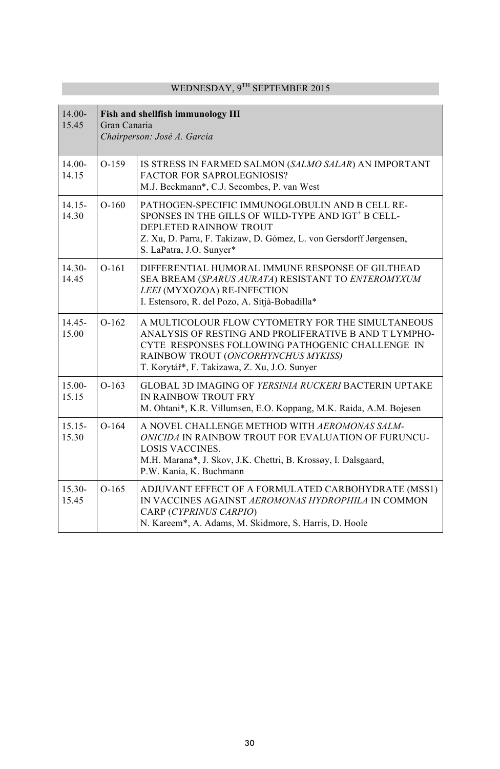| $14.00 -$<br>15.45 | Fish and shellfish immunology III<br>Gran Canaria<br>Chairperson: José A. Garcia |                                                                                                                                                                                                                                                       |
|--------------------|----------------------------------------------------------------------------------|-------------------------------------------------------------------------------------------------------------------------------------------------------------------------------------------------------------------------------------------------------|
| $14.00 -$<br>14.15 | $O-159$                                                                          | IS STRESS IN FARMED SALMON (SALMO SALAR) AN IMPORTANT<br><b>FACTOR FOR SAPROLEGNIOSIS?</b><br>M.J. Beckmann*, C.J. Secombes, P. van West                                                                                                              |
| $14.15 -$<br>14.30 | $O-160$                                                                          | PATHOGEN-SPECIFIC IMMUNOGLOBULIN AND B CELL RE-<br>SPONSES IN THE GILLS OF WILD-TYPE AND IGT <sup>+</sup> B CELL-<br>DEPLETED RAINBOW TROUT<br>Z. Xu, D. Parra, F. Takizaw, D. Gómez, L. von Gersdorff Jørgensen,<br>S. LaPatra, J.O. Sunyer*         |
| $14.30 -$<br>14.45 | $O-161$                                                                          | DIFFERENTIAL HUMORAL IMMUNE RESPONSE OF GILTHEAD<br>SEA BREAM (SPARUS AURATA) RESISTANT TO ENTEROMYXUM<br>LEEI (MYXOZOA) RE-INFECTION<br>I. Estensoro, R. del Pozo, A. Sitjà-Bobadilla*                                                               |
| $14.45 -$<br>15.00 | $O-162$                                                                          | A MULTICOLOUR FLOW CYTOMETRY FOR THE SIMULTANEOUS<br>ANALYSIS OF RESTING AND PROLIFERATIVE B AND T LYMPHO-<br>CYTE RESPONSES FOLLOWING PATHOGENIC CHALLENGE IN<br>RAINBOW TROUT (ONCORHYNCHUS MYKISS)<br>T. Korytář*, F. Takizawa, Z. Xu, J.O. Sunyer |
| $15.00 -$<br>15.15 | $O-163$                                                                          | <b>GLOBAL 3D IMAGING OF YERSINIA RUCKERI BACTERIN UPTAKE</b><br>IN RAINBOW TROUT FRY<br>M. Ohtani*, K.R. Villumsen, E.O. Koppang, M.K. Raida, A.M. Bojesen                                                                                            |
| $15.15-$<br>15.30  | $O-164$                                                                          | A NOVEL CHALLENGE METHOD WITH AEROMONAS SALM-<br>ONICIDA IN RAINBOW TROUT FOR EVALUATION OF FURUNCU-<br><b>LOSIS VACCINES.</b><br>M.H. Marana*, J. Skov, J.K. Chettri, B. Krossøy, I. Dalsgaard,<br>P.W. Kania, K. Buchmann                           |
| $15.30-$<br>15.45  | $O-165$                                                                          | ADJUVANT EFFECT OF A FORMULATED CARBOHYDRATE (MSS1)<br>IN VACCINES AGAINST AEROMONAS HYDROPHILA IN COMMON<br>CARP (CYPRINUS CARPIO)<br>N. Kareem*, A. Adams, M. Skidmore, S. Harris, D. Hoole                                                         |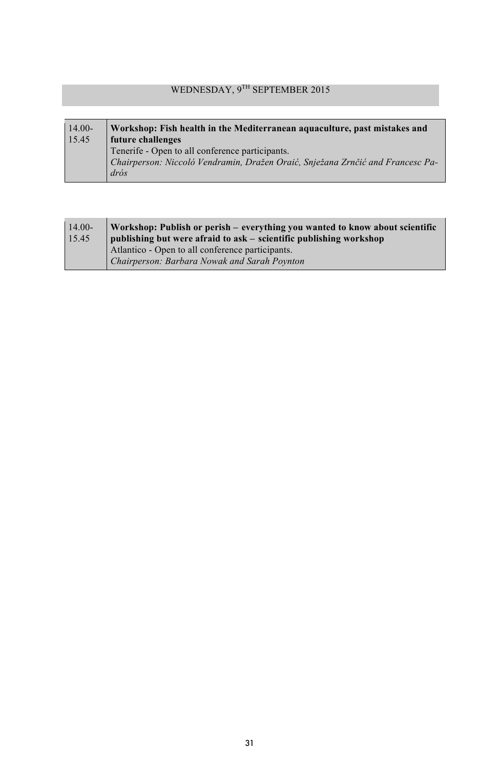#### 14.00- 15.45 **Workshop: Fish health in the Mediterranean aquaculture, past mistakes and future challenges** Tenerife - Open to all conference participants. *Chairperson: Niccoló Vendramin, Dražen Oraić, Snježana Zrnčić and Francesc Padrós*

| $14.00-$ | Workshop: Publish or perish – everything you wanted to know about scientific |
|----------|------------------------------------------------------------------------------|
| 15.45    | publishing but were afraid to ask – scientific publishing workshop           |
|          | Atlantico - Open to all conference participants.                             |
|          | Chairperson: Barbara Nowak and Sarah Poynton                                 |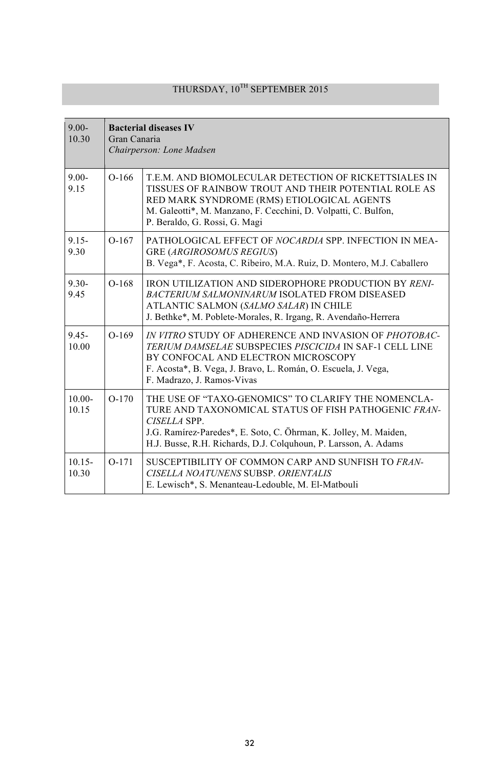# THURSDAY,  $10^{\mathrm{TH}}$  SEPTEMBER 2015

| $9.00 -$<br>10.30  | <b>Bacterial diseases IV</b><br>Gran Canaria<br>Chairperson: Lone Madsen |                                                                                                                                                                                                                                                                    |
|--------------------|--------------------------------------------------------------------------|--------------------------------------------------------------------------------------------------------------------------------------------------------------------------------------------------------------------------------------------------------------------|
| $9.00 -$<br>9.15   | $O-166$                                                                  | T.E.M. AND BIOMOLECULAR DETECTION OF RICKETTSIALES IN<br>TISSUES OF RAINBOW TROUT AND THEIR POTENTIAL ROLE AS<br>RED MARK SYNDROME (RMS) ETIOLOGICAL AGENTS<br>M. Galeotti*, M. Manzano, F. Cecchini, D. Volpatti, C. Bulfon,<br>P. Beraldo, G. Rossi, G. Magi     |
| $9.15 -$<br>9.30   | $O-167$                                                                  | PATHOLOGICAL EFFECT OF NOCARDIA SPP. INFECTION IN MEA-<br><b>GRE (ARGIROSOMUS REGIUS)</b><br>B. Vega*, F. Acosta, C. Ribeiro, M.A. Ruiz, D. Montero, M.J. Caballero                                                                                                |
| $9.30 -$<br>9.45   | $O-168$                                                                  | <b>IRON UTILIZATION AND SIDEROPHORE PRODUCTION BY RENI-</b><br><b>BACTERIUM SALMONINARUM ISOLATED FROM DISEASED</b><br>ATLANTIC SALMON (SALMO SALAR) IN CHILE<br>J. Bethke*, M. Poblete-Morales, R. Irgang, R. Avendaño-Herrera                                    |
| $9.45 -$<br>10.00  | $O-169$                                                                  | IN VITRO STUDY OF ADHERENCE AND INVASION OF PHOTOBAC-<br><b>TERIUM DAMSELAE SUBSPECIES PISCICIDA IN SAF-1 CELL LINE</b><br>BY CONFOCAL AND ELECTRON MICROSCOPY<br>F. Acosta*, B. Vega, J. Bravo, L. Román, O. Escuela, J. Vega,<br>F. Madrazo, J. Ramos-Vivas      |
| $10.00 -$<br>10.15 | $O-170$                                                                  | THE USE OF "TAXO-GENOMICS" TO CLARIFY THE NOMENCLA-<br>TURE AND TAXONOMICAL STATUS OF FISH PATHOGENIC FRAN-<br>CISELLA SPP.<br>J.G. Ramírez-Paredes*, E. Soto, C. Öhrman, K. Jolley, M. Maiden,<br>H.J. Busse, R.H. Richards, D.J. Colquhoun, P. Larsson, A. Adams |
| $10.15 -$<br>10.30 | $O-171$                                                                  | SUSCEPTIBILITY OF COMMON CARP AND SUNFISH TO FRAN-<br>CISELLA NOATUNENS SUBSP. ORIENTALIS<br>E. Lewisch*, S. Menanteau-Ledouble, M. El-Matbouli                                                                                                                    |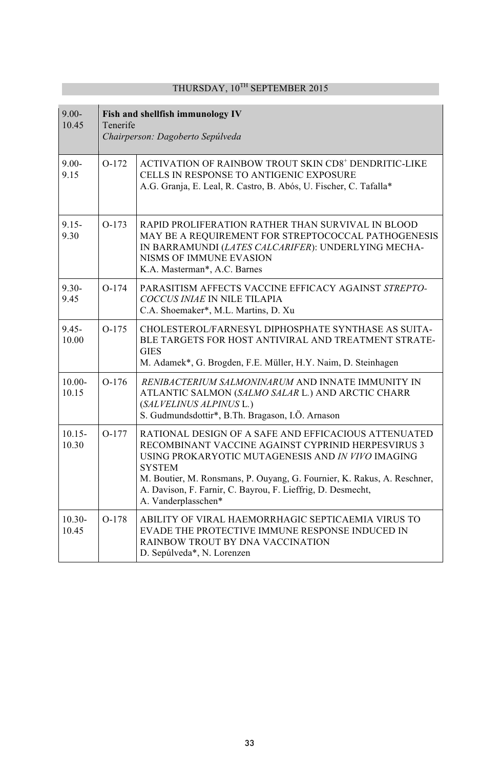| $9.00 -$<br>10.45  | Fish and shellfish immunology IV<br>Tenerife<br>Chairperson: Dagoberto Sepúlveda |                                                                                                                                                                                                                                                                                                                                                   |
|--------------------|----------------------------------------------------------------------------------|---------------------------------------------------------------------------------------------------------------------------------------------------------------------------------------------------------------------------------------------------------------------------------------------------------------------------------------------------|
| $9.00 -$<br>9.15   | $O-172$                                                                          | ACTIVATION OF RAINBOW TROUT SKIN CD8 <sup>+</sup> DENDRITIC-LIKE<br>CELLS IN RESPONSE TO ANTIGENIC EXPOSURE<br>A.G. Granja, E. Leal, R. Castro, B. Abós, U. Fischer, C. Tafalla*                                                                                                                                                                  |
| $9.15 -$<br>9.30   | $O-173$                                                                          | RAPID PROLIFERATION RATHER THAN SURVIVAL IN BLOOD<br>MAY BE A REQUIREMENT FOR STREPTOCOCCAL PATHOGENESIS<br>IN BARRAMUNDI (LATES CALCARIFER): UNDERLYING MECHA-<br>NISMS OF IMMUNE EVASION<br>K.A. Masterman*, A.C. Barnes                                                                                                                        |
| $9.30 -$<br>9.45   | $O-174$                                                                          | PARASITISM AFFECTS VACCINE EFFICACY AGAINST STREPTO-<br>COCCUS INIAE IN NILE TILAPIA<br>C.A. Shoemaker*, M.L. Martins, D. Xu                                                                                                                                                                                                                      |
| $9.45 -$<br>10.00  | $O-175$                                                                          | CHOLESTEROL/FARNESYL DIPHOSPHATE SYNTHASE AS SUITA-<br>BLE TARGETS FOR HOST ANTIVIRAL AND TREATMENT STRATE-<br><b>GIES</b><br>M. Adamek*, G. Brogden, F.E. Müller, H.Y. Naim, D. Steinhagen                                                                                                                                                       |
| $10.00 -$<br>10.15 | $O-176$                                                                          | RENIBACTERIUM SALMONINARUM AND INNATE IMMUNITY IN<br>ATLANTIC SALMON (SALMO SALAR L.) AND ARCTIC CHARR<br>(SALVELINUS ALPINUS L.)<br>S. Gudmundsdottir*, B.Th. Bragason, I.Ö. Arnason                                                                                                                                                             |
| $10.15 -$<br>10.30 | $O-177$                                                                          | RATIONAL DESIGN OF A SAFE AND EFFICACIOUS ATTENUATED<br>RECOMBINANT VACCINE AGAINST CYPRINID HERPESVIRUS 3<br>USING PROKARYOTIC MUTAGENESIS AND IN VIVO IMAGING<br><b>SYSTEM</b><br>M. Boutier, M. Ronsmans, P. Ouyang, G. Fournier, K. Rakus, A. Reschner,<br>A. Davison, F. Farnir, C. Bayrou, F. Lieffrig, D. Desmecht,<br>A. Vanderplasschen* |
| $10.30 -$<br>10.45 | $O-178$                                                                          | ABILITY OF VIRAL HAEMORRHAGIC SEPTICAEMIA VIRUS TO<br>EVADE THE PROTECTIVE IMMUNE RESPONSE INDUCED IN<br>RAINBOW TROUT BY DNA VACCINATION<br>D. Sepúlveda*, N. Lorenzen                                                                                                                                                                           |

## THURSDAY, 10TH SEPTEMBER 2015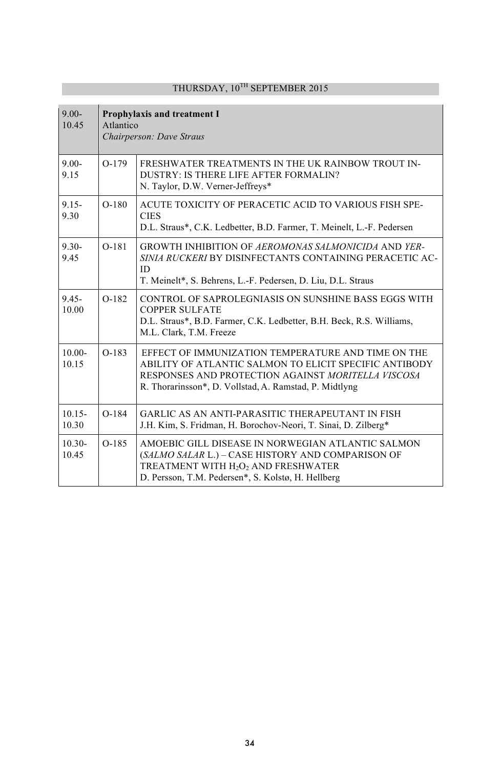| $9.00 -$<br>10.45  | <b>Prophylaxis and treatment I</b><br>Atlantico<br>Chairperson: Dave Straus |                                                                                                                                                                                                                              |
|--------------------|-----------------------------------------------------------------------------|------------------------------------------------------------------------------------------------------------------------------------------------------------------------------------------------------------------------------|
| $9.00 -$<br>9.15   | $O-179$                                                                     | FRESHWATER TREATMENTS IN THE UK RAINBOW TROUT IN-<br>DUSTRY: IS THERE LIFE AFTER FORMALIN?<br>N. Taylor, D.W. Verner-Jeffreys*                                                                                               |
| $9.15 -$<br>9.30   | $O-180$                                                                     | ACUTE TOXICITY OF PERACETIC ACID TO VARIOUS FISH SPE-<br><b>CIES</b><br>D.L. Straus*, C.K. Ledbetter, B.D. Farmer, T. Meinelt, L.-F. Pedersen                                                                                |
| $9.30 -$<br>9.45   | $O-181$                                                                     | <b>GROWTH INHIBITION OF AEROMONAS SALMONICIDA AND YER-</b><br>SINIA RUCKERI BY DISINFECTANTS CONTAINING PERACETIC AC-<br>ID.<br>T. Meinelt*, S. Behrens, L.-F. Pedersen, D. Liu, D.L. Straus                                 |
| $9.45 -$<br>10.00  | $O-182$                                                                     | CONTROL OF SAPROLEGNIASIS ON SUNSHINE BASS EGGS WITH<br><b>COPPER SULFATE</b><br>D.L. Straus*, B.D. Farmer, C.K. Ledbetter, B.H. Beck, R.S. Williams,<br>M.L. Clark, T.M. Freeze                                             |
| $10.00 -$<br>10.15 | $O-183$                                                                     | EFFECT OF IMMUNIZATION TEMPERATURE AND TIME ON THE<br>ABILITY OF ATLANTIC SALMON TO ELICIT SPECIFIC ANTIBODY<br>RESPONSES AND PROTECTION AGAINST MORITELLA VISCOSA<br>R. Thorarinsson*, D. Vollstad, A. Ramstad, P. Midtlyng |
| $10.15 -$<br>10.30 | $O-184$                                                                     | GARLIC AS AN ANTI-PARASITIC THERAPEUTANT IN FISH<br>J.H. Kim, S. Fridman, H. Borochov-Neori, T. Sinai, D. Zilberg*                                                                                                           |
| $10.30 -$<br>10.45 | $O-185$                                                                     | AMOEBIC GILL DISEASE IN NORWEGIAN ATLANTIC SALMON<br>(SALMO SALAR L.) - CASE HISTORY AND COMPARISON OF<br>TREATMENT WITH H <sub>2</sub> O <sub>2</sub> AND FRESHWATER<br>D. Persson, T.M. Pedersen*, S. Kolstø, H. Hellberg  |

## THURSDAY, 10TH SEPTEMBER 2015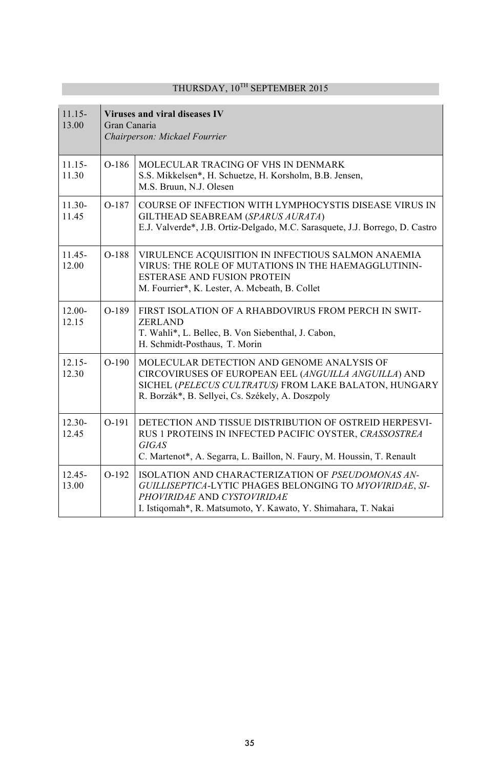| $11.15-$<br>13.00  | Gran Canaria | Viruses and viral diseases IV<br>Chairperson: Mickael Fourrier                                                                                                                                                  |
|--------------------|--------------|-----------------------------------------------------------------------------------------------------------------------------------------------------------------------------------------------------------------|
| $11.15 -$<br>11.30 | $O-186$      | MOLECULAR TRACING OF VHS IN DENMARK<br>S.S. Mikkelsen*, H. Schuetze, H. Korsholm, B.B. Jensen,<br>M.S. Bruun, N.J. Olesen                                                                                       |
| $11.30-$<br>11.45  | O-187        | COURSE OF INFECTION WITH LYMPHOCYSTIS DISEASE VIRUS IN<br>GILTHEAD SEABREAM (SPARUS AURATA)<br>E.J. Valverde*, J.B. Ortiz-Delgado, M.C. Sarasquete, J.J. Borrego, D. Castro                                     |
| $11.45 -$<br>12.00 | O-188        | VIRULENCE ACQUISITION IN INFECTIOUS SALMON ANAEMIA<br>VIRUS: THE ROLE OF MUTATIONS IN THE HAEMAGGLUTININ-<br><b>ESTERASE AND FUSION PROTEIN</b><br>M. Fourrier*, K. Lester, A. Mcbeath, B. Collet               |
| $12.00 -$<br>12.15 | O-189        | FIRST ISOLATION OF A RHABDOVIRUS FROM PERCH IN SWIT-<br><b>ZERLAND</b><br>T. Wahli*, L. Bellec, B. Von Siebenthal, J. Cabon,<br>H. Schmidt-Posthaus, T. Morin                                                   |
| $12.15 -$<br>12.30 | $O-190$      | MOLECULAR DETECTION AND GENOME ANALYSIS OF<br>CIRCOVIRUSES OF EUROPEAN EEL (ANGUILLA ANGUILLA) AND<br>SICHEL (PELECUS CULTRATUS) FROM LAKE BALATON, HUNGARY<br>R. Borzák*, B. Sellyei, Cs. Székely, A. Doszpoly |
| $12.30 -$<br>12.45 | $O-191$      | DETECTION AND TISSUE DISTRIBUTION OF OSTREID HERPESVI-<br>RUS 1 PROTEINS IN INFECTED PACIFIC OYSTER, CRASSOSTREA<br><b>GIGAS</b><br>C. Martenot*, A. Segarra, L. Baillon, N. Faury, M. Houssin, T. Renault      |
| $12.45 -$<br>13.00 | $O-192$      | ISOLATION AND CHARACTERIZATION OF PSEUDOMONAS AN-<br>GUILLISEPTICA-LYTIC PHAGES BELONGING TO MYOVIRIDAE, SI-<br>PHOVIRIDAE AND CYSTOVIRIDAE<br>I. Istiqomah*, R. Matsumoto, Y. Kawato, Y. Shimahara, T. Nakai   |

## THURSDAY,  $10^{\mathrm{TH}}$  SEPTEMBER 2015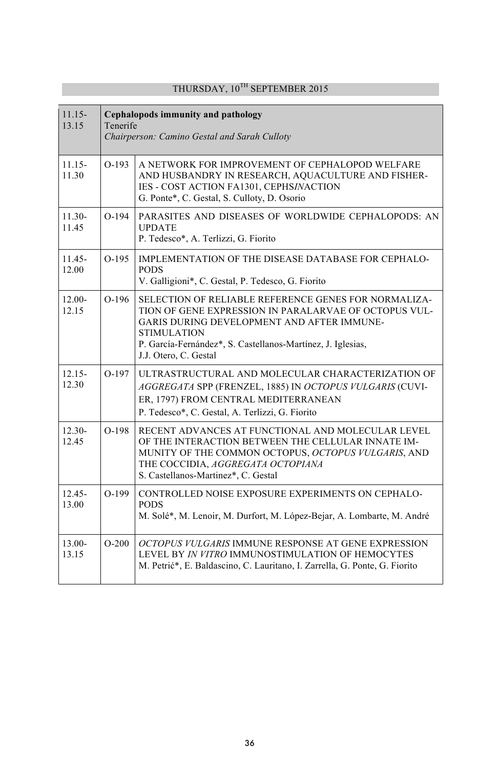| $11.15 -$<br>13.15 | Cephalopods immunity and pathology<br>Tenerife<br>Chairperson: Camino Gestal and Sarah Culloty |                                                                                                                                                                                                                                                                                  |
|--------------------|------------------------------------------------------------------------------------------------|----------------------------------------------------------------------------------------------------------------------------------------------------------------------------------------------------------------------------------------------------------------------------------|
| $11.15 -$<br>11.30 | $O-193$                                                                                        | A NETWORK FOR IMPROVEMENT OF CEPHALOPOD WELFARE<br>AND HUSBANDRY IN RESEARCH, AQUACULTURE AND FISHER-<br>IES - COST ACTION FA1301, CEPHSINACTION<br>G. Ponte*, C. Gestal, S. Culloty, D. Osorio                                                                                  |
| $11.30-$<br>11.45  | $O-194$                                                                                        | PARASITES AND DISEASES OF WORLDWIDE CEPHALOPODS: AN<br><b>UPDATE</b><br>P. Tedesco*, A. Terlizzi, G. Fiorito                                                                                                                                                                     |
| $11.45 -$<br>12.00 | $O-195$                                                                                        | IMPLEMENTATION OF THE DISEASE DATABASE FOR CEPHALO-<br><b>PODS</b><br>V. Galligioni*, C. Gestal, P. Tedesco, G. Fiorito                                                                                                                                                          |
| $12.00 -$<br>12.15 | $O-196$                                                                                        | SELECTION OF RELIABLE REFERENCE GENES FOR NORMALIZA-<br>TION OF GENE EXPRESSION IN PARALARVAE OF OCTOPUS VUL-<br><b>GARIS DURING DEVELOPMENT AND AFTER IMMUNE-</b><br><b>STIMULATION</b><br>P. García-Fernández*, S. Castellanos-Martínez, J. Iglesias,<br>J.J. Otero, C. Gestal |
| $12.15 -$<br>12.30 | $O-197$                                                                                        | ULTRASTRUCTURAL AND MOLECULAR CHARACTERIZATION OF<br>AGGREGATA SPP (FRENZEL, 1885) IN OCTOPUS VULGARIS (CUVI-<br>ER, 1797) FROM CENTRAL MEDITERRANEAN<br>P. Tedesco*, C. Gestal, A. Terlizzi, G. Fiorito                                                                         |
| $12.30 -$<br>12.45 | $O-198$                                                                                        | RECENT ADVANCES AT FUNCTIONAL AND MOLECULAR LEVEL<br>OF THE INTERACTION BETWEEN THE CELLULAR INNATE IM-<br>MUNITY OF THE COMMON OCTOPUS, OCTOPUS VULGARIS, AND<br>THE COCCIDIA, AGGREGATA OCTOPIANA<br>S. Castellanos-Martinez*, C. Gestal                                       |
| $12.45 -$<br>13.00 | $O-199$                                                                                        | CONTROLLED NOISE EXPOSURE EXPERIMENTS ON CEPHALO-<br><b>PODS</b><br>M. Solé*, M. Lenoir, M. Durfort, M. López-Bejar, A. Lombarte, M. André                                                                                                                                       |
| $13.00 -$<br>13.15 | $O-200$                                                                                        | <i>OCTOPUS VULGARIS</i> IMMUNE RESPONSE AT GENE EXPRESSION<br>LEVEL BY IN VITRO IMMUNOSTIMULATION OF HEMOCYTES<br>M. Petrić*, E. Baldascino, C. Lauritano, I. Zarrella, G. Ponte, G. Fiorito                                                                                     |

## THURSDAY,  $10^{TH}$  SEPTEMBER 2015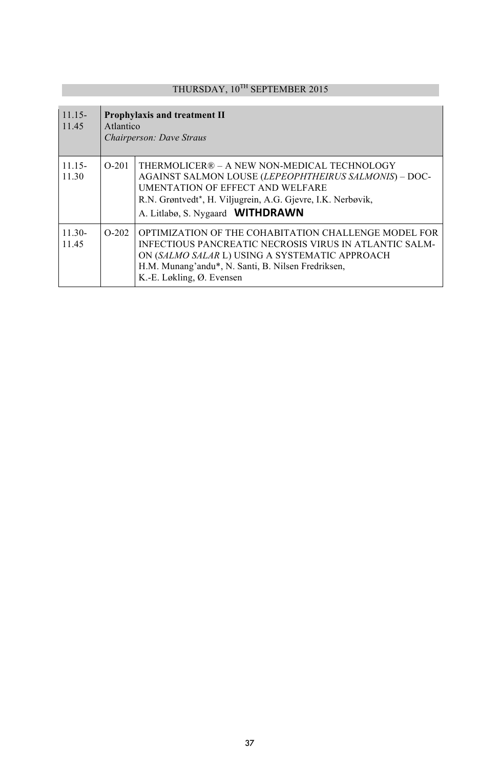# THURSDAY,  $10^{TH}$  SEPTEMBER 2015

| $11.15 -$<br>11.45 | Atlantico | <b>Prophylaxis and treatment II</b><br>Chairperson: Dave Straus                                                                                                                                                                                     |
|--------------------|-----------|-----------------------------------------------------------------------------------------------------------------------------------------------------------------------------------------------------------------------------------------------------|
| $11.15-$<br>11.30  | $O-201$   | THERMOLICER® – A NEW NON-MEDICAL TECHNOLOGY<br>AGAINST SALMON LOUSE (LEPEOPHTHEIRUS SALMONIS) - DOC-<br><b>UMENTATION OF EFFECT AND WELFARE</b><br>R.N. Grøntvedt*, H. Viljugrein, A.G. Gjevre, I.K. Nerbøvik,<br>A. Litlabø, S. Nygaard WITHDRAWN  |
| $11.30-$<br>11.45  | $O-202$   | OPTIMIZATION OF THE COHABITATION CHALLENGE MODEL FOR<br>INFECTIOUS PANCREATIC NECROSIS VIRUS IN ATLANTIC SALM-<br>ON (SALMO SALAR L) USING A SYSTEMATIC APPROACH<br>H.M. Munang'andu*, N. Santi, B. Nilsen Fredriksen,<br>K.-E. Løkling, Ø. Evensen |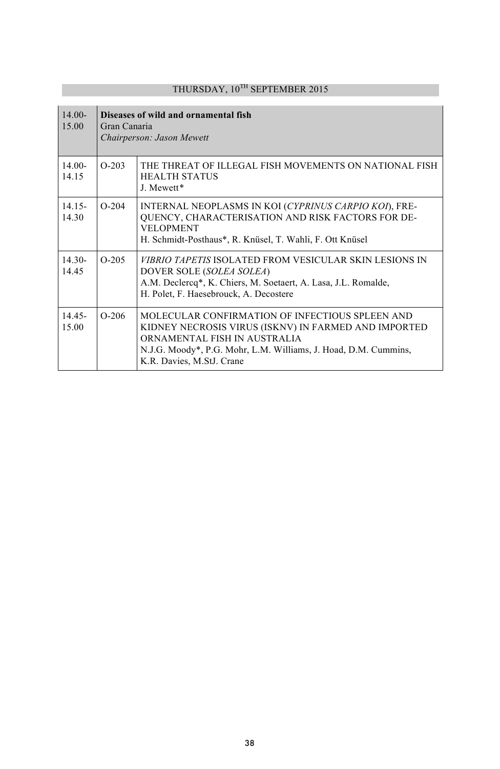| $14.00 -$<br>15.00 | Gran Canaria | Diseases of wild and ornamental fish<br>Chairperson: Jason Mewett                                                                                                                                                                       |
|--------------------|--------------|-----------------------------------------------------------------------------------------------------------------------------------------------------------------------------------------------------------------------------------------|
| $14.00-$<br>14.15  | $O-203$      | THE THREAT OF ILLEGAL FISH MOVEMENTS ON NATIONAL FISH<br><b>HEALTH STATUS</b><br>J Mewett*                                                                                                                                              |
| $14.15-$<br>14.30  | $O-204$      | INTERNAL NEOPLASMS IN KOI (CYPRINUS CARPIO KOI), FRE-<br>QUENCY, CHARACTERISATION AND RISK FACTORS FOR DE-<br><b>VELOPMENT</b><br>H. Schmidt-Posthaus*, R. Knüsel, T. Wahli, F. Ott Knüsel                                              |
| $14.30-$<br>14.45  | $O-205$      | <i>VIBRIO TAPETIS</i> ISOLATED FROM VESICULAR SKIN LESIONS IN<br>DOVER SOLE (SOLEA SOLEA)<br>A.M. Declercq*, K. Chiers, M. Soetaert, A. Lasa, J.L. Romalde,<br>H. Polet, F. Haesebrouck, A. Decostere                                   |
| 14.45-<br>15.00    | $O-206$      | MOLECULAR CONFIRMATION OF INFECTIOUS SPLEEN AND<br>KIDNEY NECROSIS VIRUS (ISKNV) IN FARMED AND IMPORTED<br>ORNAMENTAL FISH IN AUSTRALIA<br>N.J.G. Moody*, P.G. Mohr, L.M. Williams, J. Hoad, D.M. Cummins,<br>K.R. Davies, M.StJ. Crane |

## THURSDAY, 10<sup>TH</sup> SEPTEMBER 2015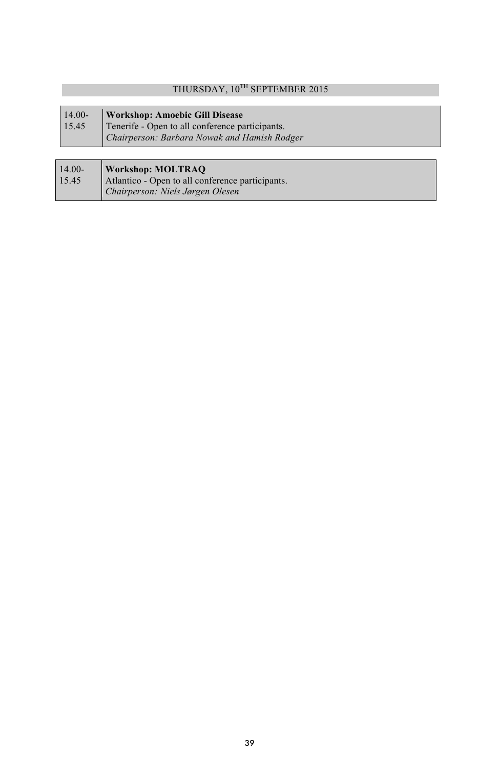## THURSDAY, 10<sup>TH</sup> SEPTEMBER 2015

| $14.00-$ | <b>Workshop: Amoebic Gill Disease</b>           |
|----------|-------------------------------------------------|
| 15.45    | Tenerife - Open to all conference participants. |
|          | Chairperson: Barbara Nowak and Hamish Rodger    |
|          |                                                 |

| $14.00-$ | <b>Workshop: MOLTRAO</b>                         |
|----------|--------------------------------------------------|
| 15.45    | Atlantico - Open to all conference participants. |
|          | Chairperson: Niels Jørgen Olesen                 |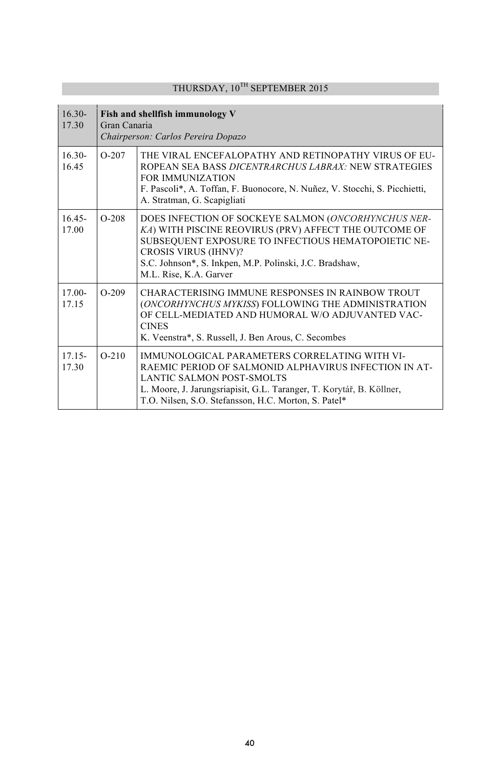| $16.30-$<br>17.30  | Fish and shellfish immunology V<br>Gran Canaria<br>Chairperson: Carlos Pereira Dopazo |                                                                                                                                                                                                                                                                                         |
|--------------------|---------------------------------------------------------------------------------------|-----------------------------------------------------------------------------------------------------------------------------------------------------------------------------------------------------------------------------------------------------------------------------------------|
| $16.30-$<br>16.45  | $O-207$                                                                               | THE VIRAL ENCEFALOPATHY AND RETINOPATHY VIRUS OF EU-<br>ROPEAN SEA BASS <i>DICENTRARCHUS LABRAX</i> : NEW STRATEGIES<br><b>FOR IMMUNIZATION</b><br>F. Pascoli*, A. Toffan, F. Buonocore, N. Nuñez, V. Stocchi, S. Picchietti,<br>A. Stratman, G. Scapigliati                            |
| $16.45 -$<br>17.00 | $O-208$                                                                               | DOES INFECTION OF SOCKEYE SALMON (ONCORHYNCHUS NER-<br>KA) WITH PISCINE REOVIRUS (PRV) AFFECT THE OUTCOME OF<br>SUBSEQUENT EXPOSURE TO INFECTIOUS HEMATOPOIETIC NE-<br><b>CROSIS VIRUS (IHNV)?</b><br>S.C. Johnson*, S. Inkpen, M.P. Polinski, J.C. Bradshaw,<br>M.L. Rise, K.A. Garver |
| $17.00 -$<br>17.15 | $O-209$                                                                               | CHARACTERISING IMMUNE RESPONSES IN RAINBOW TROUT<br>(ONCORHYNCHUS MYKISS) FOLLOWING THE ADMINISTRATION<br>OF CELL-MEDIATED AND HUMORAL W/O ADJUVANTED VAC-<br><b>CINES</b><br>K. Veenstra*, S. Russell, J. Ben Arous, C. Secombes                                                       |
| $17.15 -$<br>17.30 | $O-210$                                                                               | <b>IMMUNOLOGICAL PARAMETERS CORRELATING WITH VI-</b><br>RAEMIC PERIOD OF SALMONID ALPHAVIRUS INFECTION IN AT-<br><b>LANTIC SALMON POST-SMOLTS</b><br>L. Moore, J. Jarungsriapisit, G.L. Taranger, T. Korytář, B. Köllner,<br>T.O. Nilsen, S.O. Stefansson, H.C. Morton, S. Patel*       |

## THURSDAY,  $10^{\mathrm{TH}}$  SEPTEMBER 2015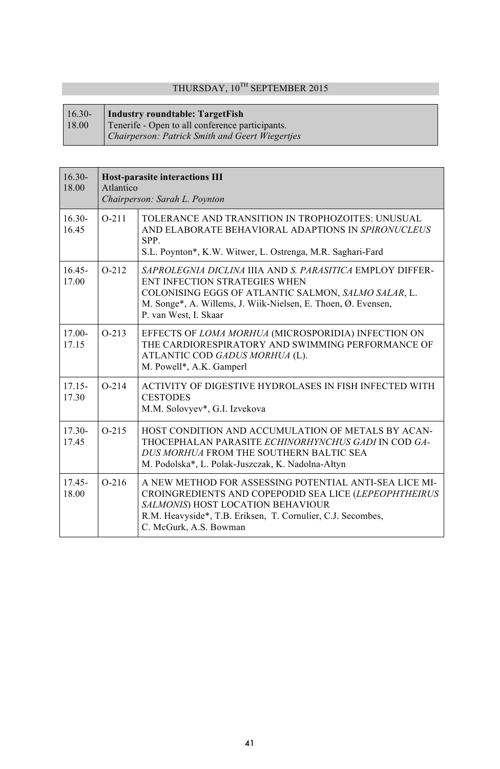## THURSDAY,  $10^\mathrm{TH}$  SEPTEMBER 2015

#### 16.30- **Industry roundtable: TargetFish**

18.00 Tenerife - Open to all conference participants.

*Chairperson: Patrick Smith and Geert Wiegertjes*

| $16.30-$<br>18.00  | <b>Host-parasite interactions III</b><br>Atlantico<br>Chairperson: Sarah L. Poynton |                                                                                                                                                                                                                                               |
|--------------------|-------------------------------------------------------------------------------------|-----------------------------------------------------------------------------------------------------------------------------------------------------------------------------------------------------------------------------------------------|
| $16.30-$<br>16.45  | $O-211$                                                                             | TOLERANCE AND TRANSITION IN TROPHOZOITES: UNUSUAL<br>AND ELABORATE BEHAVIORAL ADAPTIONS IN SPIRONUCLEUS<br>SPP.<br>S.L. Poynton*, K.W. Witwer, L. Ostrenga, M.R. Saghari-Fard                                                                 |
| $16.45 -$<br>17.00 | $O-212$                                                                             | SAPROLEGNIA DICLINA JUA AND S. PARASITICA EMPLOY DIFFER-<br>ENT INFECTION STRATEGIES WHEN<br>COLONISING EGGS OF ATLANTIC SALMON, SALMO SALAR, L.<br>M. Songe*, A. Willems, J. Wiik-Nielsen, E. Thoen, Ø. Evensen,<br>P. van West, I. Skaar    |
| $17.00 -$<br>17.15 | $O-213$                                                                             | EFFECTS OF LOMA MORHUA (MICROSPORIDIA) INFECTION ON<br>THE CARDIORESPIRATORY AND SWIMMING PERFORMANCE OF<br>ATLANTIC COD GADUS MORHUA (L).<br>M. Powell*, A.K. Gamperl                                                                        |
| $17.15 -$<br>17.30 | $O-214$                                                                             | ACTIVITY OF DIGESTIVE HYDROLASES IN FISH INFECTED WITH<br><b>CESTODES</b><br>M.M. Solovyev*, G.I. Izvekova                                                                                                                                    |
| $17.30 -$<br>17.45 | $O-215$                                                                             | HOST CONDITION AND ACCUMULATION OF METALS BY ACAN-<br>THOCEPHALAN PARASITE ECHINORHYNCHUS GADI IN COD GA-<br>DUS MORHUA FROM THE SOUTHERN BALTIC SEA<br>M. Podolska*, L. Polak-Juszczak, K. Nadolna-Ałtyn                                     |
| $17.45 -$<br>18.00 | $O-216$                                                                             | A NEW METHOD FOR ASSESSING POTENTIAL ANTI-SEA LICE MI-<br>CROINGREDIENTS AND COPEPODID SEA LICE (LEPEOPHTHEIRUS<br>SALMONIS) HOST LOCATION BEHAVIOUR<br>R.M. Heavyside*, T.B. Eriksen, T. Cornulier, C.J. Secombes,<br>C. McGurk, A.S. Bowman |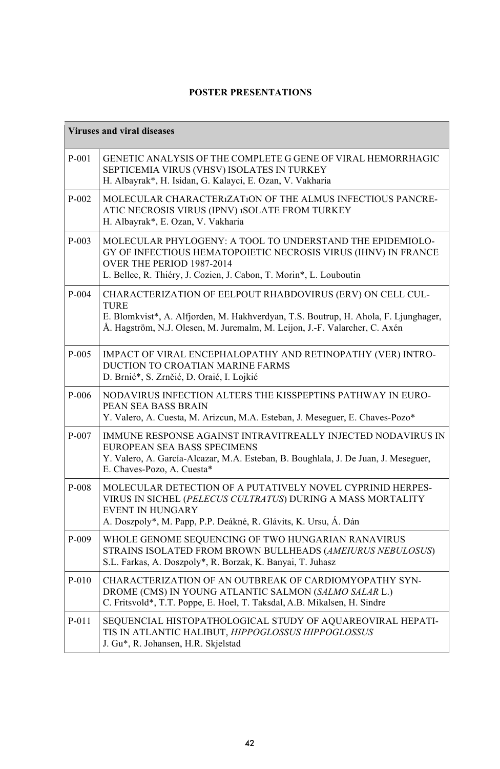### **POSTER PRESENTATIONS**

|           | <b>Viruses and viral diseases</b>                                                                                                                                                                                                       |  |  |
|-----------|-----------------------------------------------------------------------------------------------------------------------------------------------------------------------------------------------------------------------------------------|--|--|
| $P - 001$ | GENETIC ANALYSIS OF THE COMPLETE G GENE OF VIRAL HEMORRHAGIC<br>SEPTICEMIA VIRUS (VHSV) ISOLATES IN TURKEY<br>H. Albayrak*, H. Isidan, G. Kalayci, E. Ozan, V. Vakharia                                                                 |  |  |
| $P-002$   | MOLECULAR CHARACTER1ZAT1ON OF THE ALMUS INFECTIOUS PANCRE-<br>ATIC NECROSIS VIRUS (IPNV) 1SOLATE FROM TURKEY<br>H. Albayrak*, E. Ozan, V. Vakharia                                                                                      |  |  |
| $P-003$   | MOLECULAR PHYLOGENY: A TOOL TO UNDERSTAND THE EPIDEMIOLO-<br>GY OF INFECTIOUS HEMATOPOIETIC NECROSIS VIRUS (IHNV) IN FRANCE<br>OVER THE PERIOD 1987-2014<br>L. Bellec, R. Thiéry, J. Cozien, J. Cabon, T. Morin*, L. Louboutin          |  |  |
| $P-004$   | CHARACTERIZATION OF EELPOUT RHABDOVIRUS (ERV) ON CELL CUL-<br>TURE<br>E. Blomkvist*, A. Alfjorden, M. Hakhverdyan, T.S. Boutrup, H. Ahola, F. Ljunghager,<br>Å. Hagström, N.J. Olesen, M. Juremalm, M. Leijon, J.-F. Valarcher, C. Axén |  |  |
| $P-005$   | IMPACT OF VIRAL ENCEPHALOPATHY AND RETINOPATHY (VER) INTRO-<br>DUCTION TO CROATIAN MARINE FARMS<br>D. Brnić*, S. Zrnčić, D. Oraić, I. Lojkić                                                                                            |  |  |
| P-006     | NODAVIRUS INFECTION ALTERS THE KISSPEPTINS PATHWAY IN EURO-<br>PEAN SEA BASS BRAIN<br>Y. Valero, A. Cuesta, M. Arizcun, M.A. Esteban, J. Meseguer, E. Chaves-Pozo*                                                                      |  |  |
| $P-007$   | IMMUNE RESPONSE AGAINST INTRAVITREALLY INJECTED NODAVIRUS IN<br>EUROPEAN SEA BASS SPECIMENS<br>Y. Valero, A. García-Alcazar, M.A. Esteban, B. Boughlala, J. De Juan, J. Meseguer,<br>E. Chaves-Pozo, A. Cuesta*                         |  |  |
| P-008     | MOLECULAR DETECTION OF A PUTATIVELY NOVEL CYPRINID HERPES-<br>VIRUS IN SICHEL (PELECUS CULTRATUS) DURING A MASS MORTALITY<br><b>EVENT IN HUNGARY</b><br>A. Doszpoly*, M. Papp, P.P. Deákné, R. Glávits, K. Ursu, Á. Dán                 |  |  |
| $P-009$   | WHOLE GENOME SEQUENCING OF TWO HUNGARIAN RANAVIRUS<br>STRAINS ISOLATED FROM BROWN BULLHEADS (AMEIURUS NEBULOSUS)<br>S.L. Farkas, A. Doszpoly*, R. Borzak, K. Banyai, T. Juhasz                                                          |  |  |
| $P-010$   | CHARACTERIZATION OF AN OUTBREAK OF CARDIOMYOPATHY SYN-<br>DROME (CMS) IN YOUNG ATLANTIC SALMON (SALMO SALAR L.)<br>C. Fritsvold*, T.T. Poppe, E. Hoel, T. Taksdal, A.B. Mikalsen, H. Sindre                                             |  |  |
| $P-011$   | SEQUENCIAL HISTOPATHOLOGICAL STUDY OF AQUAREOVIRAL HEPATI-<br>TIS IN ATLANTIC HALIBUT, HIPPOGLOSSUS HIPPOGLOSSUS<br>J. Gu*, R. Johansen, H.R. Skjelstad                                                                                 |  |  |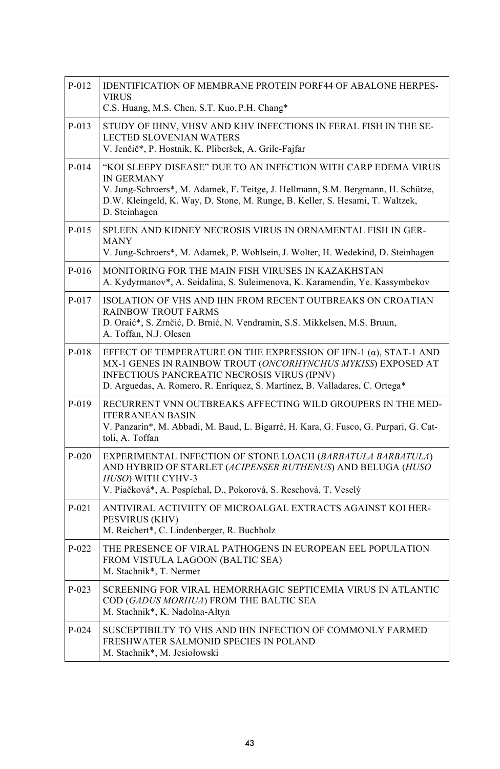| P-012   | <b>IDENTIFICATION OF MEMBRANE PROTEIN PORF44 OF ABALONE HERPES-</b><br><b>VIRUS</b><br>C.S. Huang, M.S. Chen, S.T. Kuo, P.H. Chang*                                                                                                                                           |
|---------|-------------------------------------------------------------------------------------------------------------------------------------------------------------------------------------------------------------------------------------------------------------------------------|
| $P-013$ | STUDY OF IHNV, VHSV AND KHV INFECTIONS IN FERAL FISH IN THE SE-<br>LECTED SLOVENIAN WATERS<br>V. Jenčič*, P. Hostnik, K. Pliberšek, A. Grilc-Fajfar                                                                                                                           |
| $P-014$ | "KOI SLEEPY DISEASE" DUE TO AN INFECTION WITH CARP EDEMA VIRUS<br><b>IN GERMANY</b><br>V. Jung-Schroers*, M. Adamek, F. Teitge, J. Hellmann, S.M. Bergmann, H. Schütze,<br>D.W. Kleingeld, K. Way, D. Stone, M. Runge, B. Keller, S. Hesami, T. Waltzek,<br>D. Steinhagen     |
| P-015   | SPLEEN AND KIDNEY NECROSIS VIRUS IN ORNAMENTAL FISH IN GER-<br><b>MANY</b><br>V. Jung-Schroers*, M. Adamek, P. Wohlsein, J. Wolter, H. Wedekind, D. Steinhagen                                                                                                                |
| P-016   | MONITORING FOR THE MAIN FISH VIRUSES IN KAZAKHSTAN<br>A. Kydyrmanov*, A. Seidalina, S. Suleimenova, K. Karamendin, Ye. Kassymbekov                                                                                                                                            |
| P-017   | ISOLATION OF VHS AND IHN FROM RECENT OUTBREAKS ON CROATIAN<br>RAINBOW TROUT FARMS<br>D. Oraić*, S. Zrnčić, D. Brnić, N. Vendramin, S.S. Mikkelsen, M.S. Bruun,<br>A. Toffan, N.J. Olesen                                                                                      |
| P-018   | EFFECT OF TEMPERATURE ON THE EXPRESSION OF IFN-1 $(\alpha)$ , STAT-1 AND<br>MX-1 GENES IN RAINBOW TROUT (ONCORHYNCHUS MYKISS) EXPOSED AT<br><b>INFECTIOUS PANCREATIC NECROSIS VIRUS (IPNV)</b><br>D. Arguedas, A. Romero, R. Enríquez, S. Martínez, B. Valladares, C. Ortega* |
| P-019   | RECURRENT VNN OUTBREAKS AFFECTING WILD GROUPERS IN THE MED-<br><b>ITERRANEAN BASIN</b><br>V. Panzarin*, M. Abbadi, M. Baud, L. Bigarré, H. Kara, G. Fusco, G. Purpari, G. Cat-<br>toli, A. Toffan                                                                             |
| $P-020$ | EXPERIMENTAL INFECTION OF STONE LOACH (BARBATULA BARBATULA)<br>AND HYBRID OF STARLET (ACIPENSER RUTHENUS) AND BELUGA (HUSO<br>HUSO) WITH CYHV-3<br>V. Piačková*, A. Pospíchal, D., Pokorová, S. Reschová, T. Veselý                                                           |
| $P-021$ | ANTIVIRAL ACTIVIITY OF MICROALGAL EXTRACTS AGAINST KOI HER-<br>PESVIRUS (KHV)<br>M. Reichert*, C. Lindenberger, R. Buchholz                                                                                                                                                   |
| $P-022$ | THE PRESENCE OF VIRAL PATHOGENS IN EUROPEAN EEL POPULATION<br>FROM VISTULA LAGOON (BALTIC SEA)<br>M. Stachnik*, T. Nermer                                                                                                                                                     |
| $P-023$ | SCREENING FOR VIRAL HEMORRHAGIC SEPTICEMIA VIRUS IN ATLANTIC<br>COD (GADUS MORHUA) FROM THE BALTIC SEA<br>M. Stachnik*, K. Nadolna-Ałtyn                                                                                                                                      |
| $P-024$ | SUSCEPTIBILTY TO VHS AND IHN INFECTION OF COMMONLY FARMED<br>FRESHWATER SALMONID SPECIES IN POLAND<br>M. Stachnik*, M. Jesiołowski                                                                                                                                            |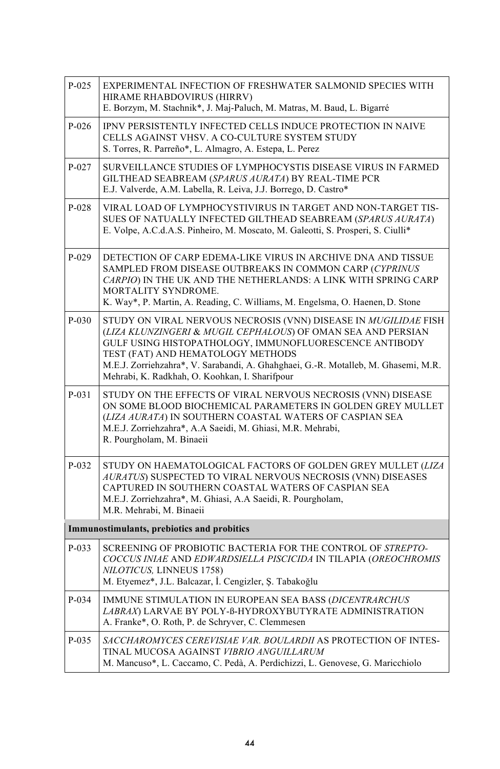| $P-025$  | EXPERIMENTAL INFECTION OF FRESHWATER SALMONID SPECIES WITH<br>HIRAME RHABDOVIRUS (HIRRV)<br>E. Borzym, M. Stachnik*, J. Maj-Paluch, M. Matras, M. Baud, L. Bigarré                                                                                                                                                                                                     |
|----------|------------------------------------------------------------------------------------------------------------------------------------------------------------------------------------------------------------------------------------------------------------------------------------------------------------------------------------------------------------------------|
| $P-026$  | IPNV PERSISTENTLY INFECTED CELLS INDUCE PROTECTION IN NAIVE<br>CELLS AGAINST VHSV. A CO-CULTURE SYSTEM STUDY<br>S. Torres, R. Parreño*, L. Almagro, A. Estepa, L. Perez                                                                                                                                                                                                |
| P-027    | SURVEILLANCE STUDIES OF LYMPHOCYSTIS DISEASE VIRUS IN FARMED<br>GILTHEAD SEABREAM (SPARUS AURATA) BY REAL-TIME PCR<br>E.J. Valverde, A.M. Labella, R. Leiva, J.J. Borrego, D. Castro*                                                                                                                                                                                  |
| $P-028$  | VIRAL LOAD OF LYMPHOCYSTIVIRUS IN TARGET AND NON-TARGET TIS-<br>SUES OF NATUALLY INFECTED GILTHEAD SEABREAM (SPARUS AURATA)<br>E. Volpe, A.C.d.A.S. Pinheiro, M. Moscato, M. Galeotti, S. Prosperi, S. Ciulli*                                                                                                                                                         |
| $P-029$  | DETECTION OF CARP EDEMA-LIKE VIRUS IN ARCHIVE DNA AND TISSUE<br>SAMPLED FROM DISEASE OUTBREAKS IN COMMON CARP (CYPRINUS<br>CARPIO) IN THE UK AND THE NETHERLANDS: A LINK WITH SPRING CARP<br>MORTALITY SYNDROME.<br>K. Way*, P. Martin, A. Reading, C. Williams, M. Engelsma, O. Haenen, D. Stone                                                                      |
| $P-030$  | STUDY ON VIRAL NERVOUS NECROSIS (VNN) DISEASE IN MUGILIDAE FISH<br>(LIZA KLUNZINGERI & MUGIL CEPHALOUS) OF OMAN SEA AND PERSIAN<br>GULF USING HISTOPATHOLOGY, IMMUNOFLUORESCENCE ANTIBODY<br>TEST (FAT) AND HEMATOLOGY METHODS<br>M.E.J. Zorriehzahra*, V. Sarabandi, A. Ghahghaei, G.-R. Motalleb, M. Ghasemi, M.R.<br>Mehrabi, K. Radkhah, O. Koohkan, I. Sharifpour |
| $P-0.31$ | STUDY ON THE EFFECTS OF VIRAL NERVOUS NECROSIS (VNN) DISEASE<br>ON SOME BLOOD BIOCHEMICAL PARAMETERS IN GOLDEN GREY MULLET<br>(LIZA AURATA) IN SOUTHERN COASTAL WATERS OF CASPIAN SEA<br>M.E.J. Zorriehzahra*, A.A Saeidi, M. Ghiasi, M.R. Mehrabi,<br>R. Pourgholam, M. Binaeii                                                                                       |
| $P-032$  | STUDY ON HAEMATOLOGICAL FACTORS OF GOLDEN GREY MULLET (LIZA<br>AURATUS) SUSPECTED TO VIRAL NERVOUS NECROSIS (VNN) DISEASES<br>CAPTURED IN SOUTHERN COASTAL WATERS OF CASPIAN SEA<br>M.E.J. Zorriehzahra*, M. Ghiasi, A.A Saeidi, R. Pourgholam,<br>M.R. Mehrabi, M. Binaeii                                                                                            |
|          | Immunostimulants, prebiotics and probitics                                                                                                                                                                                                                                                                                                                             |
| $P-033$  | SCREENING OF PROBIOTIC BACTERIA FOR THE CONTROL OF STREPTO-<br>COCCUS INIAE AND EDWARDSIELLA PISCICIDA IN TILAPIA (OREOCHROMIS<br>NILOTICUS, LINNEUS 1758)<br>M. Etyemez*, J.L. Balcazar, İ. Cengizler, Ş. Tabakoğlu                                                                                                                                                   |
| P-034    | <b>IMMUNE STIMULATION IN EUROPEAN SEA BASS (DICENTRARCHUS</b><br>LABRAX) LARVAE BY POLY-ß-HYDROXYBUTYRATE ADMINISTRATION<br>A. Franke*, O. Roth, P. de Schryver, C. Clemmesen                                                                                                                                                                                          |
| $P-035$  | SACCHAROMYCES CEREVISIAE VAR. BOULARDII AS PROTECTION OF INTES-<br>TINAL MUCOSA AGAINST VIBRIO ANGUILLARUM<br>M. Mancuso*, L. Caccamo, C. Pedà, A. Perdichizzi, L. Genovese, G. Maricchiolo                                                                                                                                                                            |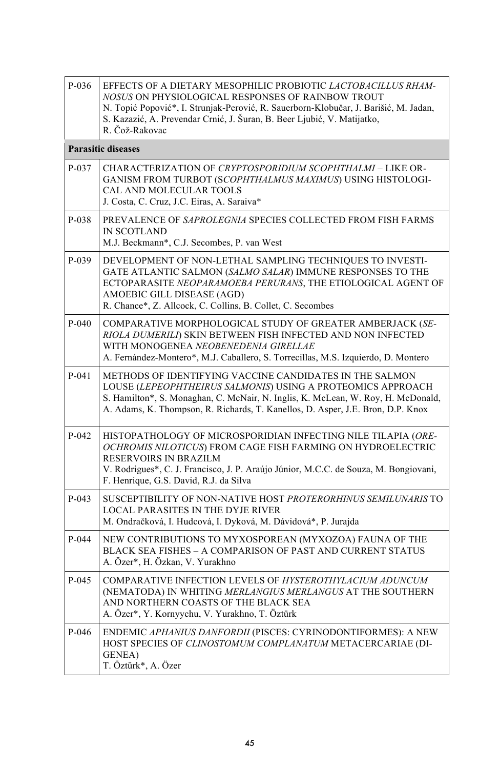| P-036   | EFFECTS OF A DIETARY MESOPHILIC PROBIOTIC LACTOBACILLUS RHAM-<br>NOSUS ON PHYSIOLOGICAL RESPONSES OF RAINBOW TROUT<br>N. Topić Popović*, I. Strunjak-Perović, R. Sauerborn-Klobučar, J. Barišić, M. Jadan,<br>S. Kazazić, A. Prevendar Crnić, J. Šuran, B. Beer Ljubić, V. Matijatko,<br>R. Čož-Rakovac |
|---------|---------------------------------------------------------------------------------------------------------------------------------------------------------------------------------------------------------------------------------------------------------------------------------------------------------|
|         | <b>Parasitic diseases</b>                                                                                                                                                                                                                                                                               |
| $P-037$ | CHARACTERIZATION OF CRYPTOSPORIDIUM SCOPHTHALMI - LIKE OR-<br>GANISM FROM TURBOT (SCOPHTHALMUS MAXIMUS) USING HISTOLOGI-<br>CAL AND MOLECULAR TOOLS<br>J. Costa, C. Cruz, J.C. Eiras, A. Saraiva*                                                                                                       |
| P-038   | PREVALENCE OF SAPROLEGNIA SPECIES COLLECTED FROM FISH FARMS<br>IN SCOTLAND<br>M.J. Beckmann*, C.J. Secombes, P. van West                                                                                                                                                                                |
| $P-039$ | DEVELOPMENT OF NON-LETHAL SAMPLING TECHNIQUES TO INVESTI-<br>GATE ATLANTIC SALMON (SALMO SALAR) IMMUNE RESPONSES TO THE<br>ECTOPARASITE NEOPARAMOEBA PERURANS, THE ETIOLOGICAL AGENT OF<br>AMOEBIC GILL DISEASE (AGD)<br>R. Chance*, Z. Allcock, C. Collins, B. Collet, C. Secombes                     |
| $P-040$ | COMPARATIVE MORPHOLOGICAL STUDY OF GREATER AMBERJACK (SE-<br>RIOLA DUMERILI) SKIN BETWEEN FISH INFECTED AND NON INFECTED<br>WITH MONOGENEA NEOBENEDENIA GIRELLAE<br>A. Fernández-Montero*, M.J. Caballero, S. Torrecillas, M.S. Izquierdo, D. Montero                                                   |
| $P-041$ | METHODS OF IDENTIFYING VACCINE CANDIDATES IN THE SALMON<br>LOUSE (LEPEOPHTHEIRUS SALMONIS) USING A PROTEOMICS APPROACH<br>S. Hamilton*, S. Monaghan, C. McNair, N. Inglis, K. McLean, W. Roy, H. McDonald,<br>A. Adams, K. Thompson, R. Richards, T. Kanellos, D. Asper, J.E. Bron, D.P. Knox           |
| $P-042$ | HISTOPATHOLOGY OF MICROSPORIDIAN INFECTING NILE TILAPIA (ORE-<br>OCHROMIS NILOTICUS) FROM CAGE FISH FARMING ON HYDROELECTRIC<br>RESERVOIRS IN BRAZILM<br>V. Rodrigues*, C. J. Francisco, J. P. Araújo Júnior, M.C.C. de Souza, M. Bongiovani,<br>F. Henrique, G.S. David, R.J. da Silva                 |
| $P-043$ | SUSCEPTIBILITY OF NON-NATIVE HOST PROTERORHINUS SEMILUNARIS TO<br><b>LOCAL PARASITES IN THE DYJE RIVER</b><br>M. Ondračková, I. Hudcová, I. Dyková, M. Dávidová*, P. Jurajda                                                                                                                            |
| $P-044$ | NEW CONTRIBUTIONS TO MYXOSPOREAN (MYXOZOA) FAUNA OF THE<br>BLACK SEA FISHES - A COMPARISON OF PAST AND CURRENT STATUS<br>A. Özer*, H. Özkan, V. Yurakhno                                                                                                                                                |
| P-045   | COMPARATIVE INFECTION LEVELS OF HYSTEROTHYLACIUM ADUNCUM<br>(NEMATODA) IN WHITING MERLANGIUS MERLANGUS AT THE SOUTHERN<br>AND NORTHERN COASTS OF THE BLACK SEA<br>A. Özer*, Y. Kornyychu, V. Yurakhno, T. Öztürk                                                                                        |
| $P-046$ | ENDEMIC APHANIUS DANFORDII (PISCES: CYRINODONTIFORMES): A NEW<br>HOST SPECIES OF CLINOSTOMUM COMPLANATUM METACERCARIAE (DI-<br><b>GENEA</b> )<br>T. Öztürk*, A. Özer                                                                                                                                    |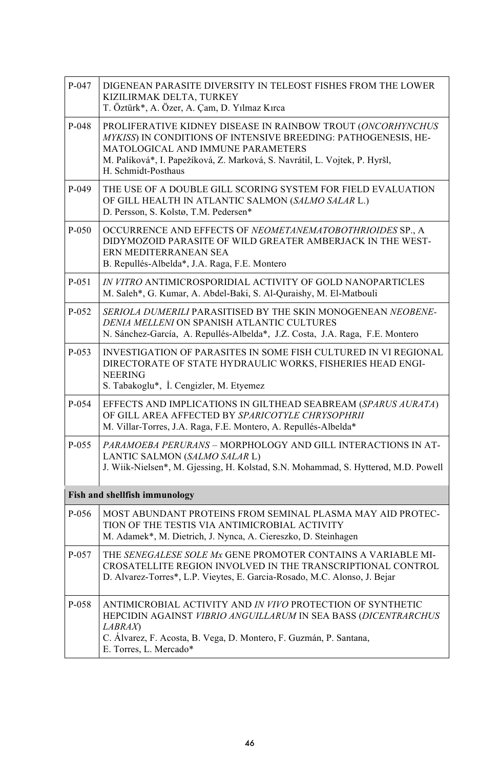| P-047      | DIGENEAN PARASITE DIVERSITY IN TELEOST FISHES FROM THE LOWER<br>KIZILIRMAK DELTA, TURKEY<br>T. Öztürk*, A. Özer, A. Çam, D. Yılmaz Kırca                                                                                                                                |
|------------|-------------------------------------------------------------------------------------------------------------------------------------------------------------------------------------------------------------------------------------------------------------------------|
| P-048      | PROLIFERATIVE KIDNEY DISEASE IN RAINBOW TROUT (ONCORHYNCHUS<br>MYKISS) IN CONDITIONS OF INTENSIVE BREEDING: PATHOGENESIS, HE-<br>MATOLOGICAL AND IMMUNE PARAMETERS<br>M. Palíková*, I. Papežíková, Z. Marková, S. Navrátil, L. Vojtek, P. Hyršl,<br>H. Schmidt-Posthaus |
| P-049      | THE USE OF A DOUBLE GILL SCORING SYSTEM FOR FIELD EVALUATION<br>OF GILL HEALTH IN ATLANTIC SALMON (SALMO SALAR L.)<br>D. Persson, S. Kolstø, T.M. Pedersen*                                                                                                             |
| $P - 0.50$ | OCCURRENCE AND EFFECTS OF NEOMETANEMATOBOTHRIOIDES SP., A<br>DIDYMOZOID PARASITE OF WILD GREATER AMBERJACK IN THE WEST-<br>ERN MEDITERRANEAN SEA<br>B. Repullés-Albelda*, J.A. Raga, F.E. Montero                                                                       |
| P-051      | IN VITRO ANTIMICROSPORIDIAL ACTIVITY OF GOLD NANOPARTICLES<br>M. Saleh*, G. Kumar, A. Abdel-Baki, S. Al-Quraishy, M. El-Matbouli                                                                                                                                        |
| P-052      | SERIOLA DUMERILI PARASITISED BY THE SKIN MONOGENEAN NEOBENE-<br>DENIA MELLENI ON SPANISH ATLANTIC CULTURES<br>N. Sánchez-García, A. Repullés-Albelda*, J.Z. Costa, J.A. Raga, F.E. Montero                                                                              |
| P-053      | INVESTIGATION OF PARASITES IN SOME FISH CULTURED IN VI REGIONAL<br>DIRECTORATE OF STATE HYDRAULIC WORKS, FISHERIES HEAD ENGI-<br><b>NEERING</b><br>S. Tabakoglu*, I. Cengizler, M. Etyemez                                                                              |
| P-054      | EFFECTS AND IMPLICATIONS IN GILTHEAD SEABREAM (SPARUS AURATA)<br>OF GILL AREA AFFECTED BY SPARICOTYLE CHRYSOPHRII<br>M. Villar-Torres, J.A. Raga, F.E. Montero, A. Repullés-Albelda*                                                                                    |
| P-055      | PARAMOEBA PERURANS - MORPHOLOGY AND GILL INTERACTIONS IN AT-<br>LANTIC SALMON (SALMO SALAR L)<br>J. Wiik-Nielsen*, M. Gjessing, H. Kolstad, S.N. Mohammad, S. Hytterød, M.D. Powell                                                                                     |
|            | Fish and shellfish immunology                                                                                                                                                                                                                                           |
| P-056      | MOST ABUNDANT PROTEINS FROM SEMINAL PLASMA MAY AID PROTEC-<br>TION OF THE TESTIS VIA ANTIMICROBIAL ACTIVITY<br>M. Adamek*, M. Dietrich, J. Nynca, A. Ciereszko, D. Steinhagen                                                                                           |
| P-057      | THE SENEGALESE SOLE Mx GENE PROMOTER CONTAINS A VARIABLE MI-<br>CROSATELLITE REGION INVOLVED IN THE TRANSCRIPTIONAL CONTROL<br>D. Alvarez-Torres*, L.P. Vieytes, E. Garcia-Rosado, M.C. Alonso, J. Bejar                                                                |
| P-058      | ANTIMICROBIAL ACTIVITY AND IN VIVO PROTECTION OF SYNTHETIC<br>HEPCIDIN AGAINST VIBRIO ANGUILLARUM IN SEA BASS (DICENTRARCHUS<br><b>LABRAX</b><br>C. Álvarez, F. Acosta, B. Vega, D. Montero, F. Guzmán, P. Santana,<br>E. Torres, L. Mercado*                           |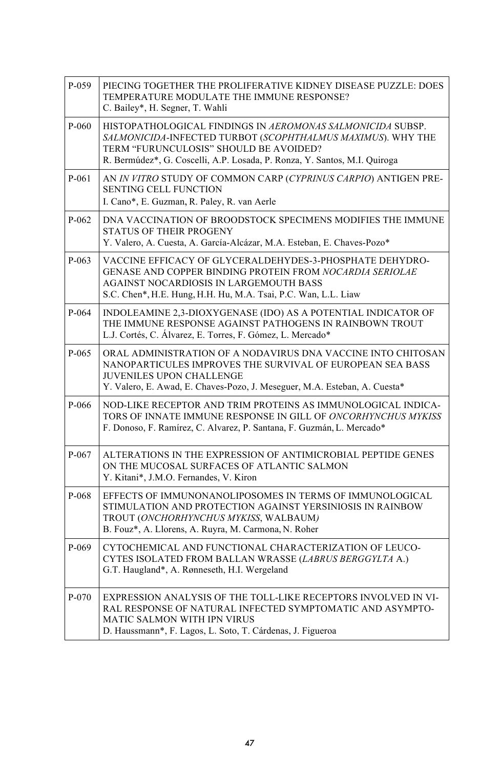| P-059   | PIECING TOGETHER THE PROLIFERATIVE KIDNEY DISEASE PUZZLE: DOES<br>TEMPERATURE MODULATE THE IMMUNE RESPONSE?<br>C. Bailey*, H. Segner, T. Wahli                                                                                                   |
|---------|--------------------------------------------------------------------------------------------------------------------------------------------------------------------------------------------------------------------------------------------------|
| P-060   | HISTOPATHOLOGICAL FINDINGS IN AEROMONAS SALMONICIDA SUBSP.<br>SALMONICIDA-INFECTED TURBOT (SCOPHTHALMUS MAXIMUS). WHY THE<br>TERM "FURUNCULOSIS" SHOULD BE AVOIDED?<br>R. Bermúdez*, G. Coscelli, A.P. Losada, P. Ronza, Y. Santos, M.I. Quiroga |
| P-061   | AN IN VITRO STUDY OF COMMON CARP (CYPRINUS CARPIO) ANTIGEN PRE-<br><b>SENTING CELL FUNCTION</b><br>I. Cano*, E. Guzman, R. Paley, R. van Aerle                                                                                                   |
| $P-062$ | DNA VACCINATION OF BROODSTOCK SPECIMENS MODIFIES THE IMMUNE<br><b>STATUS OF THEIR PROGENY</b><br>Y. Valero, A. Cuesta, A. García-Alcázar, M.A. Esteban, E. Chaves-Pozo*                                                                          |
| P-063   | VACCINE EFFICACY OF GLYCERALDEHYDES-3-PHOSPHATE DEHYDRO-<br>GENASE AND COPPER BINDING PROTEIN FROM NOCARDIA SERIOLAE<br>AGAINST NOCARDIOSIS IN LARGEMOUTH BASS<br>S.C. Chen*, H.E. Hung, H.H. Hu, M.A. Tsai, P.C. Wan, L.L. Liaw                 |
| P-064   | INDOLEAMINE 2,3-DIOXYGENASE (IDO) AS A POTENTIAL INDICATOR OF<br>THE IMMUNE RESPONSE AGAINST PATHOGENS IN RAINBOWN TROUT<br>L.J. Cortés, C. Álvarez, E. Torres, F. Gómez, L. Mercado*                                                            |
| P-065   | ORAL ADMINISTRATION OF A NODAVIRUS DNA VACCINE INTO CHITOSAN<br>NANOPARTICULES IMPROVES THE SURVIVAL OF EUROPEAN SEA BASS<br><b>JUVENILES UPON CHALLENGE</b><br>Y. Valero, E. Awad, E. Chaves-Pozo, J. Meseguer, M.A. Esteban, A. Cuesta*        |
| P-066   | NOD-LIKE RECEPTOR AND TRIM PROTEINS AS IMMUNOLOGICAL INDICA-<br>TORS OF INNATE IMMUNE RESPONSE IN GILL OF ONCORHYNCHUS MYKISS<br>F. Donoso, F. Ramírez, C. Alvarez, P. Santana, F. Guzmán, L. Mercado*                                           |
| $P-067$ | ALTERATIONS IN THE EXPRESSION OF ANTIMICROBIAL PEPTIDE GENES<br>ON THE MUCOSAL SURFACES OF ATLANTIC SALMON<br>Y. Kitani*, J.M.O. Fernandes, V. Kiron                                                                                             |
| P-068   | EFFECTS OF IMMUNONANOLIPOSOMES IN TERMS OF IMMUNOLOGICAL<br>STIMULATION AND PROTECTION AGAINST YERSINIOSIS IN RAINBOW<br>TROUT (ONCHORHYNCHUS MYKISS, WALBAUM)<br>B. Fouz*, A. Llorens, A. Ruyra, M. Carmona, N. Roher                           |
| P-069   | CYTOCHEMICAL AND FUNCTIONAL CHARACTERIZATION OF LEUCO-<br>CYTES ISOLATED FROM BALLAN WRASSE (LABRUS BERGGYLTA A.)<br>G.T. Haugland*, A. Rønneseth, H.I. Wergeland                                                                                |
| P-070   | EXPRESSION ANALYSIS OF THE TOLL-LIKE RECEPTORS INVOLVED IN VI-<br>RAL RESPONSE OF NATURAL INFECTED SYMPTOMATIC AND ASYMPTO-<br><b>MATIC SALMON WITH IPN VIRUS</b><br>D. Haussmann*, F. Lagos, L. Soto, T. Cárdenas, J. Figueroa                  |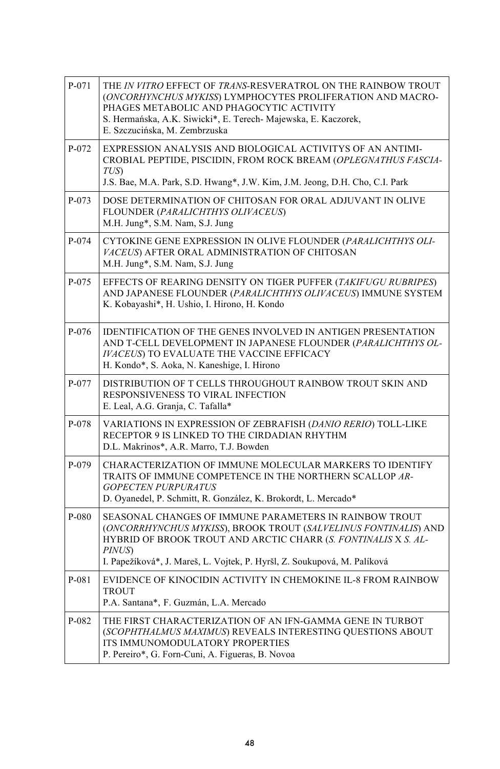| P-071   | THE IN VITRO EFFECT OF TRANS-RESVERATROL ON THE RAINBOW TROUT<br>(ONCORHYNCHUS MYKISS) LYMPHOCYTES PROLIFERATION AND MACRO-<br>PHAGES METABOLIC AND PHAGOCYTIC ACTIVITY<br>S. Hermańska, A.K. Siwicki*, E. Terech- Majewska, E. Kaczorek,<br>E. Szczucińska, M. Zembrzuska              |
|---------|-----------------------------------------------------------------------------------------------------------------------------------------------------------------------------------------------------------------------------------------------------------------------------------------|
| P-072   | EXPRESSION ANALYSIS AND BIOLOGICAL ACTIVITYS OF AN ANTIMI-<br>CROBIAL PEPTIDE, PISCIDIN, FROM ROCK BREAM (OPLEGNATHUS FASCIA-<br>TUS)<br>J.S. Bae, M.A. Park, S.D. Hwang*, J.W. Kim, J.M. Jeong, D.H. Cho, C.I. Park                                                                    |
| $P-073$ | DOSE DETERMINATION OF CHITOSAN FOR ORAL ADJUVANT IN OLIVE<br>FLOUNDER (PARALICHTHYS OLIVACEUS)<br>M.H. Jung*, S.M. Nam, S.J. Jung                                                                                                                                                       |
| P-074   | CYTOKINE GENE EXPRESSION IN OLIVE FLOUNDER (PARALICHTHYS OLI-<br>VACEUS) AFTER ORAL ADMINISTRATION OF CHITOSAN<br>M.H. Jung*, S.M. Nam, S.J. Jung                                                                                                                                       |
| P-075   | EFFECTS OF REARING DENSITY ON TIGER PUFFER (TAKIFUGU RUBRIPES)<br>AND JAPANESE FLOUNDER (PARALICHTHYS OLIVACEUS) IMMUNE SYSTEM<br>K. Kobayashi*, H. Ushio, I. Hirono, H. Kondo                                                                                                          |
| P-076   | <b>IDENTIFICATION OF THE GENES INVOLVED IN ANTIGEN PRESENTATION</b><br>AND T-CELL DEVELOPMENT IN JAPANESE FLOUNDER (PARALICHTHYS OL-<br><b>IVACEUS) TO EVALUATE THE VACCINE EFFICACY</b><br>H. Kondo*, S. Aoka, N. Kaneshige, I. Hirono                                                 |
| P-077   | DISTRIBUTION OF T CELLS THROUGHOUT RAINBOW TROUT SKIN AND<br>RESPONSIVENESS TO VIRAL INFECTION<br>E. Leal, A.G. Granja, C. Tafalla*                                                                                                                                                     |
| P-078   | VARIATIONS IN EXPRESSION OF ZEBRAFISH (DANIO RERIO) TOLL-LIKE<br>RECEPTOR 9 IS LINKED TO THE CIRDADIAN RHYTHM<br>D.L. Makrinos*, A.R. Marro, T.J. Bowden                                                                                                                                |
| P-079   | CHARACTERIZATION OF IMMUNE MOLECULAR MARKERS TO IDENTIFY<br>TRAITS OF IMMUNE COMPETENCE IN THE NORTHERN SCALLOP AR-<br><b>GOPECTEN PURPURATUS</b><br>D. Oyanedel, P. Schmitt, R. González, K. Brokordt, L. Mercado*                                                                     |
| P-080   | SEASONAL CHANGES OF IMMUNE PARAMETERS IN RAINBOW TROUT<br>(ONCORRHYNCHUS MYKISS), BROOK TROUT (SALVELINUS FONTINALIS) AND<br>HYBRID OF BROOK TROUT AND ARCTIC CHARR (S. FONTINALIS X S. AL-<br><b>PINUS</b><br>I. Papežíková*, J. Mareš, L. Vojtek, P. Hyršl, Z. Soukupová, M. Palíková |
| P-081   | EVIDENCE OF KINOCIDIN ACTIVITY IN CHEMOKINE IL-8 FROM RAINBOW<br><b>TROUT</b><br>P.A. Santana*, F. Guzmán, L.A. Mercado                                                                                                                                                                 |
| P-082   | THE FIRST CHARACTERIZATION OF AN IFN-GAMMA GENE IN TURBOT<br>(SCOPHTHALMUS MAXIMUS) REVEALS INTERESTING QUESTIONS ABOUT<br>ITS IMMUNOMODULATORY PROPERTIES<br>P. Pereiro*, G. Forn-Cuni, A. Figueras, B. Novoa                                                                          |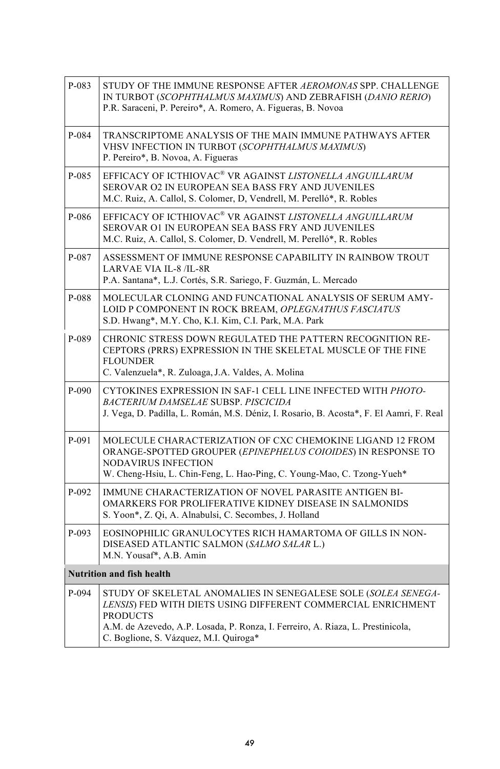| P-083 | STUDY OF THE IMMUNE RESPONSE AFTER AEROMONAS SPP. CHALLENGE<br>IN TURBOT (SCOPHTHALMUS MAXIMUS) AND ZEBRAFISH (DANIO RERIO)<br>P.R. Saraceni, P. Pereiro*, A. Romero, A. Figueras, B. Novoa                                                                                   |  |
|-------|-------------------------------------------------------------------------------------------------------------------------------------------------------------------------------------------------------------------------------------------------------------------------------|--|
| P-084 | TRANSCRIPTOME ANALYSIS OF THE MAIN IMMUNE PATHWAYS AFTER<br>VHSV INFECTION IN TURBOT (SCOPHTHALMUS MAXIMUS)<br>P. Pereiro*, B. Novoa, A. Figueras                                                                                                                             |  |
| P-085 | EFFICACY OF ICTHIOVAC® VR AGAINST LISTONELLA ANGUILLARUM<br>SEROVAR O2 IN EUROPEAN SEA BASS FRY AND JUVENILES<br>M.C. Ruiz, A. Callol, S. Colomer, D. Vendrell, M. Perelló*, R. Robles                                                                                        |  |
| P-086 | EFFICACY OF ICTHIOVAC® VR AGAINST LISTONELLA ANGUILLARUM<br>SEROVAR O1 IN EUROPEAN SEA BASS FRY AND JUVENILES<br>M.C. Ruiz, A. Callol, S. Colomer, D. Vendrell, M. Perelló*, R. Robles                                                                                        |  |
| P-087 | ASSESSMENT OF IMMUNE RESPONSE CAPABILITY IN RAINBOW TROUT<br><b>LARVAE VIA IL-8 /IL-8R</b><br>P.A. Santana*, L.J. Cortés, S.R. Sariego, F. Guzmán, L. Mercado                                                                                                                 |  |
| P-088 | MOLECULAR CLONING AND FUNCATIONAL ANALYSIS OF SERUM AMY-<br>LOID P COMPONENT IN ROCK BREAM, OPLEGNATHUS FASCIATUS<br>S.D. Hwang*, M.Y. Cho, K.I. Kim, C.I. Park, M.A. Park                                                                                                    |  |
| P-089 | CHRONIC STRESS DOWN REGULATED THE PATTERN RECOGNITION RE-<br>CEPTORS (PRRS) EXPRESSION IN THE SKELETAL MUSCLE OF THE FINE<br><b>FLOUNDER</b><br>C. Valenzuela*, R. Zuloaga, J.A. Valdes, A. Molina                                                                            |  |
| P-090 | CYTOKINES EXPRESSION IN SAF-1 CELL LINE INFECTED WITH PHOTO-<br>BACTERIUM DAMSELAE SUBSP. PISCICIDA<br>J. Vega, D. Padilla, L. Román, M.S. Déniz, I. Rosario, B. Acosta*, F. El Aamri, F. Real                                                                                |  |
| P-091 | MOLECULE CHARACTERIZATION OF CXC CHEMOKINE LIGAND 12 FROM<br>ORANGE-SPOTTED GROUPER (EPINEPHELUS COIOIDES) IN RESPONSE TO<br>NODAVIRUS INFECTION<br>W. Cheng-Hsiu, L. Chin-Feng, L. Hao-Ping, C. Young-Mao, C. Tzong-Yueh*                                                    |  |
| P-092 | IMMUNE CHARACTERIZATION OF NOVEL PARASITE ANTIGEN BI-<br>OMARKERS FOR PROLIFERATIVE KIDNEY DISEASE IN SALMONIDS<br>S. Yoon*, Z. Qi, A. Alnabulsi, C. Secombes, J. Holland                                                                                                     |  |
| P-093 | EOSINOPHILIC GRANULOCYTES RICH HAMARTOMA OF GILLS IN NON-<br>DISEASED ATLANTIC SALMON (SALMO SALAR L.)<br>M.N. Yousaf*, A.B. Amin                                                                                                                                             |  |
|       | <b>Nutrition and fish health</b>                                                                                                                                                                                                                                              |  |
| P-094 | STUDY OF SKELETAL ANOMALIES IN SENEGALESE SOLE (SOLEA SENEGA-<br>LENSIS) FED WITH DIETS USING DIFFERENT COMMERCIAL ENRICHMENT<br><b>PRODUCTS</b><br>A.M. de Azevedo, A.P. Losada, P. Ronza, I. Ferreiro, A. Riaza, L. Prestinicola,<br>C. Boglione, S. Vázquez, M.I. Quiroga* |  |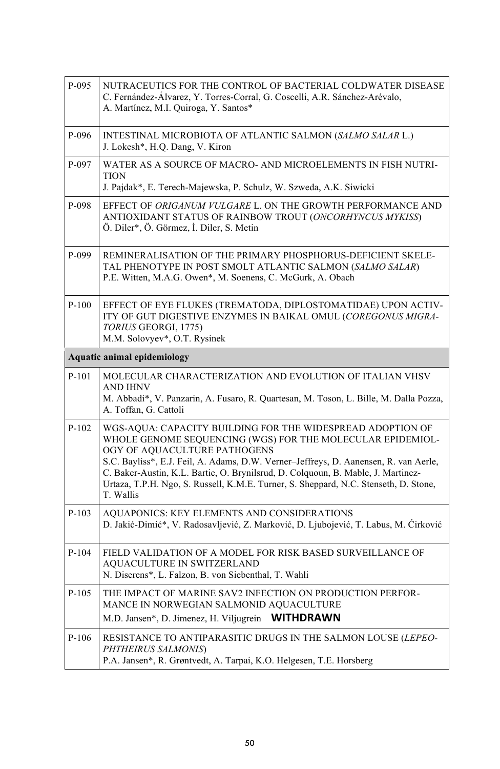| P-095   | NUTRACEUTICS FOR THE CONTROL OF BACTERIAL COLDWATER DISEASE<br>C. Fernández-Álvarez, Y. Torres-Corral, G. Coscelli, A.R. Sánchez-Arévalo,<br>A. Martínez, M.I. Quiroga, Y. Santos*                                                                                                                                                                                                                                                        |
|---------|-------------------------------------------------------------------------------------------------------------------------------------------------------------------------------------------------------------------------------------------------------------------------------------------------------------------------------------------------------------------------------------------------------------------------------------------|
| P-096   | INTESTINAL MICROBIOTA OF ATLANTIC SALMON (SALMO SALAR L.)<br>J. Lokesh*, H.Q. Dang, V. Kiron                                                                                                                                                                                                                                                                                                                                              |
| P-097   | WATER AS A SOURCE OF MACRO- AND MICROELEMENTS IN FISH NUTRI-<br>TION<br>J. Pajdak*, E. Terech-Majewska, P. Schulz, W. Szweda, A.K. Siwicki                                                                                                                                                                                                                                                                                                |
| P-098   | EFFECT OF ORIGANUM VULGARE L. ON THE GROWTH PERFORMANCE AND<br>ANTIOXIDANT STATUS OF RAINBOW TROUT (ONCORHYNCUS MYKISS)<br>Ö. Diler*, Ö. Görmez, İ. Diler, S. Metin                                                                                                                                                                                                                                                                       |
| P-099   | REMINERALISATION OF THE PRIMARY PHOSPHORUS-DEFICIENT SKELE-<br>TAL PHENOTYPE IN POST SMOLT ATLANTIC SALMON (SALMO SALAR)<br>P.E. Witten, M.A.G. Owen*, M. Soenens, C. McGurk, A. Obach                                                                                                                                                                                                                                                    |
| $P-100$ | EFFECT OF EYE FLUKES (TREMATODA, DIPLOSTOMATIDAE) UPON ACTIV-<br>ITY OF GUT DIGESTIVE ENZYMES IN BAIKAL OMUL (COREGONUS MIGRA-<br>TORIUS GEORGI, 1775)<br>M.M. Solovyev*, O.T. Rysinek                                                                                                                                                                                                                                                    |
|         | Aquatic animal epidemiology                                                                                                                                                                                                                                                                                                                                                                                                               |
| $P-101$ | MOLECULAR CHARACTERIZATION AND EVOLUTION OF ITALIAN VHSV<br><b>AND IHNV</b><br>M. Abbadi*, V. Panzarin, A. Fusaro, R. Quartesan, M. Toson, L. Bille, M. Dalla Pozza,<br>A. Toffan, G. Cattoli                                                                                                                                                                                                                                             |
| $P-102$ | WGS-AQUA: CAPACITY BUILDING FOR THE WIDESPREAD ADOPTION OF<br>WHOLE GENOME SEQUENCING (WGS) FOR THE MOLECULAR EPIDEMIOL-<br>OGY OF AQUACULTURE PATHOGENS<br>S.C. Bayliss*, E.J. Feil, A. Adams, D.W. Verner-Jeffreys, D. Aanensen, R. van Aerle,<br>C. Baker-Austin, K.L. Bartie, O. Brynilsrud, D. Colquoun, B. Mable, J. Martinez-<br>Urtaza, T.P.H. Ngo, S. Russell, K.M.E. Turner, S. Sheppard, N.C. Stenseth, D. Stone,<br>T. Wallis |
| $P-103$ | AQUAPONICS: KEY ELEMENTS AND CONSIDERATIONS<br>D. Jakić-Dimić*, V. Radosavljević, Z. Marković, D. Ljubojević, T. Labus, M. Ćirković                                                                                                                                                                                                                                                                                                       |
| $P-104$ | FIELD VALIDATION OF A MODEL FOR RISK BASED SURVEILLANCE OF<br>AQUACULTURE IN SWITZERLAND<br>N. Diserens*, L. Falzon, B. von Siebenthal, T. Wahli                                                                                                                                                                                                                                                                                          |
| $P-105$ | THE IMPACT OF MARINE SAV2 INFECTION ON PRODUCTION PERFOR-<br>MANCE IN NORWEGIAN SALMONID AQUACULTURE<br>M.D. Jansen*, D. Jimenez, H. Viljugrein WITHDRAWN                                                                                                                                                                                                                                                                                 |
| P-106   | RESISTANCE TO ANTIPARASITIC DRUGS IN THE SALMON LOUSE (LEPEO-<br>PHTHEIRUS SALMONIS)<br>P.A. Jansen*, R. Grøntvedt, A. Tarpai, K.O. Helgesen, T.E. Horsberg                                                                                                                                                                                                                                                                               |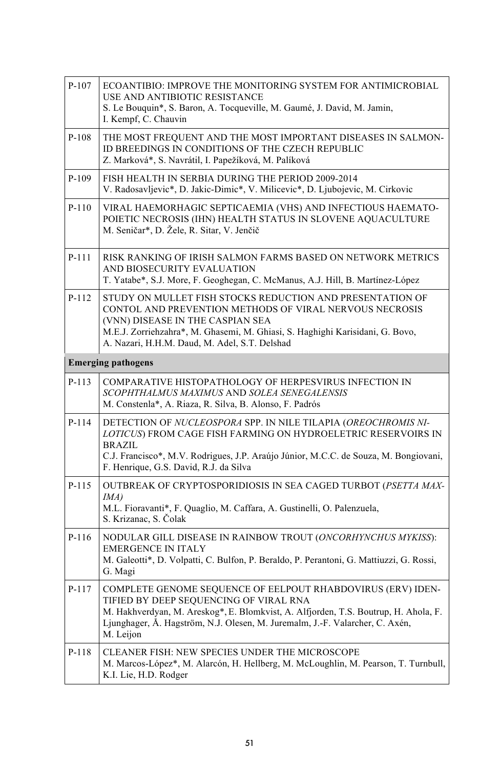| $P-107$                   | ECOANTIBIO: IMPROVE THE MONITORING SYSTEM FOR ANTIMICROBIAL<br>USE AND ANTIBIOTIC RESISTANCE<br>S. Le Bouquin*, S. Baron, A. Tocqueville, M. Gaumé, J. David, M. Jamin,<br>I. Kempf, C. Chauvin                                                                                            |  |
|---------------------------|--------------------------------------------------------------------------------------------------------------------------------------------------------------------------------------------------------------------------------------------------------------------------------------------|--|
| $P-108$                   | THE MOST FREQUENT AND THE MOST IMPORTANT DISEASES IN SALMON-<br>ID BREEDINGS IN CONDITIONS OF THE CZECH REPUBLIC<br>Z. Marková*, S. Navrátil, I. Papežíková, M. Palíková                                                                                                                   |  |
| $P-109$                   | FISH HEALTH IN SERBIA DURING THE PERIOD 2009-2014<br>V. Radosavljevic*, D. Jakic-Dimic*, V. Milicevic*, D. Ljubojevic, M. Cirkovic                                                                                                                                                         |  |
| $P-110$                   | VIRAL HAEMORHAGIC SEPTICAEMIA (VHS) AND INFECTIOUS HAEMATO-<br>POIETIC NECROSIS (IHN) HEALTH STATUS IN SLOVENE AQUACULTURE<br>M. Seničar*, D. Žele, R. Sitar, V. Jenčič                                                                                                                    |  |
| P-111                     | RISK RANKING OF IRISH SALMON FARMS BASED ON NETWORK METRICS<br>AND BIOSECURITY EVALUATION<br>T. Yatabe*, S.J. More, F. Geoghegan, C. McManus, A.J. Hill, B. Martínez-López                                                                                                                 |  |
| $P-112$                   | STUDY ON MULLET FISH STOCKS REDUCTION AND PRESENTATION OF<br>CONTOL AND PREVENTION METHODS OF VIRAL NERVOUS NECROSIS<br>(VNN) DISEASE IN THE CASPIAN SEA<br>M.E.J. Zorriehzahra*, M. Ghasemi, M. Ghiasi, S. Haghighi Karisidani, G. Bovo,<br>A. Nazari, H.H.M. Daud, M. Adel, S.T. Delshad |  |
| <b>Emerging pathogens</b> |                                                                                                                                                                                                                                                                                            |  |
| P-113                     | COMPARATIVE HISTOPATHOLOGY OF HERPESVIRUS INFECTION IN<br>SCOPHTHALMUS MAXIMUS AND SOLEA SENEGALENSIS<br>M. Constenla*, A. Riaza, R. Silva, B. Alonso, F. Padrós                                                                                                                           |  |
| $P-114$                   | DETECTION OF NUCLEOSPORA SPP. IN NILE TILAPIA (OREOCHROMIS NI-<br>LOTICUS) FROM CAGE FISH FARMING ON HYDROELETRIC RESERVOIRS IN<br><b>BRAZIL</b><br>C.J. Francisco*, M.V. Rodrigues, J.P. Araújo Júnior, M.C.C. de Souza, M. Bongiovani,<br>F. Henrique, G.S. David, R.J. da Silva         |  |
| $P-115$                   | OUTBREAK OF CRYPTOSPORIDIOSIS IN SEA CAGED TURBOT (PSETTA MAX-<br>IMA)<br>M.L. Fioravanti*, F. Quaglio, M. Caffara, A. Gustinelli, O. Palenzuela,<br>S. Krizanac, S. Čolak                                                                                                                 |  |
| $P-116$                   | NODULAR GILL DISEASE IN RAINBOW TROUT (ONCORHYNCHUS MYKISS):<br><b>EMERGENCE IN ITALY</b><br>M. Galeotti*, D. Volpatti, C. Bulfon, P. Beraldo, P. Perantoni, G. Mattiuzzi, G. Rossi,<br>G. Magi                                                                                            |  |
| P-117                     |                                                                                                                                                                                                                                                                                            |  |
|                           | COMPLETE GENOME SEQUENCE OF EELPOUT RHABDOVIRUS (ERV) IDEN-<br>TIFIED BY DEEP SEQUENCING OF VIRAL RNA<br>M. Hakhverdyan, M. Areskog*, E. Blomkvist, A. Alfjorden, T.S. Boutrup, H. Ahola, F.<br>Ljunghager, Å. Hagström, N.J. Olesen, M. Juremalm, J.-F. Valarcher, C. Axén,<br>M. Leijon  |  |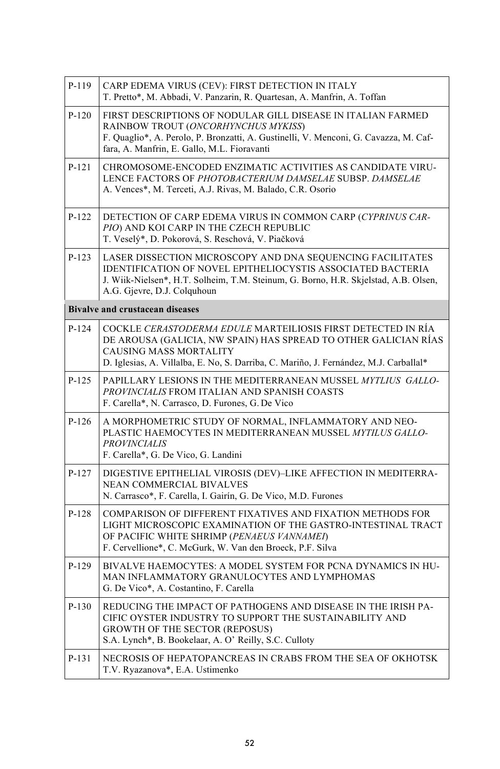| P-119   | CARP EDEMA VIRUS (CEV): FIRST DETECTION IN ITALY<br>T. Pretto*, M. Abbadi, V. Panzarin, R. Quartesan, A. Manfrin, A. Toffan                                                                                                                        |
|---------|----------------------------------------------------------------------------------------------------------------------------------------------------------------------------------------------------------------------------------------------------|
| $P-120$ | FIRST DESCRIPTIONS OF NODULAR GILL DISEASE IN ITALIAN FARMED<br>RAINBOW TROUT (ONCORHYNCHUS MYKISS)<br>F. Quaglio*, A. Perolo, P. Bronzatti, A. Gustinelli, V. Menconi, G. Cavazza, M. Caf-<br>fara, A. Manfrin, E. Gallo, M.L. Fioravanti         |
| P-121   | CHROMOSOME-ENCODED ENZIMATIC ACTIVITIES AS CANDIDATE VIRU-<br>LENCE FACTORS OF PHOTOBACTERIUM DAMSELAE SUBSP. DAMSELAE<br>A. Vences*, M. Terceti, A.J. Rivas, M. Balado, C.R. Osorio                                                               |
| $P-122$ | DETECTION OF CARP EDEMA VIRUS IN COMMON CARP (CYPRINUS CAR-<br>PIO) AND KOI CARP IN THE CZECH REPUBLIC<br>T. Veselý*, D. Pokorová, S. Reschová, V. Piačková                                                                                        |
| $P-123$ | LASER DISSECTION MICROSCOPY AND DNA SEQUENCING FACILITATES<br>IDENTIFICATION OF NOVEL EPITHELIOCYSTIS ASSOCIATED BACTERIA<br>J. Wiik-Nielsen*, H.T. Solheim, T.M. Steinum, G. Borno, H.R. Skjelstad, A.B. Olsen,<br>A.G. Gjevre, D.J. Colquhoun    |
|         | <b>Bivalve and crustacean diseases</b>                                                                                                                                                                                                             |
| $P-124$ | COCKLE CERASTODERMA EDULE MARTEILIOSIS FIRST DETECTED IN RÍA<br>DE AROUSA (GALICIA, NW SPAIN) HAS SPREAD TO OTHER GALICIAN RÍAS<br>CAUSING MASS MORTALITY<br>D. Iglesias, A. Villalba, E. No, S. Darriba, C. Mariño, J. Fernández, M.J. Carballal* |
| $P-125$ | PAPILLARY LESIONS IN THE MEDITERRANEAN MUSSEL MYTLIUS GALLO-<br>PROVINCIALIS FROM ITALIAN AND SPANISH COASTS<br>F. Carella*, N. Carrasco, D. Furones, G. De Vico                                                                                   |
| $P-126$ | A MORPHOMETRIC STUDY OF NORMAL, INFLAMMATORY AND NEO-<br>PLASTIC HAEMOCYTES IN MEDITERRANEAN MUSSEL MYTILUS GALLO-<br><b>PROVINCIALIS</b><br>F. Carella*, G. De Vico, G. Landini                                                                   |
| $P-127$ | DIGESTIVE EPITHELIAL VIROSIS (DEV)-LIKE AFFECTION IN MEDITERRA-<br>NEAN COMMERCIAL BIVALVES<br>N. Carrasco*, F. Carella, I. Gairín, G. De Vico, M.D. Furones                                                                                       |
| $P-128$ | COMPARISON OF DIFFERENT FIXATIVES AND FIXATION METHODS FOR<br>LIGHT MICROSCOPIC EXAMINATION OF THE GASTRO-INTESTINAL TRACT<br>OF PACIFIC WHITE SHRIMP (PENAEUS VANNAMEI)<br>F. Cervellione*, C. McGurk, W. Van den Broeck, P.F. Silva              |
| P-129   | BIVALVE HAEMOCYTES: A MODEL SYSTEM FOR PCNA DYNAMICS IN HU-<br>MAN INFLAMMATORY GRANULOCYTES AND LYMPHOMAS<br>G. De Vico*, A. Costantino, F. Carella                                                                                               |
| $P-130$ | REDUCING THE IMPACT OF PATHOGENS AND DISEASE IN THE IRISH PA-<br>CIFIC OYSTER INDUSTRY TO SUPPORT THE SUSTAINABILITY AND<br><b>GROWTH OF THE SECTOR (REPOSUS)</b><br>S.A. Lynch*, B. Bookelaar, A. O' Reilly, S.C. Culloty                         |
| P-131   | NECROSIS OF HEPATOPANCREAS IN CRABS FROM THE SEA OF OKHOTSK<br>T.V. Ryazanova*, E.A. Ustimenko                                                                                                                                                     |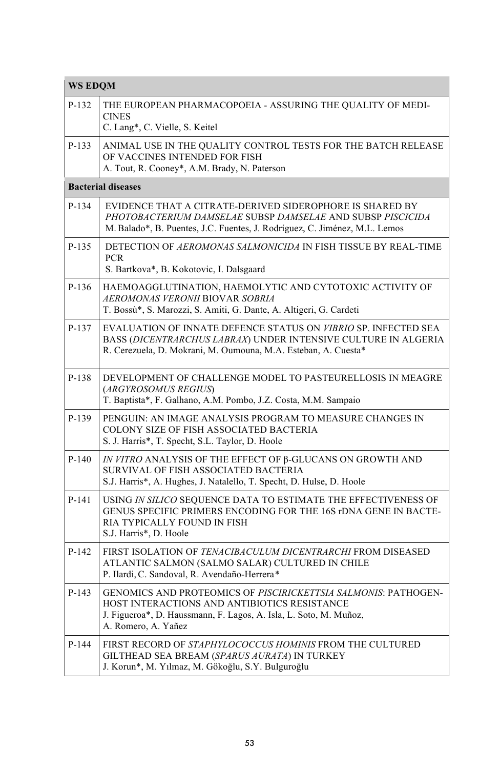| <b>WS EDQM</b> |                                                                                                                                                                                                            |
|----------------|------------------------------------------------------------------------------------------------------------------------------------------------------------------------------------------------------------|
| $P-132$        | THE EUROPEAN PHARMACOPOEIA - ASSURING THE OUALITY OF MEDI-<br><b>CINES</b><br>C. Lang*, C. Vielle, S. Keitel                                                                                               |
| $P-133$        | ANIMAL USE IN THE QUALITY CONTROL TESTS FOR THE BATCH RELEASE<br>OF VACCINES INTENDED FOR FISH<br>A. Tout, R. Cooney*, A.M. Brady, N. Paterson                                                             |
|                | <b>Bacterial diseases</b>                                                                                                                                                                                  |
| $P-134$        | EVIDENCE THAT A CITRATE-DERIVED SIDEROPHORE IS SHARED BY<br>PHOTOBACTERIUM DAMSELAE SUBSP DAMSELAE AND SUBSP PISCICIDA<br>M. Balado*, B. Puentes, J.C. Fuentes, J. Rodríguez, C. Jiménez, M.L. Lemos       |
| $P-135$        | DETECTION OF AEROMONAS SALMONICIDA IN FISH TISSUE BY REAL-TIME<br><b>PCR</b><br>S. Bartkova*, B. Kokotovic, I. Dalsgaard                                                                                   |
| $P-136$        | HAEMOAGGLUTINATION, HAEMOLYTIC AND CYTOTOXIC ACTIVITY OF<br>AEROMONAS VERONII BIOVAR SOBRIA<br>T. Bossù*, S. Marozzi, S. Amiti, G. Dante, A. Altigeri, G. Cardeti                                          |
| $P-137$        | EVALUATION OF INNATE DEFENCE STATUS ON VIBRIO SP. INFECTED SEA<br>BASS (DICENTRARCHUS LABRAX) UNDER INTENSIVE CULTURE IN ALGERIA<br>R. Cerezuela, D. Mokrani, M. Oumouna, M.A. Esteban, A. Cuesta*         |
| P-138          | DEVELOPMENT OF CHALLENGE MODEL TO PASTEURELLOSIS IN MEAGRE<br>(ARGYROSOMUS REGIUS)<br>T. Baptista*, F. Galhano, A.M. Pombo, J.Z. Costa, M.M. Sampaio                                                       |
| $P-139$        | PENGUIN: AN IMAGE ANALYSIS PROGRAM TO MEASURE CHANGES IN<br>COLONY SIZE OF FISH ASSOCIATED BACTERIA<br>S. J. Harris*, T. Specht, S.L. Taylor, D. Hoole                                                     |
| $P-140$        | IN VITRO ANALYSIS OF THE EFFECT OF β-GLUCANS ON GROWTH AND<br>SURVIVAL OF FISH ASSOCIATED BACTERIA<br>S.J. Harris*, A. Hughes, J. Natalello, T. Specht, D. Hulse, D. Hoole                                 |
| P-141          | USING IN SILICO SEQUENCE DATA TO ESTIMATE THE EFFECTIVENESS OF<br>GENUS SPECIFIC PRIMERS ENCODING FOR THE 16S rDNA GENE IN BACTE-<br>RIA TYPICALLY FOUND IN FISH<br>S.J. Harris*, D. Hoole                 |
| $P-142$        | FIRST ISOLATION OF <i>TENACIBACULUM DICENTRARCHI</i> FROM DISEASED<br>ATLANTIC SALMON (SALMO SALAR) CULTURED IN CHILE<br>P. Ilardi, C. Sandoval, R. Avendaño-Herrera*                                      |
| P-143          | GENOMICS AND PROTEOMICS OF PISCIRICKETTSIA SALMONIS: PATHOGEN-<br>HOST INTERACTIONS AND ANTIBIOTICS RESISTANCE<br>J. Figueroa*, D. Haussmann, F. Lagos, A. Isla, L. Soto, M. Muñoz,<br>A. Romero, A. Yañez |
| $P-144$        | FIRST RECORD OF STAPHYLOCOCCUS HOMINIS FROM THE CULTURED<br>GILTHEAD SEA BREAM (SPARUS AURATA) IN TURKEY<br>J. Korun*, M. Yılmaz, M. Gökoğlu, S.Y. Bulguroğlu                                              |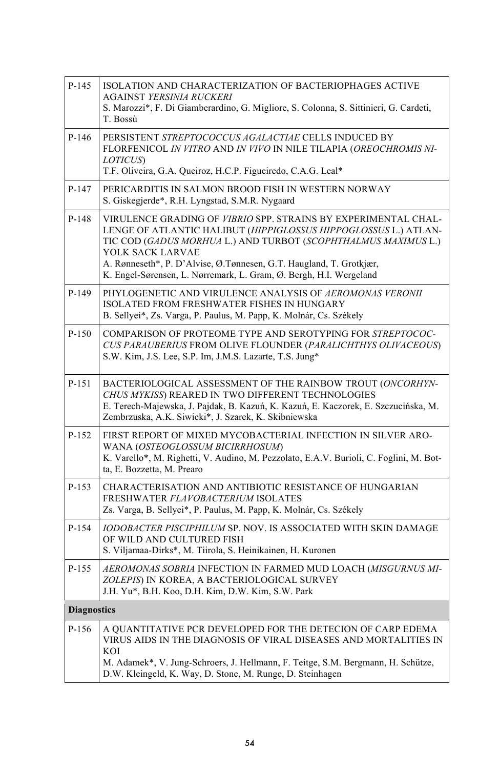| $P-145$            | ISOLATION AND CHARACTERIZATION OF BACTERIOPHAGES ACTIVE<br><b>AGAINST YERSINIA RUCKERI</b><br>S. Marozzi*, F. Di Giamberardino, G. Migliore, S. Colonna, S. Sittinieri, G. Cardeti,<br>T. Bossù                                                                                                                                                                       |
|--------------------|-----------------------------------------------------------------------------------------------------------------------------------------------------------------------------------------------------------------------------------------------------------------------------------------------------------------------------------------------------------------------|
| $P-146$            | PERSISTENT STREPTOCOCCUS AGALACTIAE CELLS INDUCED BY<br>FLORFENICOL IN VITRO AND IN VIVO IN NILE TILAPIA (OREOCHROMIS NI-<br>LOTICUS)<br>T.F. Oliveira, G.A. Queiroz, H.C.P. Figueiredo, C.A.G. Leal*                                                                                                                                                                 |
| $P-147$            | PERICARDITIS IN SALMON BROOD FISH IN WESTERN NORWAY<br>S. Giskegjerde*, R.H. Lyngstad, S.M.R. Nygaard                                                                                                                                                                                                                                                                 |
| $P-148$            | VIRULENCE GRADING OF VIBRIO SPP. STRAINS BY EXPERIMENTAL CHAL-<br>LENGE OF ATLANTIC HALIBUT (HIPPIGLOSSUS HIPPOGLOSSUS L.) ATLAN-<br>TIC COD (GADUS MORHUA L.) AND TURBOT (SCOPHTHALMUS MAXIMUS L.)<br>YOLK SACK LARVAE<br>A. Rønneseth*, P. D'Alvise, Ø. Tønnesen, G.T. Haugland, T. Grotkjær,<br>K. Engel-Sørensen, L. Nørremark, L. Gram, Ø. Bergh, H.I. Wergeland |
| P-149              | PHYLOGENETIC AND VIRULENCE ANALYSIS OF AEROMONAS VERONII<br>ISOLATED FROM FRESHWATER FISHES IN HUNGARY<br>B. Sellyei*, Zs. Varga, P. Paulus, M. Papp, K. Molnár, Cs. Székely                                                                                                                                                                                          |
| $P-150$            | COMPARISON OF PROTEOME TYPE AND SEROTYPING FOR STREPTOCOC-<br>CUS PARAUBERIUS FROM OLIVE FLOUNDER (PARALICHTHYS OLIVACEOUS)<br>S.W. Kim, J.S. Lee, S.P. Im, J.M.S. Lazarte, T.S. Jung*                                                                                                                                                                                |
| P-151              | BACTERIOLOGICAL ASSESSMENT OF THE RAINBOW TROUT (ONCORHYN-<br>CHUS MYKISS) REARED IN TWO DIFFERENT TECHNOLOGIES<br>E. Terech-Majewska, J. Pajdak, B. Kazuń, K. Kazuń, E. Kaczorek, E. Szczucińska, M.<br>Zembrzuska, A.K. Siwicki*, J. Szarek, K. Skibniewska                                                                                                         |
| P-152              | FIRST REPORT OF MIXED MYCOBACTERIAL INFECTION IN SILVER ARO-<br>WANA (OSTEOGLOSSUM BICIRRHOSUM)<br>K. Varello*, M. Righetti, V. Audino, M. Pezzolato, E.A.V. Burioli, C. Foglini, M. Bot-<br>ta, E. Bozzetta, M. Prearo                                                                                                                                               |
| P-153              | CHARACTERISATION AND ANTIBIOTIC RESISTANCE OF HUNGARIAN<br>FRESHWATER FLAVOBACTERIUM ISOLATES<br>Zs. Varga, B. Sellyei*, P. Paulus, M. Papp, K. Molnár, Cs. Székely                                                                                                                                                                                                   |
| P-154              | <b>IODOBACTER PISCIPHILUM SP. NOV. IS ASSOCIATED WITH SKIN DAMAGE</b><br>OF WILD AND CULTURED FISH<br>S. Viljamaa-Dirks*, M. Tiirola, S. Heinikainen, H. Kuronen                                                                                                                                                                                                      |
| P-155              | AEROMONAS SOBRIA INFECTION IN FARMED MUD LOACH (MISGURNUS MI-<br>ZOLEPIS) IN KOREA, A BACTERIOLOGICAL SURVEY<br>J.H. Yu*, B.H. Koo, D.H. Kim, D.W. Kim, S.W. Park                                                                                                                                                                                                     |
| <b>Diagnostics</b> |                                                                                                                                                                                                                                                                                                                                                                       |
| P-156              | A QUANTITATIVE PCR DEVELOPED FOR THE DETECION OF CARP EDEMA<br>VIRUS AIDS IN THE DIAGNOSIS OF VIRAL DISEASES AND MORTALITIES IN<br>KOI<br>M. Adamek*, V. Jung-Schroers, J. Hellmann, F. Teitge, S.M. Bergmann, H. Schütze,<br>D.W. Kleingeld, K. Way, D. Stone, M. Runge, D. Steinhagen                                                                               |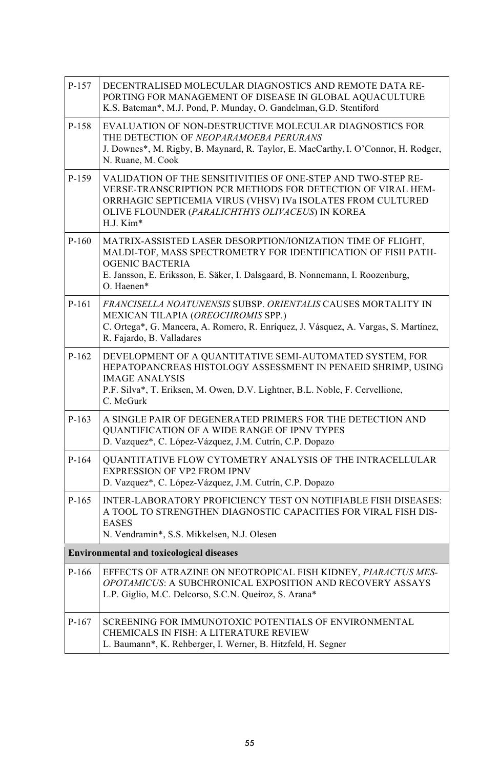| P-157   | DECENTRALISED MOLECULAR DIAGNOSTICS AND REMOTE DATA RE-<br>PORTING FOR MANAGEMENT OF DISEASE IN GLOBAL AOUACULTURE<br>K.S. Bateman*, M.J. Pond, P. Munday, O. Gandelman, G.D. Stentiford                                                                    |
|---------|-------------------------------------------------------------------------------------------------------------------------------------------------------------------------------------------------------------------------------------------------------------|
| P-158   | EVALUATION OF NON-DESTRUCTIVE MOLECULAR DIAGNOSTICS FOR<br>THE DETECTION OF NEOPARAMOEBA PERURANS<br>J. Downes*, M. Rigby, B. Maynard, R. Taylor, E. MacCarthy, I. O'Connor, H. Rodger,<br>N. Ruane, M. Cook                                                |
| P-159   | VALIDATION OF THE SENSITIVITIES OF ONE-STEP AND TWO-STEP RE-<br>VERSE-TRANSCRIPTION PCR METHODS FOR DETECTION OF VIRAL HEM-<br>ORRHAGIC SEPTICEMIA VIRUS (VHSV) IVa ISOLATES FROM CULTURED<br>OLIVE FLOUNDER (PARALICHTHYS OLIVACEUS) IN KOREA<br>H.J. Kim* |
| $P-160$ | MATRIX-ASSISTED LASER DESORPTION/IONIZATION TIME OF FLIGHT,<br>MALDI-TOF, MASS SPECTROMETRY FOR IDENTIFICATION OF FISH PATH-<br><b>OGENIC BACTERIA</b><br>E. Jansson, E. Eriksson, E. Säker, I. Dalsgaard, B. Nonnemann, I. Roozenburg,<br>O. Haenen*       |
| P-161   | FRANCISELLA NOATUNENSIS SUBSP. ORIENTALIS CAUSES MORTALITY IN<br>MEXICAN TILAPIA (OREOCHROMIS SPP.)<br>C. Ortega*, G. Mancera, A. Romero, R. Enríquez, J. Vásquez, A. Vargas, S. Martínez,<br>R. Fajardo, B. Valladares                                     |
| $P-162$ | DEVELOPMENT OF A QUANTITATIVE SEMI-AUTOMATED SYSTEM, FOR<br>HEPATOPANCREAS HISTOLOGY ASSESSMENT IN PENAEID SHRIMP, USING<br><b>IMAGE ANALYSIS</b><br>P.F. Silva*, T. Eriksen, M. Owen, D.V. Lightner, B.L. Noble, F. Cervellione,<br>C. McGurk              |
| $P-163$ | A SINGLE PAIR OF DEGENERATED PRIMERS FOR THE DETECTION AND<br>QUANTIFICATION OF A WIDE RANGE OF IPNV TYPES<br>D. Vazquez*, C. López-Vázquez, J.M. Cutrín, C.P. Dopazo                                                                                       |
| P-164   | QUANTITATIVE FLOW CYTOMETRY ANALYSIS OF THE INTRACELLULAR<br>EXPRESSION OF VP2 FROM IPNV<br>D. Vazquez*, C. López-Vázquez, J.M. Cutrín, C.P. Dopazo                                                                                                         |
| P-165   | <b>INTER-LABORATORY PROFICIENCY TEST ON NOTIFIABLE FISH DISEASES:</b><br>A TOOL TO STRENGTHEN DIAGNOSTIC CAPACITIES FOR VIRAL FISH DIS-<br><b>EASES</b><br>N. Vendramin*, S.S. Mikkelsen, N.J. Olesen                                                       |
|         | <b>Environmental and toxicological diseases</b>                                                                                                                                                                                                             |
| P-166   | EFFECTS OF ATRAZINE ON NEOTROPICAL FISH KIDNEY, PIARACTUS MES-<br>OPOTAMICUS: A SUBCHRONICAL EXPOSITION AND RECOVERY ASSAYS<br>L.P. Giglio, M.C. Delcorso, S.C.N. Queiroz, S. Arana*                                                                        |
| $P-167$ | SCREENING FOR IMMUNOTOXIC POTENTIALS OF ENVIRONMENTAL<br>CHEMICALS IN FISH: A LITERATURE REVIEW<br>L. Baumann*, K. Rehberger, I. Werner, B. Hitzfeld, H. Segner                                                                                             |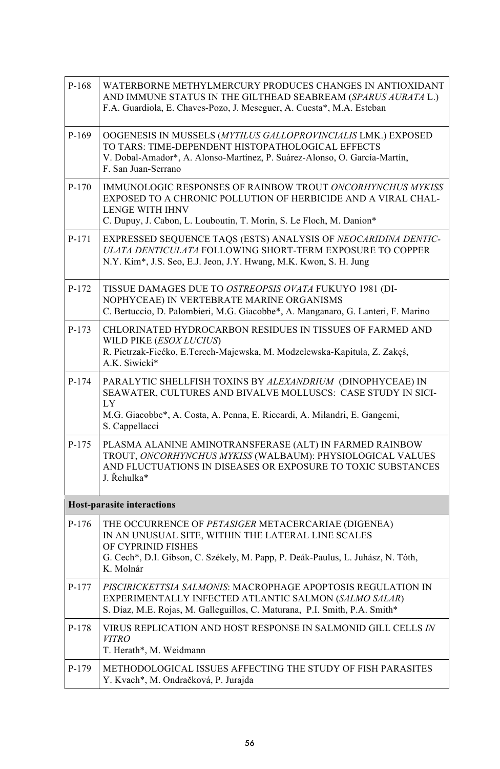| $P-168$ | WATERBORNE METHYLMERCURY PRODUCES CHANGES IN ANTIOXIDANT<br>AND IMMUNE STATUS IN THE GILTHEAD SEABREAM (SPARUS AURATA L.)<br>F.A. Guardiola, E. Chaves-Pozo, J. Meseguer, A. Cuesta*, M.A. Esteban                              |
|---------|---------------------------------------------------------------------------------------------------------------------------------------------------------------------------------------------------------------------------------|
| P-169   | OOGENESIS IN MUSSELS (MYTILUS GALLOPROVINCIALIS LMK.) EXPOSED<br>TO TARS: TIME-DEPENDENT HISTOPATHOLOGICAL EFFECTS<br>V. Dobal-Amador*, A. Alonso-Martínez, P. Suárez-Alonso, O. García-Martín,<br>F. San Juan-Serrano          |
| $P-170$ | IMMUNOLOGIC RESPONSES OF RAINBOW TROUT ONCORHYNCHUS MYKISS<br>EXPOSED TO A CHRONIC POLLUTION OF HERBICIDE AND A VIRAL CHAL-<br><b>LENGE WITH IHNV</b><br>C. Dupuy, J. Cabon, L. Louboutin, T. Morin, S. Le Floch, M. Danion*    |
| P-171   | EXPRESSED SEQUENCE TAQS (ESTS) ANALYSIS OF NEOCARIDINA DENTIC-<br>ULATA DENTICULATA FOLLOWING SHORT-TERM EXPOSURE TO COPPER<br>N.Y. Kim <sup>*</sup> , J.S. Seo, E.J. Jeon, J.Y. Hwang, M.K. Kwon, S. H. Jung                   |
| $P-172$ | TISSUE DAMAGES DUE TO OSTREOPSIS OVATA FUKUYO 1981 (DI-<br>NOPHYCEAE) IN VERTEBRATE MARINE ORGANISMS<br>C. Bertuccio, D. Palombieri, M.G. Giacobbe*, A. Manganaro, G. Lanteri, F. Marino                                        |
| $P-173$ | CHLORINATED HYDROCARBON RESIDUES IN TISSUES OF FARMED AND<br>WILD PIKE ( <i>ESOX LUCIUS</i> )<br>R. Pietrzak-Fiećko, E. Terech-Majewska, M. Modzelewska-Kapituła, Z. Zakęś,<br>A.K. Siwicki*                                    |
| $P-174$ | PARALYTIC SHELLFISH TOXINS BY ALEXANDRIUM (DINOPHYCEAE) IN<br>SEAWATER, CULTURES AND BIVALVE MOLLUSCS: CASE STUDY IN SICI-<br>LY<br>M.G. Giacobbe*, A. Costa, A. Penna, E. Riccardi, A. Milandri, E. Gangemi,<br>S. Cappellacci |
| $P-175$ | PLASMA ALANINE AMINOTRANSFERASE (ALT) IN FARMED RAINBOW<br>TROUT, ONCORHYNCHUS MYKISS (WALBAUM): PHYSIOLOGICAL VALUES<br>AND FLUCTUATIONS IN DISEASES OR EXPOSURE TO TOXIC SUBSTANCES<br>J. Rehulka*                            |
|         | <b>Host-parasite interactions</b>                                                                                                                                                                                               |
| $P-176$ | THE OCCURRENCE OF PETASIGER METACERCARIAE (DIGENEA)<br>IN AN UNUSUAL SITE, WITHIN THE LATERAL LINE SCALES<br>OF CYPRINID FISHES<br>G. Cech*, D.I. Gibson, C. Székely, M. Papp, P. Deák-Paulus, L. Juhász, N. Tóth,<br>K. Molnár |
| P-177   | PISCIRICKETTSIA SALMONIS: MACROPHAGE APOPTOSIS REGULATION IN<br>EXPERIMENTALLY INFECTED ATLANTIC SALMON (SALMO SALAR)<br>S. Díaz, M.E. Rojas, M. Galleguillos, C. Maturana, P.I. Smith, P.A. Smith*                             |
| P-178   | VIRUS REPLICATION AND HOST RESPONSE IN SALMONID GILL CELLS IN<br><i>VITRO</i><br>T. Herath*, M. Weidmann                                                                                                                        |
| P-179   | METHODOLOGICAL ISSUES AFFECTING THE STUDY OF FISH PARASITES<br>Y. Kvach*, M. Ondračková, P. Jurajda                                                                                                                             |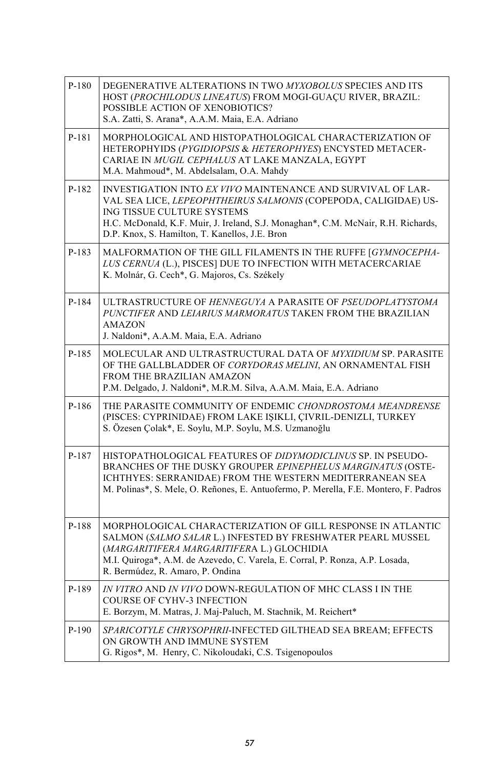| P-180   | DEGENERATIVE ALTERATIONS IN TWO MYXOBOLUS SPECIES AND ITS<br>HOST (PROCHILODUS LINEATUS) FROM MOGI-GUACU RIVER, BRAZIL:<br>POSSIBLE ACTION OF XENOBIOTICS?<br>S.A. Zatti, S. Arana*, A.A.M. Maia, E.A. Adriano                                                                                             |
|---------|------------------------------------------------------------------------------------------------------------------------------------------------------------------------------------------------------------------------------------------------------------------------------------------------------------|
| P-181   | MORPHOLOGICAL AND HISTOPATHOLOGICAL CHARACTERIZATION OF<br>HETEROPHYIDS (PYGIDIOPSIS & HETEROPHYES) ENCYSTED METACER-<br>CARIAE IN MUGIL CEPHALUS AT LAKE MANZALA, EGYPT<br>M.A. Mahmoud*, M. Abdelsalam, O.A. Mahdy                                                                                       |
| P-182   | INVESTIGATION INTO EX VIVO MAINTENANCE AND SURVIVAL OF LAR-<br>VAL SEA LICE, <i>LEPEOPHTHEIRUS SALMONIS</i> (COPEPODA, CALIGIDAE) US-<br>ING TISSUE CULTURE SYSTEMS<br>H.C. McDonald, K.F. Muir, J. Ireland, S.J. Monaghan*, C.M. McNair, R.H. Richards,<br>D.P. Knox, S. Hamilton, T. Kanellos, J.E. Bron |
| P-183   | MALFORMATION OF THE GILL FILAMENTS IN THE RUFFE [GYMNOCEPHA-<br>LUS CERNUA (L.), PISCES] DUE TO INFECTION WITH METACERCARIAE<br>K. Molnár, G. Cech*, G. Majoros, Cs. Székely                                                                                                                               |
| P-184   | ULTRASTRUCTURE OF HENNEGUYA A PARASITE OF PSEUDOPLATYSTOMA<br>PUNCTIFER AND LEIARIUS MARMORATUS TAKEN FROM THE BRAZILIAN<br><b>AMAZON</b><br>J. Naldoni*, A.A.M. Maia, E.A. Adriano                                                                                                                        |
| P-185   | MOLECULAR AND ULTRASTRUCTURAL DATA OF MYXIDIUM SP. PARASITE<br>OF THE GALLBLADDER OF CORYDORAS MELINI, AN ORNAMENTAL FISH<br>FROM THE BRAZILIAN AMAZON<br>P.M. Delgado, J. Naldoni*, M.R.M. Silva, A.A.M. Maia, E.A. Adriano                                                                               |
| P-186   | THE PARASITE COMMUNITY OF ENDEMIC CHONDROSTOMA MEANDRENSE<br>(PISCES: CYPRINIDAE) FROM LAKE IŞIKLI, ÇIVRIL-DENIZLI, TURKEY<br>S. Özesen Çolak*, E. Soylu, M.P. Soylu, M.S. Uzmanoğlu                                                                                                                       |
| P-187   | HISTOPATHOLOGICAL FEATURES OF DIDYMODICLINUS SP. IN PSEUDO-<br>BRANCHES OF THE DUSKY GROUPER EPINEPHELUS MARGINATUS (OSTE-<br>ICHTHYES: SERRANIDAE) FROM THE WESTERN MEDITERRANEAN SEA<br>M. Polinas*, S. Mele, O. Reñones, E. Antuofermo, P. Merella, F.E. Montero, F. Padros                             |
| P-188   | MORPHOLOGICAL CHARACTERIZATION OF GILL RESPONSE IN ATLANTIC<br>SALMON (SALMO SALAR L.) INFESTED BY FRESHWATER PEARL MUSSEL<br>(MARGARITIFERA MARGARITIFERA L.) GLOCHIDIA<br>M.I. Quiroga*, A.M. de Azevedo, C. Varela, E. Corral, P. Ronza, A.P. Losada,<br>R. Bermúdez, R. Amaro, P. Ondina               |
| P-189   | IN VITRO AND IN VIVO DOWN-REGULATION OF MHC CLASS I IN THE<br><b>COURSE OF CYHV-3 INFECTION</b><br>E. Borzym, M. Matras, J. Maj-Paluch, M. Stachnik, M. Reichert*                                                                                                                                          |
| $P-190$ | SPARICOTYLE CHRYSOPHRII-INFECTED GILTHEAD SEA BREAM; EFFECTS<br>ON GROWTH AND IMMUNE SYSTEM<br>G. Rigos*, M. Henry, C. Nikoloudaki, C.S. Tsigenopoulos                                                                                                                                                     |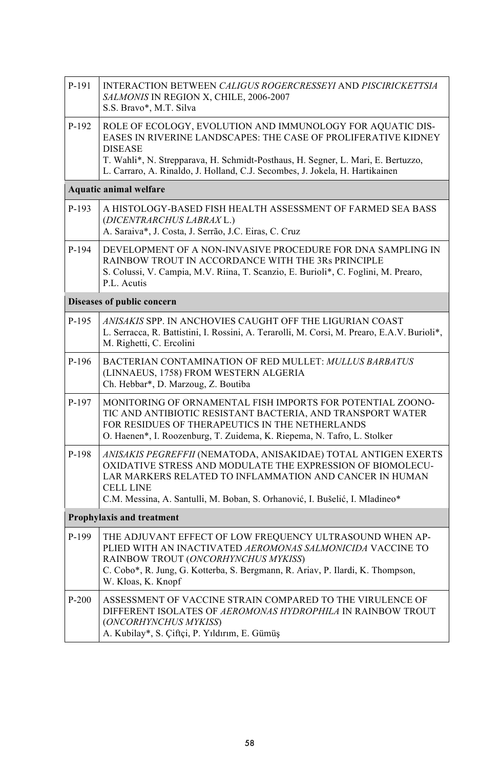| P-191   | INTERACTION BETWEEN CALIGUS ROGERCRESSEYI AND PISCIRICKETTSIA<br>SALMONIS IN REGION X, CHILE, 2006-2007<br>S.S. Bravo*, M.T. Silva                                                                                                                                    |  |
|---------|-----------------------------------------------------------------------------------------------------------------------------------------------------------------------------------------------------------------------------------------------------------------------|--|
| P-192   | ROLE OF ECOLOGY, EVOLUTION AND IMMUNOLOGY FOR AQUATIC DIS-<br>EASES IN RIVERINE LANDSCAPES: THE CASE OF PROLIFERATIVE KIDNEY<br><b>DISEASE</b>                                                                                                                        |  |
|         | T. Wahli*, N. Strepparava, H. Schmidt-Posthaus, H. Segner, L. Mari, E. Bertuzzo,<br>L. Carraro, A. Rinaldo, J. Holland, C.J. Secombes, J. Jokela, H. Hartikainen                                                                                                      |  |
|         | <b>Aquatic animal welfare</b>                                                                                                                                                                                                                                         |  |
| P-193   | A HISTOLOGY-BASED FISH HEALTH ASSESSMENT OF FARMED SEA BASS<br>(DICENTRARCHUS LABRAX L.)<br>A. Saraiva*, J. Costa, J. Serrão, J.C. Eiras, C. Cruz                                                                                                                     |  |
| P-194   | DEVELOPMENT OF A NON-INVASIVE PROCEDURE FOR DNA SAMPLING IN<br>RAINBOW TROUT IN ACCORDANCE WITH THE 3Rs PRINCIPLE<br>S. Colussi, V. Campia, M.V. Riina, T. Scanzio, E. Burioli*, C. Foglini, M. Prearo,<br>P.L. Acutis                                                |  |
|         | Diseases of public concern                                                                                                                                                                                                                                            |  |
| P-195   | ANISAKIS SPP. IN ANCHOVIES CAUGHT OFF THE LIGURIAN COAST<br>L. Serracca, R. Battistini, I. Rossini, A. Terarolli, M. Corsi, M. Prearo, E.A.V. Burioli*,<br>M. Righetti, C. Ercolini                                                                                   |  |
| P-196   | BACTERIAN CONTAMINATION OF RED MULLET: MULLUS BARBATUS<br>(LINNAEUS, 1758) FROM WESTERN ALGERIA<br>Ch. Hebbar*, D. Marzoug, Z. Boutiba                                                                                                                                |  |
| P-197   | MONITORING OF ORNAMENTAL FISH IMPORTS FOR POTENTIAL ZOONO-<br>TIC AND ANTIBIOTIC RESISTANT BACTERIA, AND TRANSPORT WATER<br>FOR RESIDUES OF THERAPEUTICS IN THE NETHERLANDS<br>O. Haenen*, I. Roozenburg, T. Zuidema, K. Riepema, N. Tafro, L. Stolker                |  |
| P-198   | ANISAKIS PEGREFFII (NEMATODA, ANISAKIDAE) TOTAL ANTIGEN EXERTS<br>OXIDATIVE STRESS AND MODULATE THE EXPRESSION OF BIOMOLECU-<br>LAR MARKERS RELATED TO INFLAMMATION AND CANCER IN HUMAN<br><b>CELL LINE</b>                                                           |  |
|         | C.M. Messina, A. Santulli, M. Boban, S. Orhanović, I. Bušelić, I. Mladineo*                                                                                                                                                                                           |  |
|         | Prophylaxis and treatment                                                                                                                                                                                                                                             |  |
| P-199   | THE ADJUVANT EFFECT OF LOW FREOUENCY ULTRASOUND WHEN AP-<br>PLIED WITH AN INACTIVATED AEROMONAS SALMONICIDA VACCINE TO<br>RAINBOW TROUT (ONCORHYNCHUS MYKISS)<br>C. Cobo*, R. Jung, G. Kotterba, S. Bergmann, R. Ariav, P. Ilardi, K. Thompson,<br>W. Kloas, K. Knopf |  |
| $P-200$ | ASSESSMENT OF VACCINE STRAIN COMPARED TO THE VIRULENCE OF<br>DIFFERENT ISOLATES OF AEROMONAS HYDROPHILA IN RAINBOW TROUT<br>(ONCORHYNCHUS MYKISS)<br>A. Kubilay*, S. Çiftçi, P. Yıldırım, E. Gümüş                                                                    |  |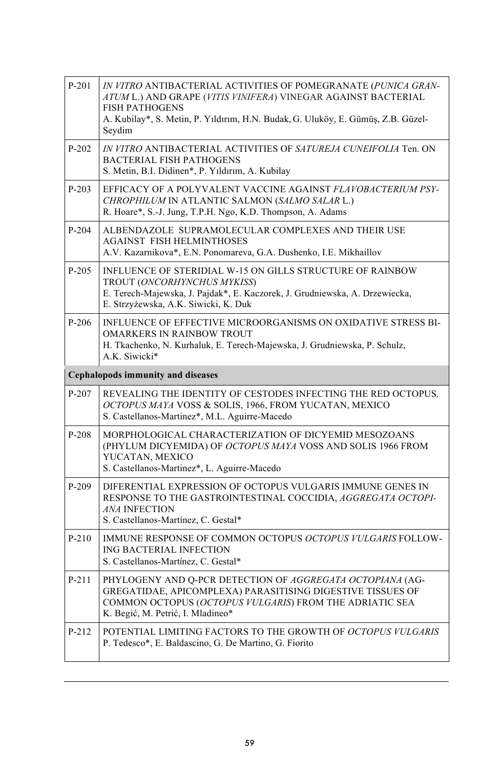| $P-201$                                  | IN VITRO ANTIBACTERIAL ACTIVITIES OF POMEGRANATE (PUNICA GRAN-<br>ATUM L.) AND GRAPE (VITIS VINIFERA) VINEGAR AGAINST BACTERIAL<br><b>FISH PATHOGENS</b><br>A. Kubilay*, S. Metin, P. Yıldırım, H.N. Budak, G. Uluköy, E. Gümüş, Z.B. Güzel-<br>Seydim |  |
|------------------------------------------|--------------------------------------------------------------------------------------------------------------------------------------------------------------------------------------------------------------------------------------------------------|--|
| P-202                                    | IN VITRO ANTIBACTERIAL ACTIVITIES OF SATUREJA CUNEIFOLIA Ten. ON<br><b>BACTERIAL FISH PATHOGENS</b><br>S. Metin, B.I. Didinen*, P. Yıldırım, A. Kubilay                                                                                                |  |
| P-203                                    | EFFICACY OF A POLYVALENT VACCINE AGAINST FLAVOBACTERIUM PSY-<br>CHROPHILUM IN ATLANTIC SALMON (SALMO SALAR L.)<br>R. Hoare*, S.-J. Jung, T.P.H. Ngo, K.D. Thompson, A. Adams                                                                           |  |
| $P-204$                                  | ALBENDAZOLE SUPRAMOLECULAR COMPLEXES AND THEIR USE<br><b>AGAINST FISH HELMINTHOSES</b><br>A.V. Kazarnikova*, E.N. Ponomareva, G.A. Dushenko, I.E. Mikhaillov                                                                                           |  |
| $P-205$                                  | INFLUENCE OF STERIDIAL W-15 ON GILLS STRUCTURE OF RAINBOW<br>TROUT (ONCORHYNCHUS MYKISS)<br>E. Terech-Majewska, J. Pajdak*, E. Kaczorek, J. Grudniewska, A. Drzewiecka,<br>E. Strzyżewska, A.K. Siwicki, K. Duk                                        |  |
| $P-206$                                  | INFLUENCE OF EFFECTIVE MICROORGANISMS ON OXIDATIVE STRESS BI-<br><b>OMARKERS IN RAINBOW TROUT</b><br>H. Tkachenko, N. Kurhaluk, E. Terech-Majewska, J. Grudniewska, P. Schulz,<br>A.K. Siwicki*                                                        |  |
| <b>Cephalopods immunity and diseases</b> |                                                                                                                                                                                                                                                        |  |
|                                          |                                                                                                                                                                                                                                                        |  |
| P-207                                    | REVEALING THE IDENTITY OF CESTODES INFECTING THE RED OCTOPUS.<br>OCTOPUS MAYA VOSS & SOLIS, 1966, FROM YUCATAN, MEXICO<br>S. Castellanos-Martinez*, M.L. Aguirre-Macedo                                                                                |  |
| $P-208$                                  | MORPHOLOGICAL CHARACTERIZATION OF DICYEMID MESOZOANS<br>(PHYLUM DICYEMIDA) OF OCTOPUS MAYA VOSS AND SOLIS 1966 FROM<br>YUCATAN, MEXICO<br>S. Castellanos-Martinez*, L. Aguirre-Macedo                                                                  |  |
| $P-209$                                  | DIFERENTIAL EXPRESSION OF OCTOPUS VULGARIS IMMUNE GENES IN<br>RESPONSE TO THE GASTROINTESTINAL COCCIDIA, AGGREGATA OCTOPI-<br><b>ANA INFECTION</b><br>S. Castellanos-Martínez, C. Gestal*                                                              |  |
| $P-210$                                  | IMMUNE RESPONSE OF COMMON OCTOPUS OCTOPUS VULGARIS FOLLOW-<br>ING BACTERIAL INFECTION<br>S. Castellanos-Martínez, C. Gestal*                                                                                                                           |  |
| P-211                                    | PHYLOGENY AND Q-PCR DETECTION OF AGGREGATA OCTOPIANA (AG-<br>GREGATIDAE, APICOMPLEXA) PARASITISING DIGESTIVE TISSUES OF<br>COMMON OCTOPUS (OCTOPUS VULGARIS) FROM THE ADRIATIC SEA<br>K. Begić, M. Petrić, I. Mladineo*                                |  |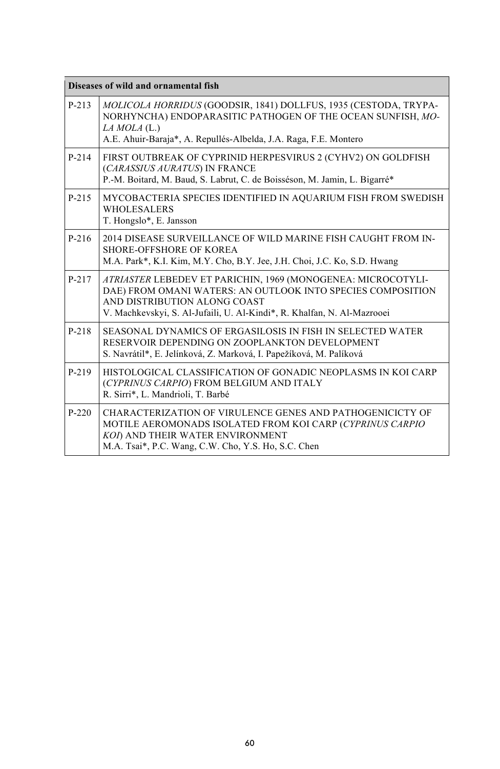| Diseases of wild and ornamental fish |                                                                                                                                                                                                                                        |  |
|--------------------------------------|----------------------------------------------------------------------------------------------------------------------------------------------------------------------------------------------------------------------------------------|--|
| $P-213$                              | MOLICOLA HORRIDUS (GOODSIR, 1841) DOLLFUS, 1935 (CESTODA, TRYPA-<br>NORHYNCHA) ENDOPARASITIC PATHOGEN OF THE OCEAN SUNFISH, MO-<br>$LA MOLA$ (L.)<br>A.E. Ahuir-Baraja*, A. Repullés-Albelda, J.A. Raga, F.E. Montero                  |  |
| $P-214$                              | FIRST OUTBREAK OF CYPRINID HERPESVIRUS 2 (CYHV2) ON GOLDFISH<br>(CARASSIUS AURATUS) IN FRANCE<br>P.-M. Boitard, M. Baud, S. Labrut, C. de Boisséson, M. Jamin, L. Bigarré*                                                             |  |
| $P-215$                              | MYCOBACTERIA SPECIES IDENTIFIED IN AQUARIUM FISH FROM SWEDISH<br><b>WHOLESALERS</b><br>T. Hongslo*, E. Jansson                                                                                                                         |  |
| $P-216$                              | 2014 DISEASE SURVEILLANCE OF WILD MARINE FISH CAUGHT FROM IN-<br><b>SHORE-OFFSHORE OF KOREA</b><br>M.A. Park*, K.I. Kim, M.Y. Cho, B.Y. Jee, J.H. Choi, J.C. Ko, S.D. Hwang                                                            |  |
| $P-217$                              | ATRIASTER LEBEDEV ET PARICHIN, 1969 (MONOGENEA: MICROCOTYLI-<br>DAE) FROM OMANI WATERS: AN OUTLOOK INTO SPECIES COMPOSITION<br>AND DISTRIBUTION ALONG COAST<br>V. Machkevskyi, S. Al-Jufaili, U. Al-Kindi*, R. Khalfan, N. Al-Mazrooei |  |
| $P-218$                              | SEASONAL DYNAMICS OF ERGASILOSIS IN FISH IN SELECTED WATER<br>RESERVOIR DEPENDING ON ZOOPLANKTON DEVELOPMENT<br>S. Navrátil*, E. Jelínková, Z. Marková, I. Papežíková, M. Palíková                                                     |  |
| $P-219$                              | HISTOLOGICAL CLASSIFICATION OF GONADIC NEOPLASMS IN KOI CARP<br>(CYPRINUS CARPIO) FROM BELGIUM AND ITALY<br>R. Sirri*, L. Mandrioli, T. Barbé                                                                                          |  |
| $P-220$                              | CHARACTERIZATION OF VIRULENCE GENES AND PATHOGENICICTY OF<br>MOTILE AEROMONADS ISOLATED FROM KOI CARP (CYPRINUS CARPIO<br>KOI) AND THEIR WATER ENVIRONMENT<br>M.A. Tsai*, P.C. Wang, C.W. Cho, Y.S. Ho, S.C. Chen                      |  |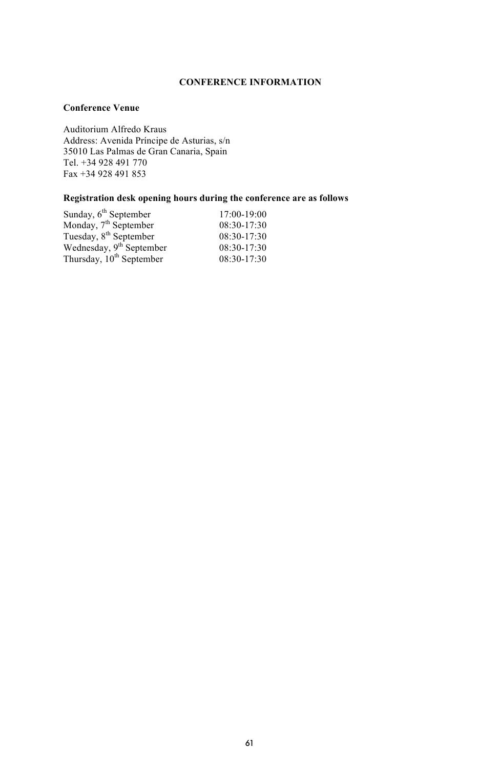### **CONFERENCE INFORMATION**

### **Conference Venue**

Auditorium Alfredo Kraus Address: Avenida Príncipe de Asturias, s/n 35010 Las Palmas de Gran Canaria, Spain Tel. +34 928 491 770 Fax +34 928 491 853

### **Registration desk opening hours during the conference are as follows**

| $17:00-19:00$ |
|---------------|
| $08:30-17:30$ |
| $08:30-17:30$ |
| $08:30-17:30$ |
| 08:30-17:30   |
|               |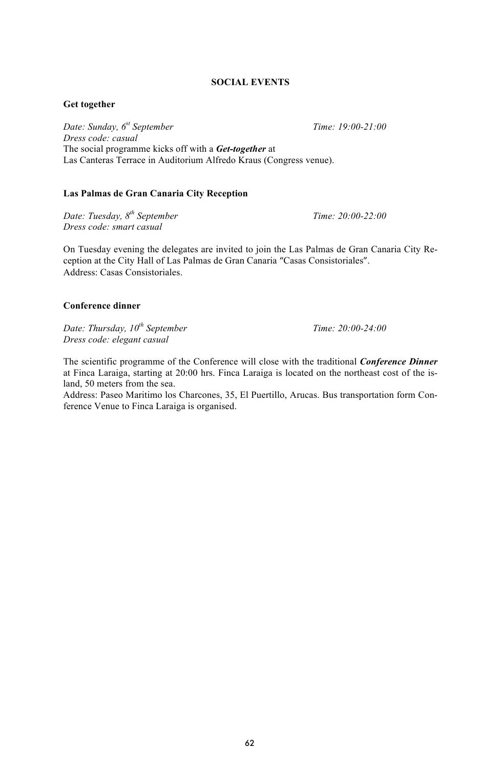### **SOCIAL EVENTS**

### **Get together**

*Date: Sunday, 6st September Time: 19:00-21:00 Dress code: casual* The social programme kicks off with a *Get-together* at Las Canteras Terrace in Auditorium Alfredo Kraus (Congress venue).

### **Las Palmas de Gran Canaria City Reception**

*Date: Tuesday, 8th September Time: 20:00-22:00 Dress code: smart casual*

On Tuesday evening the delegates are invited to join the Las Palmas de Gran Canaria City Reception at the City Hall of Las Palmas de Gran Canaria "Casas Consistoriales". Address: Casas Consistoriales.

### **Conference dinner**

*Date: Thursday,*  $10^{th}$  *September* Time: 20:00-24:00 *Dress code: elegant casual*

The scientific programme of the Conference will close with the traditional *Conference Dinner* at Finca Laraiga, starting at 20:00 hrs. Finca Laraiga is located on the northeast cost of the island, 50 meters from the sea.

Address: Paseo Maritimo los Charcones, 35, El Puertillo, Arucas. Bus transportation form Conference Venue to Finca Laraiga is organised.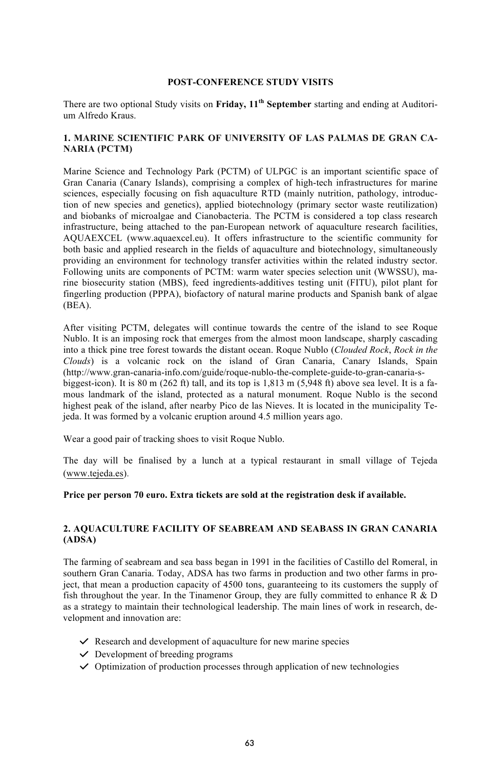#### **POST-CONFERENCE STUDY VISITS**

There are two optional Study visits on **Friday, 11th September** starting and ending at Auditorium Alfredo Kraus.

### **1. MARINE SCIENTIFIC PARK OF UNIVERSITY OF LAS PALMAS DE GRAN CA-NARIA (PCTM)**

Marine Science and Technology Park (PCTM) of ULPGC is an important scientific space of Gran Canaria (Canary Islands), comprising a complex of high-tech infrastructures for marine sciences, especially focusing on fish aquaculture RTD (mainly nutrition, pathology, introduction of new species and genetics), applied biotechnology (primary sector waste reutilization) and biobanks of microalgae and Cianobacteria. The PCTM is considered a top class research infrastructure, being attached to the pan-European network of aquaculture research facilities, AQUAEXCEL (www.aquaexcel.eu). It offers infrastructure to the scientific community for both basic and applied research in the fields of aquaculture and biotechnology, simultaneously providing an environment for technology transfer activities within the related industry sector. Following units are components of PCTM: warm water species selection unit (WWSSU), marine biosecurity station (MBS), feed ingredients-additives testing unit (FITU), pilot plant for fingerling production (PPPA), biofactory of natural marine products and Spanish bank of algae (BEA).

After visiting PCTM, delegates will continue towards the centre of the island to see Roque Nublo. It is an imposing rock that emerges from the almost moon landscape, sharply cascading into a thick pine tree forest towards the distant ocean. Roque Nublo (*Clouded Rock*, *Rock in the Clouds*) is a volcanic rock on the island of Gran Canaria, Canary Islands, Spain (http://www.gran-canaria-info.com/guide/roque-nublo-the-complete-guide-to-gran-canaria-sbiggest-icon). It is  $80 \text{ m}$  (262 ft) tall, and its top is  $1,813 \text{ m}$  (5,948 ft) above sea level. It is a famous landmark of the island, protected as a natural monument. Roque Nublo is the second highest peak of the island, after nearby Pico de las Nieves. It is located in the municipality Tejeda. It was formed by a volcanic eruption around 4.5 million years ago.

Wear a good pair of tracking shoes to visit Roque Nublo.

The day will be finalised by a lunch at a typical restaurant in small village of Tejeda (www.tejeda.es).

#### **Price per person 70 euro. Extra tickets are sold at the registration desk if available.**

### **2. AQUACULTURE FACILITY OF SEABREAM AND SEABASS IN GRAN CANARIA (ADSA)**

The farming of seabream and sea bass began in 1991 in the facilities of Castillo del Romeral, in southern Gran Canaria. Today, ADSA has two farms in production and two other farms in project, that mean a production capacity of 4500 tons, guaranteeing to its customers the supply of fish throughout the year. In the Tinamenor Group, they are fully committed to enhance  $\overline{R}$  & D as a strategy to maintain their technological leadership. The main lines of work in research, development and innovation are:

- *✓* Research and development of aquaculture for new marine species
- *✓* Development of breeding programs
- *✓* Optimization of production processes through application of new technologies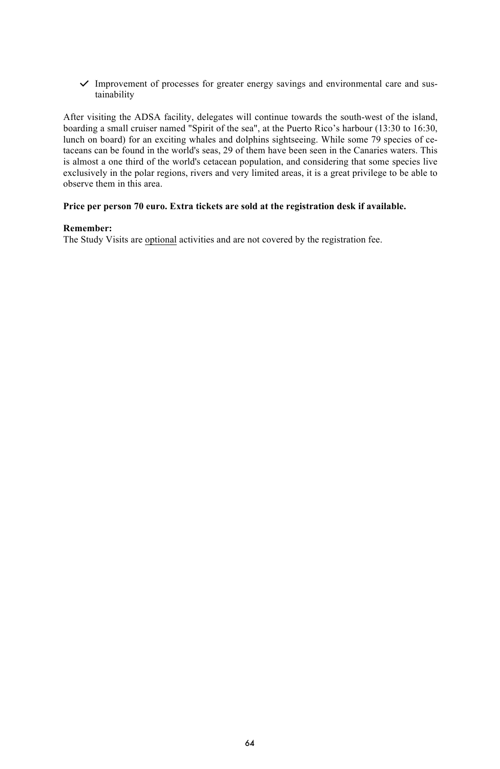*✓* Improvement of processes for greater energy savings and environmental care and sustainability

After visiting the ADSA facility, delegates will continue towards the south-west of the island, boarding a small cruiser named "Spirit of the sea", at the Puerto Rico's harbour (13:30 to 16:30, lunch on board) for an exciting whales and dolphins sightseeing. While some 79 species of cetaceans can be found in the world's seas, 29 of them have been seen in the Canaries waters. This is almost a one third of the world's cetacean population, and considering that some species live exclusively in the polar regions, rivers and very limited areas, it is a great privilege to be able to observe them in this area.

### **Price per person 70 euro. Extra tickets are sold at the registration desk if available.**

### **Remember:**

The Study Visits are optional activities and are not covered by the registration fee.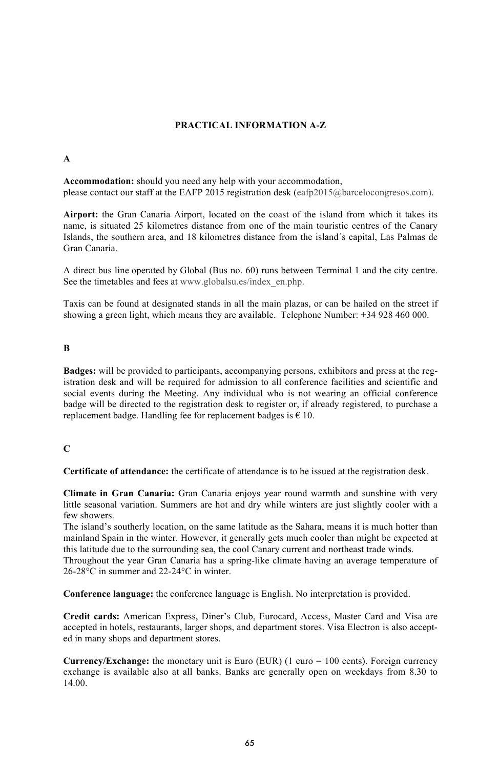### **PRACTICAL INFORMATION A-Z**

#### **A**

**Accommodation:** should you need any help with your accommodation, please contact our staff at the EAFP 2015 registration desk (eafp2015@barcelocongresos.com).

**Airport:** the Gran Canaria Airport, located on the coast of the island from which it takes its name, is situated 25 kilometres distance from one of the main touristic centres of the Canary Islands, the southern area, and 18 kilometres distance from the island´s capital, Las Palmas de Gran Canaria.

A direct bus line operated by Global (Bus no. 60) runs between Terminal 1 and the city centre. See the timetables and fees at www.globalsu.es/index\_en.php.

Taxis can be found at designated stands in all the main plazas, or can be hailed on the street if showing a green light, which means they are available. Telephone Number: +34 928 460 000.

### **B**

**Badges:** will be provided to participants, accompanying persons, exhibitors and press at the registration desk and will be required for admission to all conference facilities and scientific and social events during the Meeting. Any individual who is not wearing an official conference badge will be directed to the registration desk to register or, if already registered, to purchase a replacement badge. Handling fee for replacement badges is  $\epsilon$  10.

### **C**

**Certificate of attendance:** the certificate of attendance is to be issued at the registration desk.

**Climate in Gran Canaria:** Gran Canaria enjoys year round warmth and sunshine with very little seasonal variation. Summers are hot and dry while winters are just slightly cooler with a few showers.

The island's southerly location, on the same latitude as the Sahara, means it is much hotter than mainland Spain in the winter. However, it generally gets much cooler than might be expected at this latitude due to the surrounding sea, the cool Canary current and northeast trade winds. Throughout the year Gran Canaria has a spring-like climate having an average temperature of

26-28°C in summer and 22-24°C in winter.

**Conference language:** the conference language is English. No interpretation is provided.

**Credit cards:** American Express, Diner's Club, Eurocard, Access, Master Card and Visa are accepted in hotels, restaurants, larger shops, and department stores. Visa Electron is also accepted in many shops and department stores.

**Currency/Exchange:** the monetary unit is Euro (EUR) (1 euro = 100 cents). Foreign currency exchange is available also at all banks. Banks are generally open on weekdays from 8.30 to 14.00.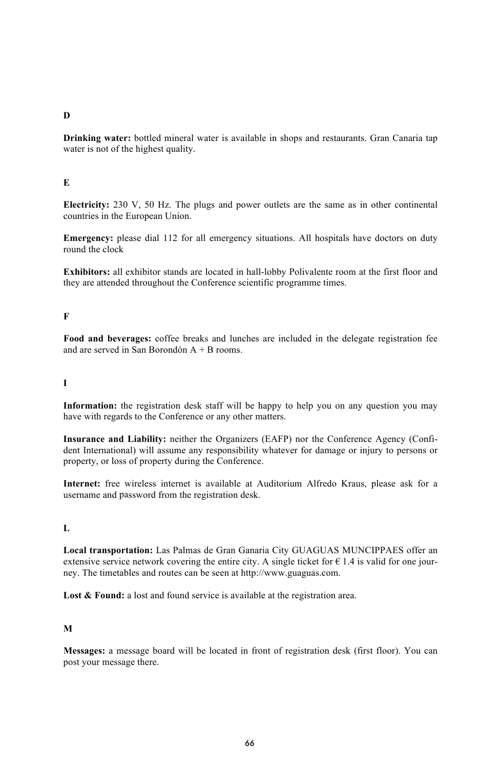### **D**

**Drinking water:** bottled mineral water is available in shops and restaurants. Gran Canaria tap water is not of the highest quality.

### **E**

**Electricity:** 230 V, 50 Hz. The plugs and power outlets are the same as in other continental countries in the European Union.

**Emergency:** please dial 112 for all emergency situations. All hospitals have doctors on duty round the clock

**Exhibitors:** all exhibitor stands are located in hall-lobby Polivalente room at the first floor and they are attended throughout the Conference scientific programme times.

### **F**

**Food and beverages:** coffee breaks and lunches are included in the delegate registration fee and are served in San Borondón A + B rooms.

### **I**

**Information:** the registration desk staff will be happy to help you on any question you may have with regards to the Conference or any other matters.

**Insurance and Liability:** neither the Organizers (EAFP) nor the Conference Agency (Confident International) will assume any responsibility whatever for damage or injury to persons or property, or loss of property during the Conference.

**Internet:** free wireless internet is available at Auditorium Alfredo Kraus, please ask for a username and password from the registration desk.

### **L**

**Local transportation:** Las Palmas de Gran Ganaria City GUAGUAS MUNCIPPAES offer an extensive service network covering the entire city. A single ticket for  $\epsilon$  1.4 is valid for one journey. The timetables and routes can be seen at http://www.guaguas.com.

Lost & Found: a lost and found service is available at the registration area.

### **M**

**Messages:** a message board will be located in front of registration desk (first floor). You can post your message there.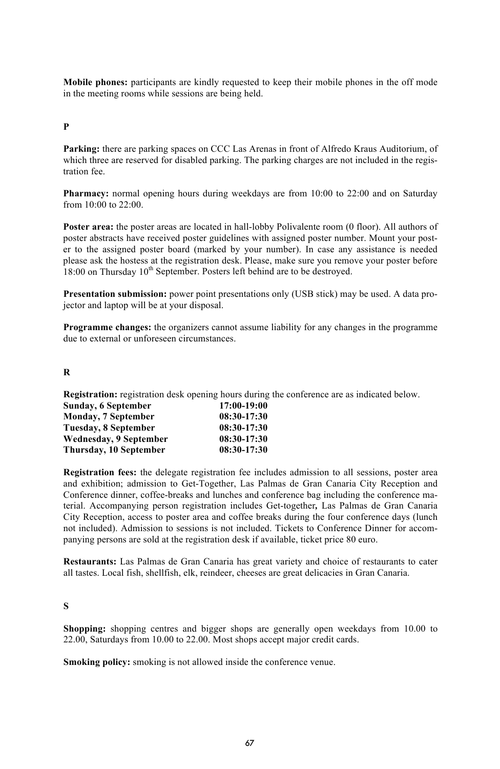**Mobile phones:** participants are kindly requested to keep their mobile phones in the off mode in the meeting rooms while sessions are being held.

### **P**

Parking: there are parking spaces on CCC Las Arenas in front of Alfredo Kraus Auditorium, of which three are reserved for disabled parking. The parking charges are not included in the registration fee.

**Pharmacy:** normal opening hours during weekdays are from 10:00 to 22:00 and on Saturday from 10:00 to 22:00.

**Poster area:** the poster areas are located in hall-lobby Polivalente room (0 floor). All authors of poster abstracts have received poster guidelines with assigned poster number. Mount your poster to the assigned poster board (marked by your number). In case any assistance is needed please ask the hostess at the registration desk. Please, make sure you remove your poster before  $18:00$  on Thursday  $10<sup>th</sup>$  September. Posters left behind are to be destroyed.

**Presentation submission:** power point presentations only (USB stick) may be used. A data projector and laptop will be at your disposal.

**Programme changes:** the organizers cannot assume liability for any changes in the programme due to external or unforeseen circumstances.

### **R**

**Registration:** registration desk opening hours during the conference are as indicated below.

| 17:00-19:00   |
|---------------|
| $08:30-17:30$ |
| $08:30-17:30$ |
| $08:30-17:30$ |
| $08:30-17:30$ |
|               |

**Registration fees:** the delegate registration fee includes admission to all sessions, poster area and exhibition; admission to Get-Together, Las Palmas de Gran Canaria City Reception and Conference dinner, coffee-breaks and lunches and conference bag including the conference material. Accompanying person registration includes Get-together*,* Las Palmas de Gran Canaria City Reception, access to poster area and coffee breaks during the four conference days (lunch not included). Admission to sessions is not included. Tickets to Conference Dinner for accompanying persons are sold at the registration desk if available, ticket price 80 euro.

**Restaurants:** Las Palmas de Gran Canaria has great variety and choice of restaurants to cater all tastes. Local fish, shellfish, elk, reindeer, cheeses are great delicacies in Gran Canaria.

### **S**

**Shopping:** shopping centres and bigger shops are generally open weekdays from 10.00 to 22.00, Saturdays from 10.00 to 22.00. Most shops accept major credit cards.

**Smoking policy:** smoking is not allowed inside the conference venue.